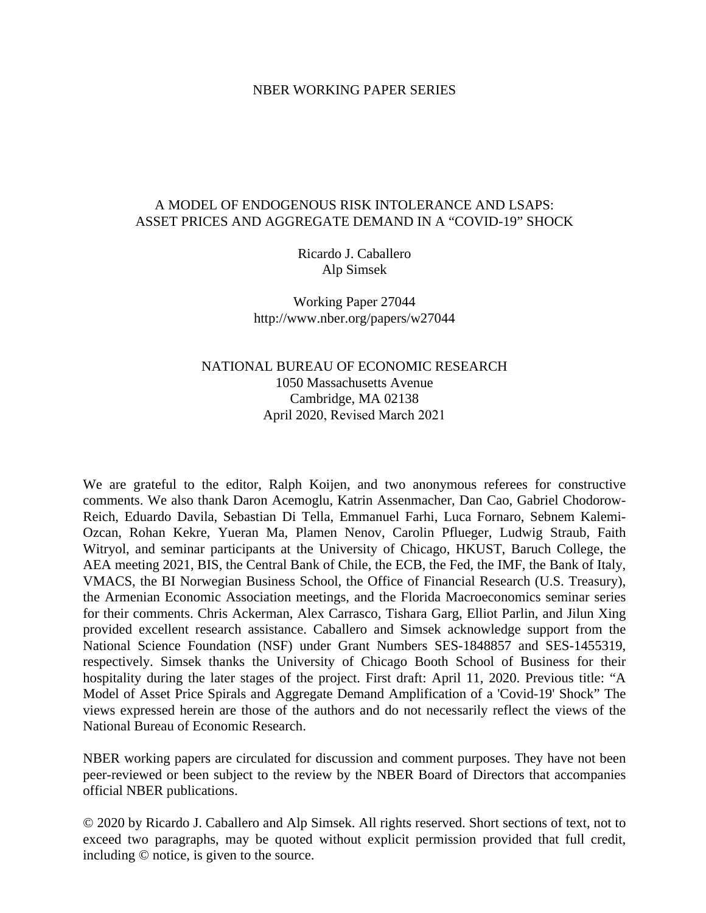### NBER WORKING PAPER SERIES

## A MODEL OF ENDOGENOUS RISK INTOLERANCE AND LSAPS: ASSET PRICES AND AGGREGATE DEMAND IN A "COVID-19" SHOCK

Ricardo J. Caballero Alp Simsek

Working Paper 27044 http://www.nber.org/papers/w27044

# NATIONAL BUREAU OF ECONOMIC RESEARCH 1050 Massachusetts Avenue Cambridge, MA 02138 April 2020, Revised March 2021

We are grateful to the editor, Ralph Koijen, and two anonymous referees for constructive comments. We also thank Daron Acemoglu, Katrin Assenmacher, Dan Cao, Gabriel Chodorow-Reich, Eduardo Davila, Sebastian Di Tella, Emmanuel Farhi, Luca Fornaro, Sebnem Kalemi-Ozcan, Rohan Kekre, Yueran Ma, Plamen Nenov, Carolin Pflueger, Ludwig Straub, Faith Witryol, and seminar participants at the University of Chicago, HKUST, Baruch College, the AEA meeting 2021, BIS, the Central Bank of Chile, the ECB, the Fed, the IMF, the Bank of Italy, VMACS, the BI Norwegian Business School, the Office of Financial Research (U.S. Treasury), the Armenian Economic Association meetings, and the Florida Macroeconomics seminar series for their comments. Chris Ackerman, Alex Carrasco, Tishara Garg, Elliot Parlin, and Jilun Xing provided excellent research assistance. Caballero and Simsek acknowledge support from the National Science Foundation (NSF) under Grant Numbers SES-1848857 and SES-1455319, respectively. Simsek thanks the University of Chicago Booth School of Business for their hospitality during the later stages of the project. First draft: April 11, 2020. Previous title: "A Model of Asset Price Spirals and Aggregate Demand Amplification of a 'Covid-19' Shock" The views expressed herein are those of the authors and do not necessarily reflect the views of the National Bureau of Economic Research.

NBER working papers are circulated for discussion and comment purposes. They have not been peer-reviewed or been subject to the review by the NBER Board of Directors that accompanies official NBER publications.

© 2020 by Ricardo J. Caballero and Alp Simsek. All rights reserved. Short sections of text, not to exceed two paragraphs, may be quoted without explicit permission provided that full credit, including © notice, is given to the source.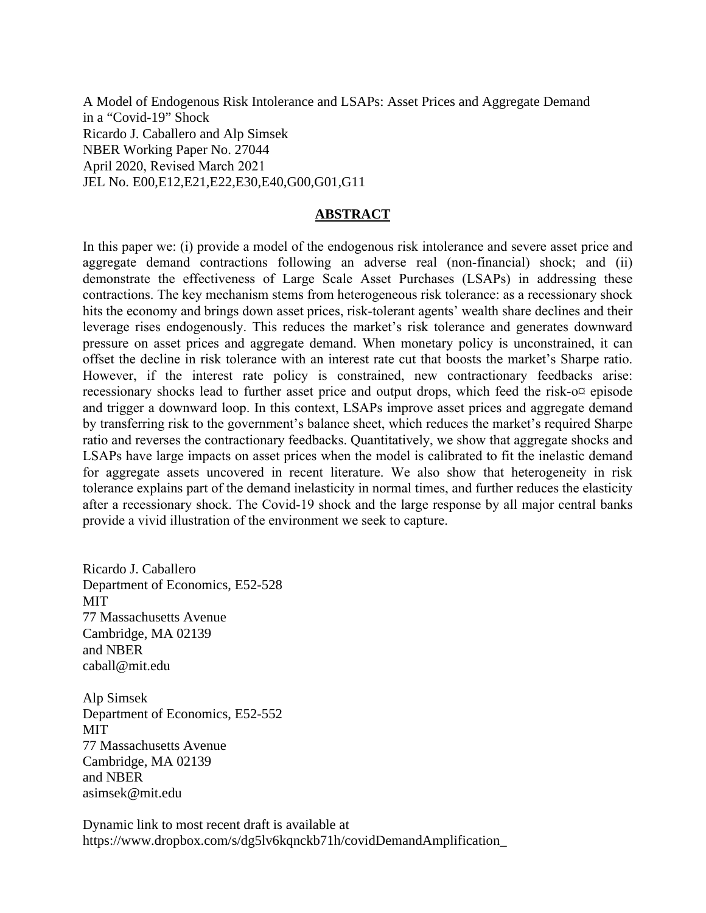A Model of Endogenous Risk Intolerance and LSAPs: Asset Prices and Aggregate Demand in a "Covid-19" Shock Ricardo J. Caballero and Alp Simsek NBER Working Paper No. 27044 April 2020, Revised March 2021 JEL No. E00,E12,E21,E22,E30,E40,G00,G01,G11

## **ABSTRACT**

In this paper we: (i) provide a model of the endogenous risk intolerance and severe asset price and aggregate demand contractions following an adverse real (non-financial) shock; and (ii) demonstrate the effectiveness of Large Scale Asset Purchases (LSAPs) in addressing these contractions. The key mechanism stems from heterogeneous risk tolerance: as a recessionary shock hits the economy and brings down asset prices, risk-tolerant agents' wealth share declines and their leverage rises endogenously. This reduces the market's risk tolerance and generates downward pressure on asset prices and aggregate demand. When monetary policy is unconstrained, it can offset the decline in risk tolerance with an interest rate cut that boosts the market's Sharpe ratio. However, if the interest rate policy is constrained, new contractionary feedbacks arise: recessionary shocks lead to further asset price and output drops, which feed the risk- $o\alpha$  episode and trigger a downward loop. In this context, LSAPs improve asset prices and aggregate demand by transferring risk to the government's balance sheet, which reduces the market's required Sharpe ratio and reverses the contractionary feedbacks. Quantitatively, we show that aggregate shocks and LSAPs have large impacts on asset prices when the model is calibrated to fit the inelastic demand for aggregate assets uncovered in recent literature. We also show that heterogeneity in risk tolerance explains part of the demand inelasticity in normal times, and further reduces the elasticity after a recessionary shock. The Covid-19 shock and the large response by all major central banks provide a vivid illustration of the environment we seek to capture.

Ricardo J. Caballero Department of Economics, E52-528 **MIT** 77 Massachusetts Avenue Cambridge, MA 02139 and NBER caball@mit.edu

Alp Simsek Department of Economics, E52-552 MIT 77 Massachusetts Avenue Cambridge, MA 02139 and NBER asimsek@mit.edu

Dynamic link to most recent draft is available at https://www.dropbox.com/s/dg5lv6kqnckb71h/covidDemandAmplification\_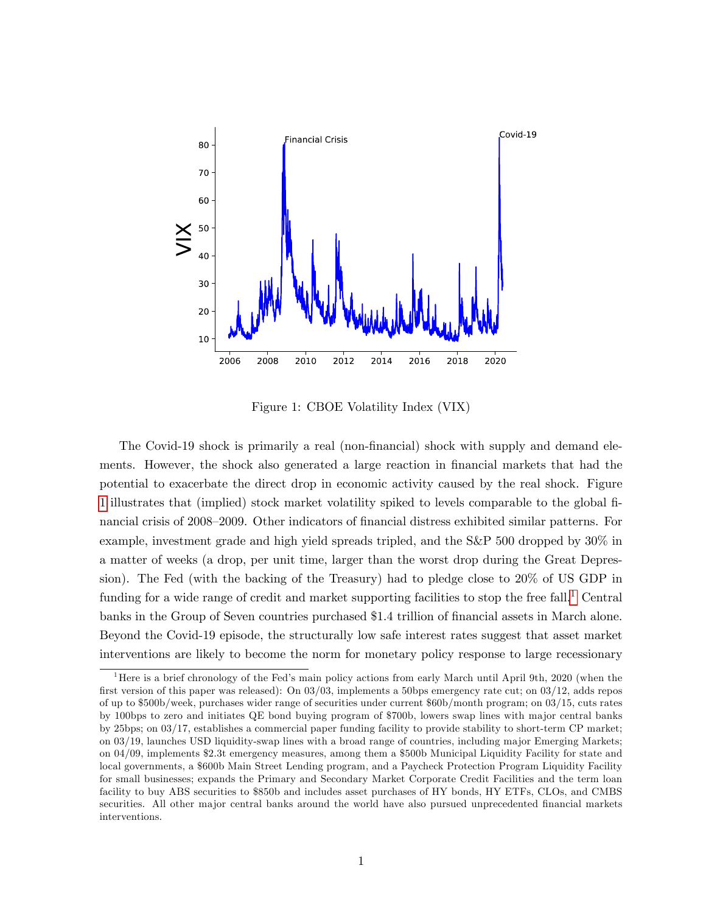

<span id="page-2-0"></span>Figure 1: CBOE Volatility Index (VIX)

The Covid-19 shock is primarily a real (non-financial) shock with supply and demand elements. However, the shock also generated a large reaction in financial markets that had the potential to exacerbate the direct drop in economic activity caused by the real shock. Figure [1](#page-2-0) illustrates that (implied) stock market volatility spiked to levels comparable to the global Önancial crisis of 2008–2009. Other indicators of financial distress exhibited similar patterns. For example, investment grade and high yield spreads tripled, and the S&P 500 dropped by 30% in a matter of weeks (a drop, per unit time, larger than the worst drop during the Great Depression). The Fed (with the backing of the Treasury) had to pledge close to 20% of US GDP in funding for a wide range of credit and market supporting facilities to stop the free fall.<sup>[1](#page-2-1)</sup> Central banks in the Group of Seven countries purchased \$1.4 trillion of financial assets in March alone. Beyond the Covid-19 episode, the structurally low safe interest rates suggest that asset market interventions are likely to become the norm for monetary policy response to large recessionary

<span id="page-2-1"></span><sup>&</sup>lt;sup>1</sup>Here is a brief chronology of the Fed's main policy actions from early March until April 9th, 2020 (when the first version of this paper was released): On 03/03, implements a 50bps emergency rate cut; on 03/12, adds repos of up to \$500b/week, purchases wider range of securities under current \$60b/month program; on 03/15, cuts rates by 100bps to zero and initiates QE bond buying program of \$700b, lowers swap lines with major central banks by 25bps; on 03/17, establishes a commercial paper funding facility to provide stability to short-term CP market; on 03/19, launches USD liquidity-swap lines with a broad range of countries, including major Emerging Markets; on 04/09, implements \$2.3t emergency measures, among them a \$500b Municipal Liquidity Facility for state and local governments, a \$600b Main Street Lending program, and a Paycheck Protection Program Liquidity Facility for small businesses; expands the Primary and Secondary Market Corporate Credit Facilities and the term loan facility to buy ABS securities to \$850b and includes asset purchases of HY bonds, HY ETFs, CLOs, and CMBS securities. All other major central banks around the world have also pursued unprecedented financial markets interventions.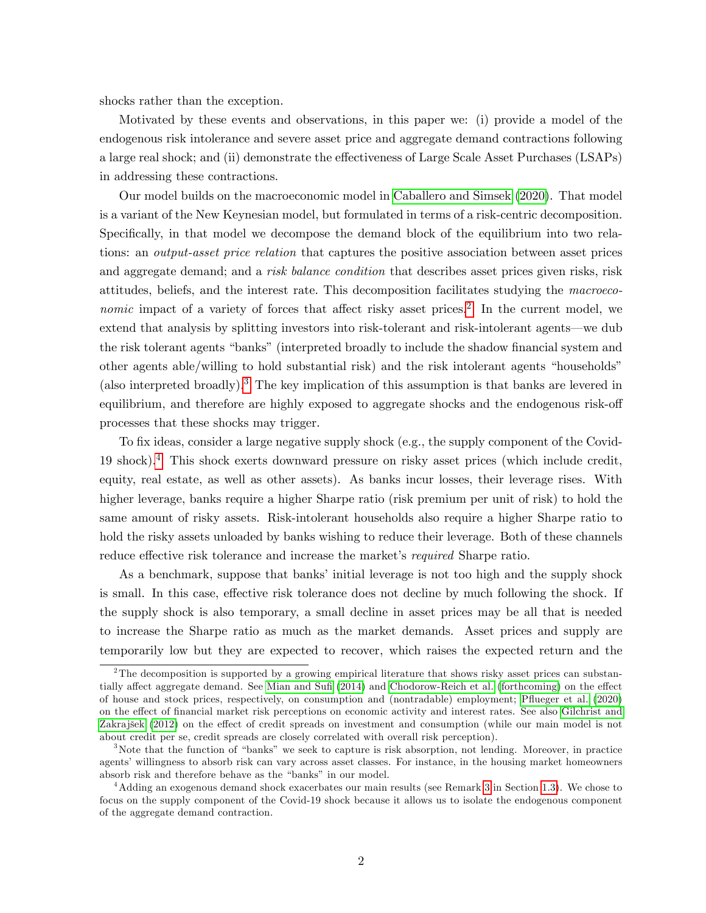shocks rather than the exception.

Motivated by these events and observations, in this paper we: (i) provide a model of the endogenous risk intolerance and severe asset price and aggregate demand contractions following a large real shock; and (ii) demonstrate the effectiveness of Large Scale Asset Purchases (LSAPs) in addressing these contractions.

Our model builds on the macroeconomic model in [Caballero and Simsek](#page-58-0) [\(2020\)](#page-58-0). That model is a variant of the New Keynesian model, but formulated in terms of a risk-centric decomposition. Specifically, in that model we decompose the demand block of the equilibrium into two relations: an output-asset price relation that captures the positive association between asset prices and aggregate demand; and a *risk balance condition* that describes asset prices given risks, risk attitudes, beliefs, and the interest rate. This decomposition facilitates studying the macroeco*nomic* impact of a variety of forces that affect risky asset prices.<sup>[2](#page-3-0)</sup> In the current model, we extend that analysis by splitting investors into risk-tolerant and risk-intolerant agents—we dub the risk tolerant agents "banks" (interpreted broadly to include the shadow financial system and other agents able/willing to hold substantial risk) and the risk intolerant agents "households" (also interpreted broadly).<sup>[3](#page-3-1)</sup> The key implication of this assumption is that banks are levered in equilibrium, and therefore are highly exposed to aggregate shocks and the endogenous risk-off processes that these shocks may trigger.

To fix ideas, consider a large negative supply shock (e.g., the supply component of the Covid-19 shock).[4](#page-3-2) This shock exerts downward pressure on risky asset prices (which include credit, equity, real estate, as well as other assets). As banks incur losses, their leverage rises. With higher leverage, banks require a higher Sharpe ratio (risk premium per unit of risk) to hold the same amount of risky assets. Risk-intolerant households also require a higher Sharpe ratio to hold the risky assets unloaded by banks wishing to reduce their leverage. Both of these channels reduce effective risk tolerance and increase the market's required Sharpe ratio.

As a benchmark, suppose that banks' initial leverage is not too high and the supply shock is small. In this case, effective risk tolerance does not decline by much following the shock. If the supply shock is also temporary, a small decline in asset prices may be all that is needed to increase the Sharpe ratio as much as the market demands. Asset prices and supply are temporarily low but they are expected to recover, which raises the expected return and the

<span id="page-3-0"></span><sup>&</sup>lt;sup>2</sup>The decomposition is supported by a growing empirical literature that shows risky asset prices can substan-tially affect aggregate demand. See Mian and Sufi [\(2014\)](#page-60-0) and [Chodorow-Reich et al.](#page-58-1) [\(forthcoming\)](#page-58-1) on the effect of house and stock prices, respectively, on consumption and (nontradable) employment; [Páueger et al.](#page-61-0) [\(2020\)](#page-61-0) on the effect of financial market risk perceptions on economic activity and interest rates. See also [Gilchrist and](#page-59-0) Zakrajšek [\(2012\)](#page-59-0) on the effect of credit spreads on investment and consumption (while our main model is not about credit per se, credit spreads are closely correlated with overall risk perception).

<span id="page-3-1"></span> $3$ Note that the function of "banks" we seek to capture is risk absorption, not lending. Moreover, in practice agents' willingness to absorb risk can vary across asset classes. For instance, in the housing market homeowners absorb risk and therefore behave as the "banks" in our model.

<span id="page-3-2"></span><sup>4</sup>Adding an exogenous demand shock exacerbates our main results (see Remark [3](#page-20-0) in Section [1.3\)](#page-16-0). We chose to focus on the supply component of the Covid-19 shock because it allows us to isolate the endogenous component of the aggregate demand contraction.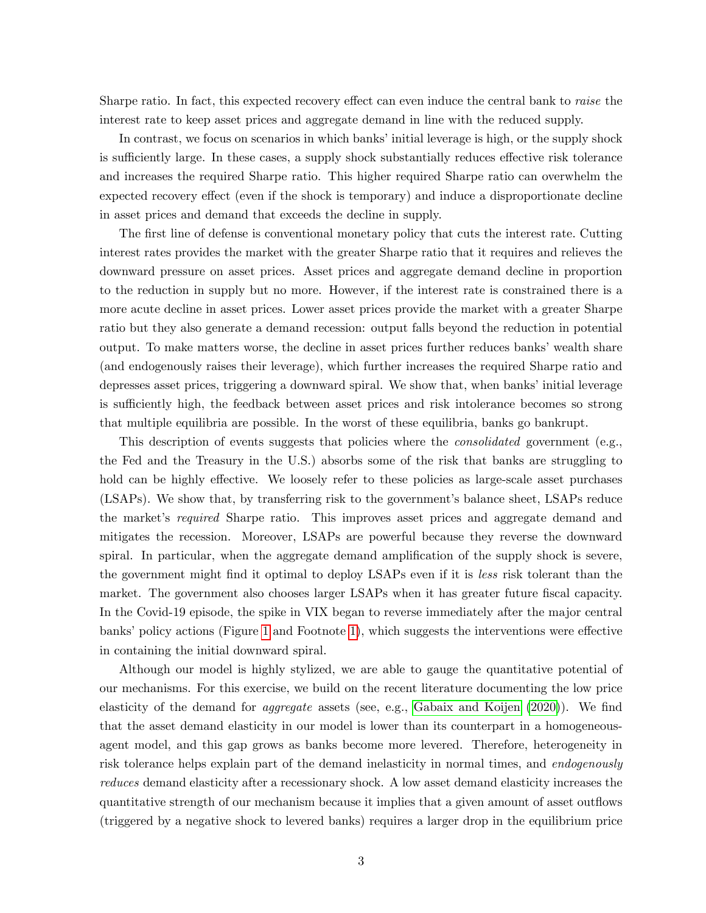Sharpe ratio. In fact, this expected recovery effect can even induce the central bank to *raise* the interest rate to keep asset prices and aggregate demand in line with the reduced supply.

In contrast, we focus on scenarios in which banks' initial leverage is high, or the supply shock is sufficiently large. In these cases, a supply shock substantially reduces effective risk tolerance and increases the required Sharpe ratio. This higher required Sharpe ratio can overwhelm the expected recovery effect (even if the shock is temporary) and induce a disproportionate decline in asset prices and demand that exceeds the decline in supply.

The first line of defense is conventional monetary policy that cuts the interest rate. Cutting interest rates provides the market with the greater Sharpe ratio that it requires and relieves the downward pressure on asset prices. Asset prices and aggregate demand decline in proportion to the reduction in supply but no more. However, if the interest rate is constrained there is a more acute decline in asset prices. Lower asset prices provide the market with a greater Sharpe ratio but they also generate a demand recession: output falls beyond the reduction in potential output. To make matters worse, the decline in asset prices further reduces banks' wealth share (and endogenously raises their leverage), which further increases the required Sharpe ratio and depresses asset prices, triggering a downward spiral. We show that, when banks' initial leverage is sufficiently high, the feedback between asset prices and risk intolerance becomes so strong that multiple equilibria are possible. In the worst of these equilibria, banks go bankrupt.

This description of events suggests that policies where the *consolidated* government (e.g., the Fed and the Treasury in the U.S.) absorbs some of the risk that banks are struggling to hold can be highly effective. We loosely refer to these policies as large-scale asset purchases (LSAPs). We show that, by transferring risk to the government's balance sheet, LSAPs reduce the market's *required* Sharpe ratio. This improves asset prices and aggregate demand and mitigates the recession. Moreover, LSAPs are powerful because they reverse the downward spiral. In particular, when the aggregate demand amplification of the supply shock is severe, the government might find it optimal to deploy LSAPs even if it is less risk tolerant than the market. The government also chooses larger LSAPs when it has greater future fiscal capacity. In the Covid-19 episode, the spike in VIX began to reverse immediately after the major central banks' policy actions (Figure [1](#page-2-0) and Footnote [1\)](#page-2-1), which suggests the interventions were effective in containing the initial downward spiral.

Although our model is highly stylized, we are able to gauge the quantitative potential of our mechanisms. For this exercise, we build on the recent literature documenting the low price elasticity of the demand for *aggregate* assets (see, e.g., [Gabaix and Koijen](#page-59-1)  $(2020)$ ). We find that the asset demand elasticity in our model is lower than its counterpart in a homogeneousagent model, and this gap grows as banks become more levered. Therefore, heterogeneity in risk tolerance helps explain part of the demand inelasticity in normal times, and endogenously reduces demand elasticity after a recessionary shock. A low asset demand elasticity increases the quantitative strength of our mechanism because it implies that a given amount of asset outáows (triggered by a negative shock to levered banks) requires a larger drop in the equilibrium price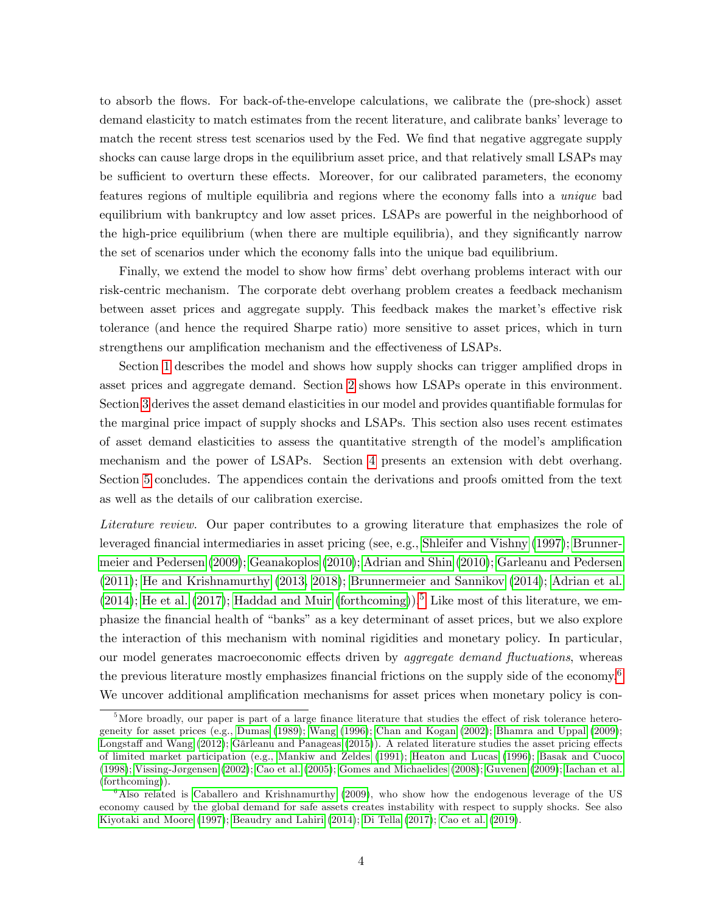to absorb the áows. For back-of-the-envelope calculations, we calibrate the (pre-shock) asset demand elasticity to match estimates from the recent literature, and calibrate banks' leverage to match the recent stress test scenarios used by the Fed. We find that negative aggregate supply shocks can cause large drops in the equilibrium asset price, and that relatively small LSAPs may be sufficient to overturn these effects. Moreover, for our calibrated parameters, the economy features regions of multiple equilibria and regions where the economy falls into a unique bad equilibrium with bankruptcy and low asset prices. LSAPs are powerful in the neighborhood of the high-price equilibrium (when there are multiple equilibria), and they significantly narrow the set of scenarios under which the economy falls into the unique bad equilibrium.

Finally, we extend the model to show how firms' debt overhang problems interact with our risk-centric mechanism. The corporate debt overhang problem creates a feedback mechanism between asset prices and aggregate supply. This feedback makes the market's effective risk tolerance (and hence the required Sharpe ratio) more sensitive to asset prices, which in turn strengthens our amplification mechanism and the effectiveness of LSAPs.

Section [1](#page-8-0) describes the model and shows how supply shocks can trigger amplified drops in asset prices and aggregate demand. Section [2](#page-20-1) shows how LSAPs operate in this environment. Section [3](#page-25-0) derives the asset demand elasticities in our model and provides quantifiable formulas for the marginal price impact of supply shocks and LSAPs. This section also uses recent estimates of asset demand elasticities to assess the quantitative strength of the model's amplification mechanism and the power of LSAPs. Section [4](#page-33-0) presents an extension with debt overhang. Section [5](#page-36-0) concludes. The appendices contain the derivations and proofs omitted from the text as well as the details of our calibration exercise.

Literature review. Our paper contributes to a growing literature that emphasizes the role of leveraged Önancial intermediaries in asset pricing (see, e.g., [Shleifer and Vishny](#page-61-1) [\(1997\)](#page-61-1); [Brunner](#page-57-0)[meier and Pedersen](#page-57-0) [\(2009\)](#page-57-0); [Geanakoplos](#page-59-2) [\(2010\)](#page-59-2); [Adrian and Shin](#page-57-1) [\(2010\)](#page-57-1); [Garleanu and Pedersen](#page-59-3) [\(2011\)](#page-59-3); [He and Krishnamurthy](#page-60-1) [\(2013,](#page-60-1) [2018\)](#page-60-2); [Brunnermeier and Sannikov](#page-58-2) [\(2014\)](#page-58-2); [Adrian et al.](#page-57-2) [\(2014\)](#page-57-2); [He et al.](#page-60-3) [\(2017\)](#page-60-3); [Haddad and Muir](#page-60-4) [\(forthcoming\)](#page-60-4)).<sup>[5](#page-5-0)</sup> Like most of this literature, we emphasize the financial health of "banks" as a key determinant of asset prices, but we also explore the interaction of this mechanism with nominal rigidities and monetary policy. In particular, our model generates macroeconomic effects driven by *aggregate demand fluctuations*, whereas the previous literature mostly emphasizes financial frictions on the supply side of the economy.<sup>[6](#page-5-1)</sup> We uncover additional amplification mechanisms for asset prices when monetary policy is con-

<span id="page-5-0"></span> $5$ More broadly, our paper is part of a large finance literature that studies the effect of risk tolerance heterogeneity for asset prices (e.g., [Dumas](#page-59-4) [\(1989\)](#page-59-4); [Wang](#page-61-2) [\(1996\)](#page-61-2); [Chan and Kogan](#page-58-3) [\(2002\)](#page-58-3); [Bhamra and Uppal](#page-57-3) [\(2009\)](#page-57-3); Longstaff and Wang [\(2012\)](#page-60-5); Gârleanu and Panageas [\(2015\)](#page-59-5)). A related literature studies the asset pricing effects of limited market participation (e.g., [Mankiw and Zeldes](#page-60-6) [\(1991\)](#page-60-6); [Heaton and Lucas](#page-60-7) [\(1996\)](#page-60-7); [Basak and Cuoco](#page-57-4)  $(1998)$ ; Vissing-Jørgensen  $(2002)$ ; [Cao et al.](#page-58-4)  $(2005)$ ; [Gomes and Michaelides](#page-59-6)  $(2008)$ ; [Guvenen](#page-59-7)  $(2009)$ ; [Iachan et al.](#page-60-8) [\(forthcoming\)](#page-60-8)).

<span id="page-5-1"></span><sup>&</sup>lt;sup>6</sup>Also related is [Caballero and Krishnamurthy](#page-58-5) [\(2009\)](#page-58-5), who show how the endogenous leverage of the US economy caused by the global demand for safe assets creates instability with respect to supply shocks. See also [Kiyotaki and Moore](#page-60-9) [\(1997\)](#page-60-9); [Beaudry and Lahiri](#page-57-5) [\(2014\)](#page-57-5); [Di Tella](#page-59-8) [\(2017\)](#page-59-8); [Cao et al.](#page-58-6) [\(2019\)](#page-58-6).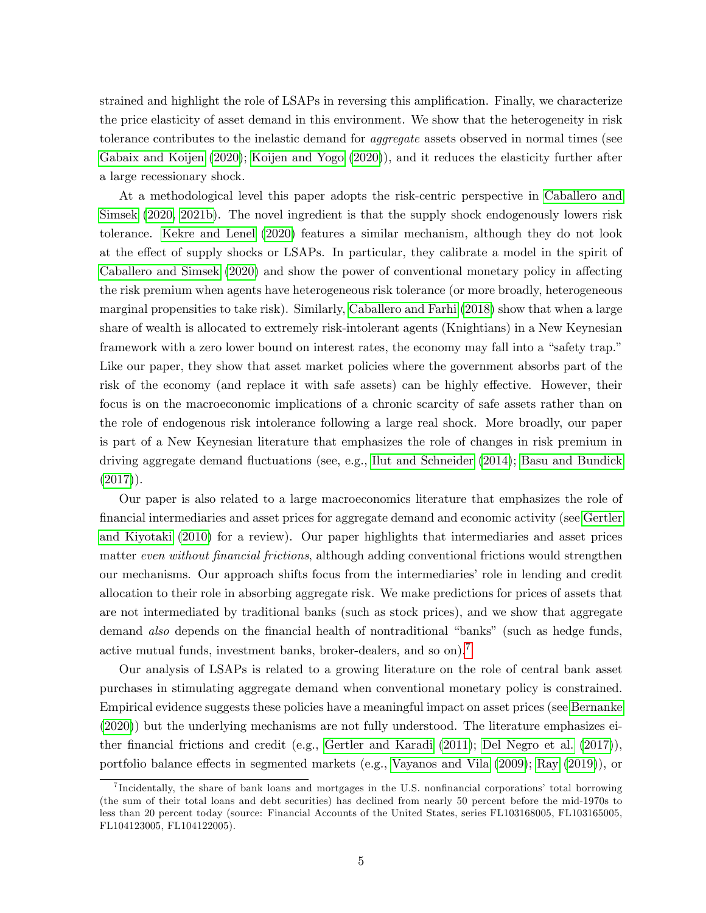strained and highlight the role of LSAPs in reversing this amplification. Finally, we characterize the price elasticity of asset demand in this environment. We show that the heterogeneity in risk tolerance contributes to the inelastic demand for aggregate assets observed in normal times (see [Gabaix and Koijen](#page-59-1) [\(2020\)](#page-59-1); [Koijen and Yogo](#page-60-10) [\(2020\)](#page-60-10)), and it reduces the elasticity further after a large recessionary shock.

At a methodological level this paper adopts the risk-centric perspective in [Caballero and](#page-58-0) [Simsek](#page-58-0) [\(2020,](#page-58-0) [2021b\)](#page-58-7). The novel ingredient is that the supply shock endogenously lowers risk tolerance. [Kekre and Lenel](#page-60-11) [\(2020\)](#page-60-11) features a similar mechanism, although they do not look at the effect of supply shocks or LSAPs. In particular, they calibrate a model in the spirit of [Caballero and Simsek](#page-58-0) [\(2020\)](#page-58-0) and show the power of conventional monetary policy in affecting the risk premium when agents have heterogeneous risk tolerance (or more broadly, heterogeneous marginal propensities to take risk). Similarly, [Caballero and Farhi](#page-58-8) [\(2018\)](#page-58-8) show that when a large share of wealth is allocated to extremely risk-intolerant agents (Knightians) in a New Keynesian framework with a zero lower bound on interest rates, the economy may fall into a "safety trap." Like our paper, they show that asset market policies where the government absorbs part of the risk of the economy (and replace it with safe assets) can be highly effective. However, their focus is on the macroeconomic implications of a chronic scarcity of safe assets rather than on the role of endogenous risk intolerance following a large real shock. More broadly, our paper is part of a New Keynesian literature that emphasizes the role of changes in risk premium in driving aggregate demand fluctuations (see, e.g., [Ilut and Schneider](#page-60-12) [\(2014\)](#page-60-12); [Basu and Bundick](#page-57-6)  $(2017)$ ).

Our paper is also related to a large macroeconomics literature that emphasizes the role of Önancial intermediaries and asset prices for aggregate demand and economic activity (see [Gertler](#page-59-9) [and Kiyotaki](#page-59-9) [\(2010\)](#page-59-9) for a review). Our paper highlights that intermediaries and asset prices matter even without financial frictions, although adding conventional frictions would strengthen our mechanisms. Our approach shifts focus from the intermediaries' role in lending and credit allocation to their role in absorbing aggregate risk. We make predictions for prices of assets that are not intermediated by traditional banks (such as stock prices), and we show that aggregate demand also depends on the financial health of nontraditional "banks" (such as hedge funds, active mutual funds, investment banks, broker-dealers, and so on).[7](#page-6-0)

Our analysis of LSAPs is related to a growing literature on the role of central bank asset purchases in stimulating aggregate demand when conventional monetary policy is constrained. Empirical evidence suggests these policies have a meaningful impact on asset prices (see [Bernanke](#page-57-7) [\(2020\)](#page-57-7)) but the underlying mechanisms are not fully understood. The literature emphasizes ei-ther financial frictions and credit (e.g., [Gertler and Karadi](#page-59-10) [\(2011\)](#page-59-10); [Del Negro et al.](#page-59-11) [\(2017\)](#page-59-11)), portfolio balance effects in segmented markets (e.g., [Vayanos and Vila](#page-61-4)  $(2009)$ ; [Ray](#page-61-5)  $(2019)$ ), or

<span id="page-6-0"></span><sup>&</sup>lt;sup>7</sup>Incidentally, the share of bank loans and mortgages in the U.S. nonfinancial corporations' total borrowing (the sum of their total loans and debt securities) has declined from nearly 50 percent before the mid-1970s to less than 20 percent today (source: Financial Accounts of the United States, series FL103168005, FL103165005, FL104123005, FL104122005).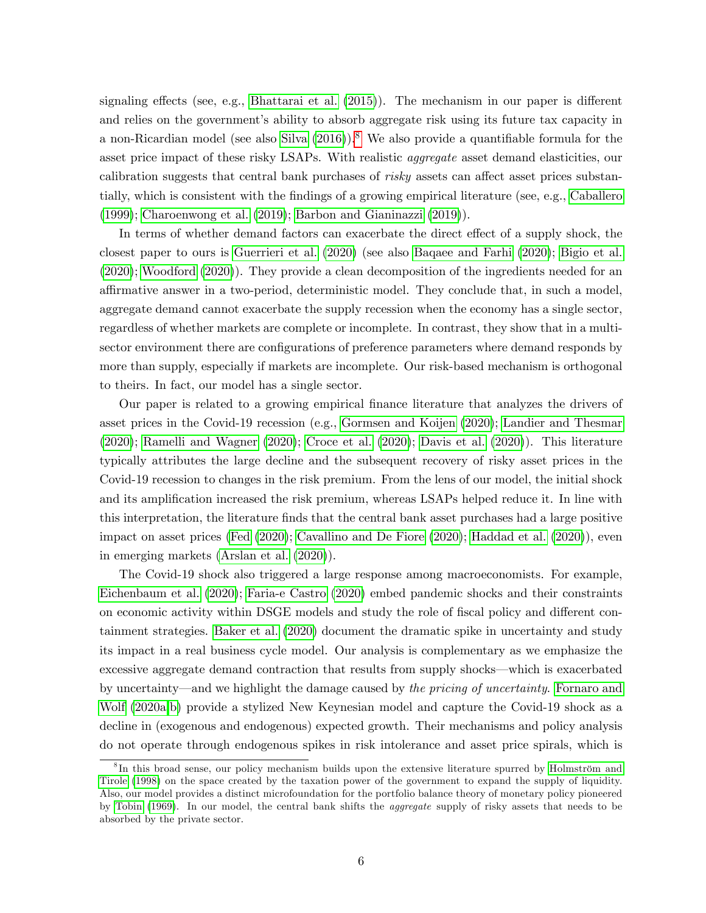signaling effects (see, e.g., [Bhattarai et al.](#page-57-8)  $(2015)$ ). The mechanism in our paper is different and relies on the government's ability to absorb aggregate risk using its future tax capacity in a non-Ricardian model (see also [Silva](#page-61-6)  $(2016)$ ).<sup>[8](#page-7-0)</sup> We also provide a quantifiable formula for the asset price impact of these risky LSAPs. With realistic aggregate asset demand elasticities, our calibration suggests that central bank purchases of *risky* assets can affect asset prices substan-tially, which is consistent with the findings of a growing empirical literature (see, e.g., [Caballero](#page-58-9) [\(1999\)](#page-58-9); [Charoenwong et al.](#page-58-10) [\(2019\)](#page-58-10); [Barbon and Gianinazzi](#page-57-9) [\(2019\)](#page-57-9)).

In terms of whether demand factors can exacerbate the direct effect of a supply shock, the closest paper to ours is [Guerrieri et al.](#page-59-12) [\(2020\)](#page-59-12) (see also [Baqaee and Farhi](#page-57-10) [\(2020\)](#page-57-10); [Bigio et al.](#page-57-11) [\(2020\)](#page-57-11); [Woodford](#page-61-7) [\(2020\)](#page-61-7)). They provide a clean decomposition of the ingredients needed for an affirmative answer in a two-period, deterministic model. They conclude that, in such a model, aggregate demand cannot exacerbate the supply recession when the economy has a single sector, regardless of whether markets are complete or incomplete. In contrast, they show that in a multisector environment there are configurations of preference parameters where demand responds by more than supply, especially if markets are incomplete. Our risk-based mechanism is orthogonal to theirs. In fact, our model has a single sector.

Our paper is related to a growing empirical Önance literature that analyzes the drivers of asset prices in the Covid-19 recession (e.g., [Gormsen and Koijen](#page-59-13) [\(2020\)](#page-59-13); [Landier and Thesmar](#page-60-13) [\(2020\)](#page-60-13); [Ramelli and Wagner](#page-61-8) [\(2020\)](#page-61-8); [Croce et al.](#page-58-11) [\(2020\)](#page-58-11); [Davis et al.](#page-58-12) [\(2020\)](#page-58-12)). This literature typically attributes the large decline and the subsequent recovery of risky asset prices in the Covid-19 recession to changes in the risk premium. From the lens of our model, the initial shock and its amplification increased the risk premium, whereas LSAPs helped reduce it. In line with this interpretation, the literature Önds that the central bank asset purchases had a large positive impact on asset prices [\(Fed](#page-59-14) [\(2020\)](#page-59-14); [Cavallino and De Fiore](#page-58-13) [\(2020\)](#page-58-13); [Haddad et al.](#page-60-14) [\(2020\)](#page-60-14)), even in emerging markets [\(Arslan et al.](#page-57-12) [\(2020\)](#page-57-12)).

The Covid-19 shock also triggered a large response among macroeconomists. For example, [Eichenbaum et al.](#page-59-15) [\(2020\)](#page-59-15); [Faria-e Castro](#page-59-16) [\(2020\)](#page-59-16) embed pandemic shocks and their constraints on economic activity within DSGE models and study the role of fiscal policy and different containment strategies. [Baker et al.](#page-57-13) [\(2020\)](#page-57-13) document the dramatic spike in uncertainty and study its impact in a real business cycle model. Our analysis is complementary as we emphasize the excessive aggregate demand contraction that results from supply shocks—which is exacerbated by uncertainty—and we highlight the damage caused by the pricing of uncertainty. [Fornaro and](#page-59-17) [Wolf](#page-59-17) [\(2020a](#page-59-17)[,b\)](#page-59-18) provide a stylized New Keynesian model and capture the Covid-19 shock as a decline in (exogenous and endogenous) expected growth. Their mechanisms and policy analysis do not operate through endogenous spikes in risk intolerance and asset price spirals, which is

<span id="page-7-0"></span> ${}^{8}$ In this broad sense, our policy mechanism builds upon the extensive literature spurred by Holmström and [Tirole](#page-60-15) [\(1998\)](#page-60-15) on the space created by the taxation power of the government to expand the supply of liquidity. Also, our model provides a distinct microfoundation for the portfolio balance theory of monetary policy pioneered by [Tobin](#page-61-9) [\(1969\)](#page-61-9). In our model, the central bank shifts the aggregate supply of risky assets that needs to be absorbed by the private sector.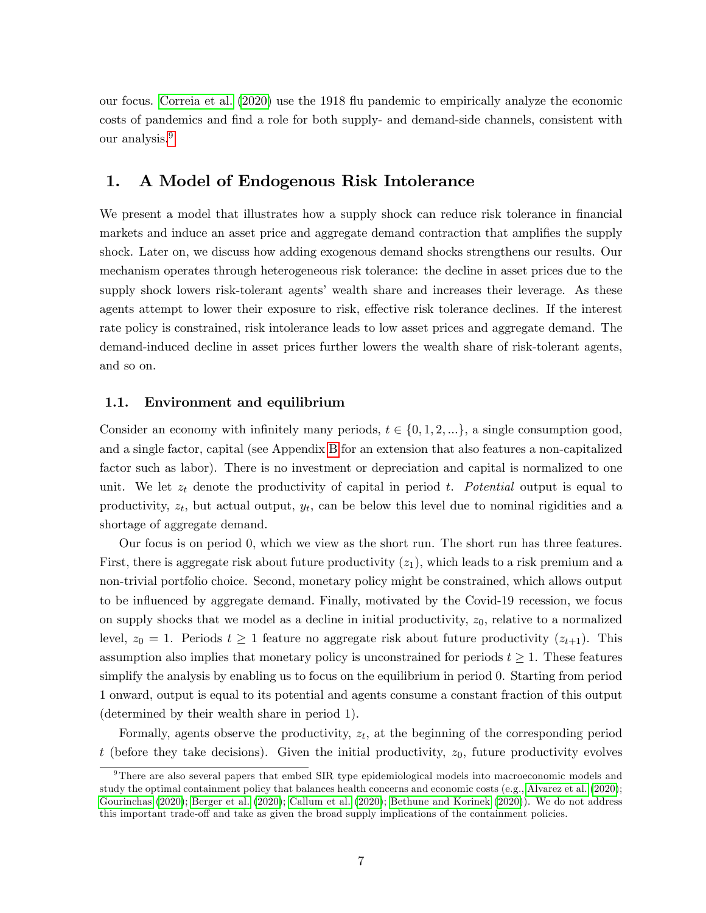our focus. [Correia et al.](#page-58-14) [\(2020\)](#page-58-14) use the 1918 áu pandemic to empirically analyze the economic costs of pandemics and find a role for both supply- and demand-side channels, consistent with our analysis.[9](#page-8-1)

## <span id="page-8-0"></span>1. A Model of Endogenous Risk Intolerance

We present a model that illustrates how a supply shock can reduce risk tolerance in financial markets and induce an asset price and aggregate demand contraction that amplifies the supply shock. Later on, we discuss how adding exogenous demand shocks strengthens our results. Our mechanism operates through heterogeneous risk tolerance: the decline in asset prices due to the supply shock lowers risk-tolerant agents' wealth share and increases their leverage. As these agents attempt to lower their exposure to risk, effective risk tolerance declines. If the interest rate policy is constrained, risk intolerance leads to low asset prices and aggregate demand. The demand-induced decline in asset prices further lowers the wealth share of risk-tolerant agents, and so on.

### 1.1. Environment and equilibrium

Consider an economy with infinitely many periods,  $t \in \{0, 1, 2, ...\}$ , a single consumption good, and a single factor, capital (see Appendix [B](#page-53-0) for an extension that also features a non-capitalized factor such as labor). There is no investment or depreciation and capital is normalized to one unit. We let  $z_t$  denote the productivity of capital in period t. Potential output is equal to productivity,  $z_t$ , but actual output,  $y_t$ , can be below this level due to nominal rigidities and a shortage of aggregate demand.

Our focus is on period 0, which we view as the short run. The short run has three features. First, there is aggregate risk about future productivity  $(z_1)$ , which leads to a risk premium and a non-trivial portfolio choice. Second, monetary policy might be constrained, which allows output to be influenced by aggregate demand. Finally, motivated by the Covid-19 recession, we focus on supply shocks that we model as a decline in initial productivity,  $z_0$ , relative to a normalized level,  $z_0 = 1$ . Periods  $t \ge 1$  feature no aggregate risk about future productivity  $(z_{t+1})$ . This assumption also implies that monetary policy is unconstrained for periods  $t \geq 1$ . These features simplify the analysis by enabling us to focus on the equilibrium in period 0. Starting from period 1 onward, output is equal to its potential and agents consume a constant fraction of this output (determined by their wealth share in period 1).

Formally, agents observe the productivity,  $z_t$ , at the beginning of the corresponding period t (before they take decisions). Given the initial productivity,  $z_0$ , future productivity evolves

<span id="page-8-1"></span><sup>&</sup>lt;sup>9</sup>There are also several papers that embed SIR type epidemiological models into macroeconomic models and study the optimal containment policy that balances health concerns and economic costs (e.g., [Alvarez et al.](#page-57-14) [\(2020\)](#page-57-14); [Gourinchas](#page-59-19) [\(2020\)](#page-59-19); [Berger et al.](#page-57-15) [\(2020\)](#page-57-15); [Callum et al.](#page-58-15) [\(2020\)](#page-58-15); [Bethune and Korinek](#page-57-16) [\(2020\)](#page-57-16)). We do not address this important trade-off and take as given the broad supply implications of the containment policies.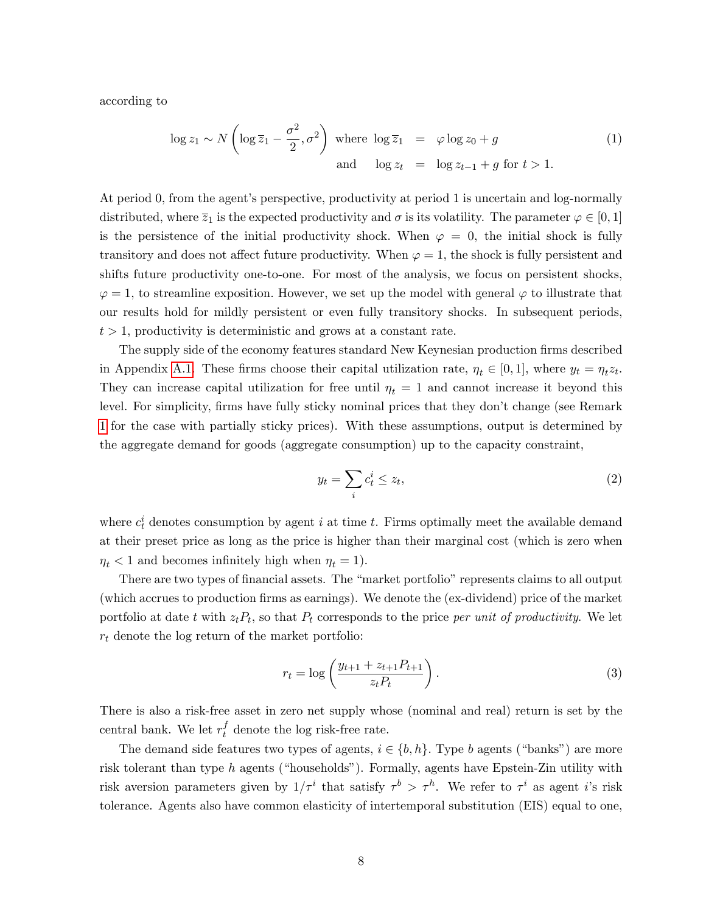according to

<span id="page-9-0"></span>
$$
\log z_1 \sim N\left(\log \overline{z}_1 - \frac{\sigma^2}{2}, \sigma^2\right) \text{ where } \log \overline{z}_1 = \varphi \log z_0 + g \tag{1}
$$
  
and 
$$
\log z_t = \log z_{t-1} + g \text{ for } t > 1.
$$

At period 0, from the agent's perspective, productivity at period 1 is uncertain and log-normally distributed, where  $\overline{z}_1$  is the expected productivity and  $\sigma$  is its volatility. The parameter  $\varphi \in [0,1]$ is the persistence of the initial productivity shock. When  $\varphi = 0$ , the initial shock is fully transitory and does not affect future productivity. When  $\varphi = 1$ , the shock is fully persistent and shifts future productivity one-to-one. For most of the analysis, we focus on persistent shocks,  $\varphi = 1$ , to streamline exposition. However, we set up the model with general  $\varphi$  to illustrate that our results hold for mildly persistent or even fully transitory shocks. In subsequent periods,  $t > 1$ , productivity is deterministic and grows at a constant rate.

The supply side of the economy features standard New Keynesian production firms described in Appendix [A.1.](#page-39-0) These firms choose their capital utilization rate,  $\eta_t \in [0, 1]$ , where  $y_t = \eta_t z_t$ . They can increase capital utilization for free until  $\eta_t = 1$  and cannot increase it beyond this level. For simplicity, firms have fully sticky nominal prices that they don't change (see Remark [1](#page-14-0) for the case with partially sticky prices). With these assumptions, output is determined by the aggregate demand for goods (aggregate consumption) up to the capacity constraint,

<span id="page-9-1"></span>
$$
y_t = \sum_i c_t^i \le z_t,\tag{2}
$$

where  $c_t^i$  denotes consumption by agent i at time t. Firms optimally meet the available demand at their preset price as long as the price is higher than their marginal cost (which is zero when  $\eta_t < 1$  and becomes infinitely high when  $\eta_t = 1$ ).

There are two types of financial assets. The "market portfolio" represents claims to all output (which accrues to production Örms as earnings). We denote the (ex-dividend) price of the market portfolio at date t with  $z_t P_t$ , so that  $P_t$  corresponds to the price per unit of productivity. We let  $r_t$  denote the log return of the market portfolio:

<span id="page-9-2"></span>
$$
r_t = \log\left(\frac{y_{t+1} + z_{t+1}P_{t+1}}{z_tP_t}\right).
$$
\n(3)

There is also a risk-free asset in zero net supply whose (nominal and real) return is set by the central bank. We let  $r_t^f$  denote the log risk-free rate.

The demand side features two types of agents,  $i \in \{b, h\}$ . Type b agents ("banks") are more risk tolerant than type  $h$  agents ("households"). Formally, agents have Epstein-Zin utility with risk aversion parameters given by  $1/\tau^i$  that satisfy  $\tau^b > \tau^h$ . We refer to  $\tau^i$  as agent *i*'s risk tolerance. Agents also have common elasticity of intertemporal substitution (EIS) equal to one,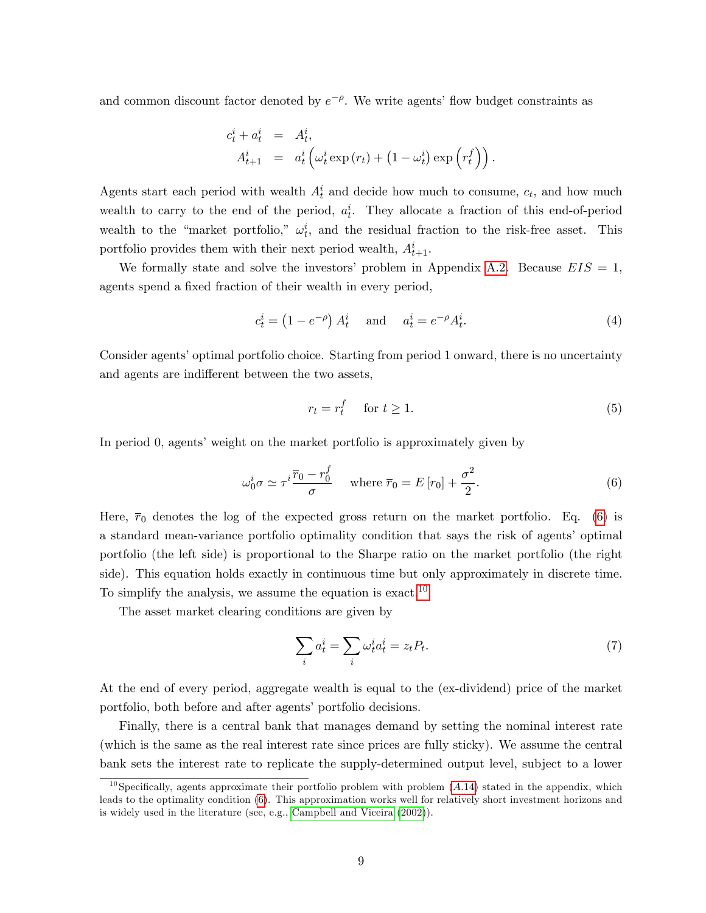and common discount factor denoted by  $e^{-\rho}$ . We write agents' flow budget constraints as

$$
c_t^i + a_t^i = A_t^i,
$$
  
\n
$$
A_{t+1}^i = a_t^i \left( \omega_t^i \exp(r_t) + (1 - \omega_t^i) \exp\left(r_t^f\right) \right).
$$

Agents start each period with wealth  $A_t^i$  and decide how much to consume,  $c_t$ , and how much wealth to carry to the end of the period,  $a_t^i$ . They allocate a fraction of this end-of-period wealth to the "market portfolio,"  $\omega_t^i$ , and the residual fraction to the risk-free asset. This portfolio provides them with their next period wealth,  $A_{t+1}^i$ .

We formally state and solve the investors' problem in Appendix [A.2.](#page-40-0) Because  $EIS = 1$ , agents spend a fixed fraction of their wealth in every period,

<span id="page-10-3"></span>
$$
c_t^i = \left(1 - e^{-\rho}\right) A_t^i \quad \text{and} \quad a_t^i = e^{-\rho} A_t^i. \tag{4}
$$

Consider agents' optimal portfolio choice. Starting from period 1 onward, there is no uncertainty and agents are indifferent between the two assets,

<span id="page-10-4"></span>
$$
r_t = r_t^f \quad \text{ for } t \ge 1. \tag{5}
$$

In period 0, agents' weight on the market portfolio is approximately given by

<span id="page-10-0"></span>
$$
\omega_0^i \sigma \simeq \tau^i \frac{\overline{r}_0 - r_0^f}{\sigma} \quad \text{where } \overline{r}_0 = E[r_0] + \frac{\sigma^2}{2}.
$$
 (6)

Here,  $\bar{r}_0$  denotes the log of the expected gross return on the market portfolio. Eq. [\(6\)](#page-10-0) is a standard mean-variance portfolio optimality condition that says the risk of agents' optimal portfolio (the left side) is proportional to the Sharpe ratio on the market portfolio (the right side). This equation holds exactly in continuous time but only approximately in discrete time. To simplify the analysis, we assume the equation is exact.<sup>[10](#page-10-1)</sup>

The asset market clearing conditions are given by

<span id="page-10-2"></span>
$$
\sum_{i} a_t^i = \sum_{i} \omega_t^i a_t^i = z_t P_t. \tag{7}
$$

At the end of every period, aggregate wealth is equal to the (ex-dividend) price of the market portfolio, both before and after agents' portfolio decisions.

Finally, there is a central bank that manages demand by setting the nominal interest rate (which is the same as the real interest rate since prices are fully sticky). We assume the central bank sets the interest rate to replicate the supply-determined output level, subject to a lower

<span id="page-10-1"></span><sup>&</sup>lt;sup>10</sup>Specifically, agents approximate their portfolio problem with problem  $(A.14)$  $(A.14)$  stated in the appendix, which leads to the optimality condition [\(6\)](#page-10-0). This approximation works well for relatively short investment horizons and is widely used in the literature (see, e.g., [Campbell and Viceira](#page-58-16) [\(2002\)](#page-58-16)).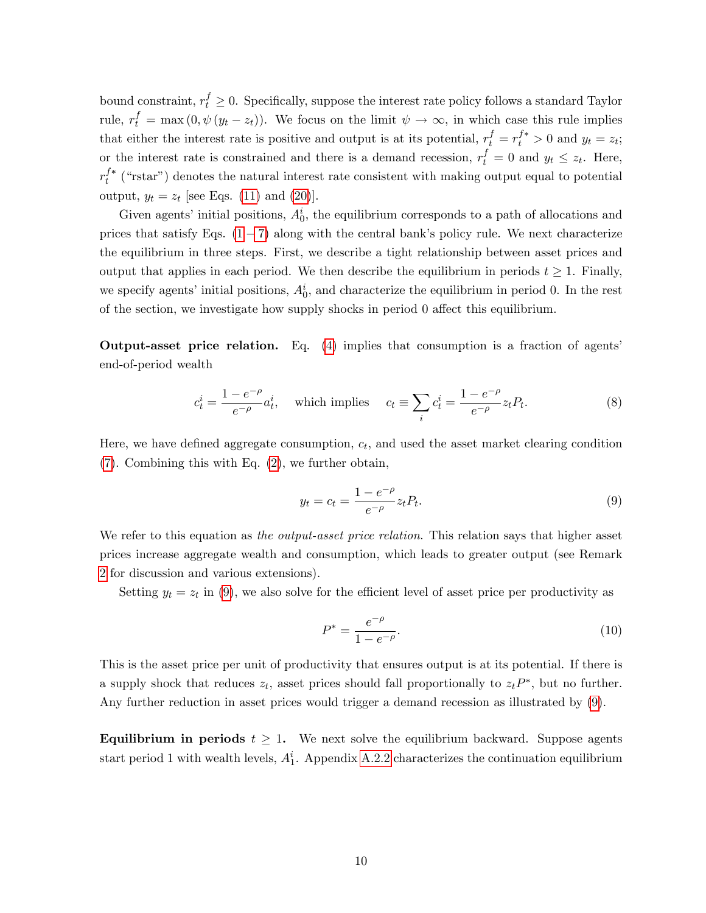bound constraint,  $r_t^f \geq 0$ . Specifically, suppose the interest rate policy follows a standard Taylor rule,  $r_t^f = \max(0, \psi(y_t - z_t))$ . We focus on the limit  $\psi \to \infty$ , in which case this rule implies that either the interest rate is positive and output is at its potential,  $r_t^f = r_t^{f*} > 0$  and  $y_t = z_t$ ; or the interest rate is constrained and there is a demand recession,  $r_t^f = 0$  and  $y_t \le z_t$ . Here,  $r_t^{f*}$  ("rstar") denotes the natural interest rate consistent with making output equal to potential output,  $y_t = z_t$  [see Eqs. [\(11\)](#page-12-0) and [\(20\)](#page-15-0)].

Given agents' initial positions,  $A_0^i$ , the equilibrium corresponds to a path of allocations and prices that satisfy Eqs.  $(1 - 7)$  $(1 - 7)$  $(1 - 7)$  along with the central bank's policy rule. We next characterize the equilibrium in three steps. First, we describe a tight relationship between asset prices and output that applies in each period. We then describe the equilibrium in periods  $t \geq 1$ . Finally, we specify agents' initial positions,  $A_0^i$ , and characterize the equilibrium in period 0. In the rest of the section, we investigate how supply shocks in period  $\theta$  affect this equilibrium.

Output-asset price relation. Eq. [\(4\)](#page-10-3) implies that consumption is a fraction of agentsí end-of-period wealth

<span id="page-11-1"></span>
$$
c_t^i = \frac{1 - e^{-\rho}}{e^{-\rho}} a_t^i, \quad \text{which implies} \quad c_t \equiv \sum_i c_t^i = \frac{1 - e^{-\rho}}{e^{-\rho}} z_t P_t. \tag{8}
$$

Here, we have defined aggregate consumption,  $c_t$ , and used the asset market clearing condition [\(7\)](#page-10-2). Combining this with Eq. [\(2\)](#page-9-1), we further obtain,

<span id="page-11-0"></span>
$$
y_t = c_t = \frac{1 - e^{-\rho}}{e^{-\rho}} z_t P_t.
$$
\n(9)

We refer to this equation as the output-asset price relation. This relation says that higher asset prices increase aggregate wealth and consumption, which leads to greater output (see Remark [2](#page-15-1) for discussion and various extensions).

Setting  $y_t = z_t$  in [\(9\)](#page-11-0), we also solve for the efficient level of asset price per productivity as

<span id="page-11-2"></span>
$$
P^* = \frac{e^{-\rho}}{1 - e^{-\rho}}.\tag{10}
$$

This is the asset price per unit of productivity that ensures output is at its potential. If there is a supply shock that reduces  $z_t$ , asset prices should fall proportionally to  $z_t P^*$ , but no further. Any further reduction in asset prices would trigger a demand recession as illustrated by [\(9\)](#page-11-0).

**Equilibrium in periods**  $t \geq 1$ . We next solve the equilibrium backward. Suppose agents start period 1 with wealth levels,  $A_1^i$ . Appendix [A.2.2](#page-40-1) characterizes the continuation equilibrium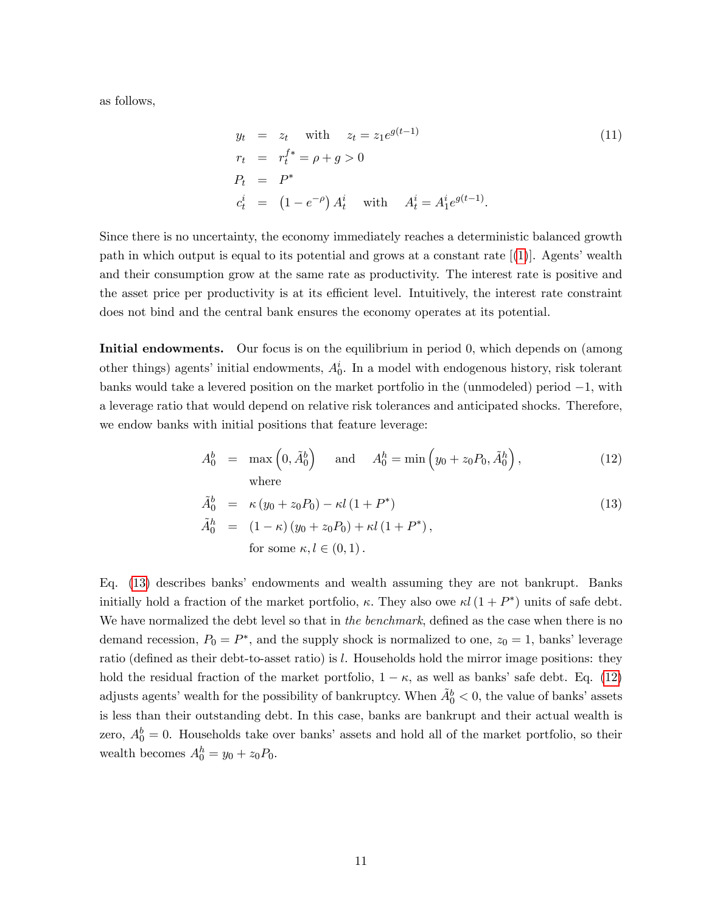as follows,

<span id="page-12-0"></span>
$$
y_t = z_t \text{ with } z_t = z_1 e^{g(t-1)}\n r_t = r_t^{f*} = \rho + g > 0\n P_t = P^*\n c_t^i = (1 - e^{-\rho}) A_t^i \text{ with } A_t^i = A_1^i e^{g(t-1)}.
$$
\n(11)

Since there is no uncertainty, the economy immediately reaches a deterministic balanced growth path in which output is equal to its potential and grows at a constant rate  $[1]$ . Agents' wealth and their consumption grow at the same rate as productivity. The interest rate is positive and the asset price per productivity is at its efficient level. Intuitively, the interest rate constraint does not bind and the central bank ensures the economy operates at its potential.

Initial endowments. Our focus is on the equilibrium in period 0, which depends on (among other things) agents' initial endowments,  $A_0^i$ . In a model with endogenous history, risk tolerant banks would take a levered position on the market portfolio in the (unmodeled) period  $-1$ , with a leverage ratio that would depend on relative risk tolerances and anticipated shocks. Therefore, we endow banks with initial positions that feature leverage:

<span id="page-12-1"></span>
$$
A_0^b = \max\left(0, \tilde{A}_0^b\right) \quad \text{and} \quad A_0^h = \min\left(y_0 + z_0 P_0, \tilde{A}_0^h\right),\tag{12}
$$
  
where

$$
\tilde{A}_0^b = \kappa (y_0 + z_0 P_0) - \kappa l (1 + P^*)
$$
\n
$$
\tilde{A}_0^h = (1 - \kappa) (y_0 + z_0 P_0) + \kappa l (1 + P^*),
$$
\nfor some  $\kappa, l \in (0, 1)$ .

Eq. [\(13\)](#page-12-1) describes banksí endowments and wealth assuming they are not bankrupt. Banks initially hold a fraction of the market portfolio,  $\kappa$ . They also owe  $\kappa l$  (1 + P<sup>\*</sup>) units of safe debt. We have normalized the debt level so that in the benchmark, defined as the case when there is no demand recession,  $P_0 = P^*$ , and the supply shock is normalized to one,  $z_0 = 1$ , banks' leverage ratio (defined as their debt-to-asset ratio) is  $l$ . Households hold the mirror image positions: they hold the residual fraction of the market portfolio,  $1 - \kappa$ , as well as banks' safe debt. Eq. [\(12\)](#page-12-1) adjusts agents' wealth for the possibility of bankruptcy. When  $\tilde{A}^b_0 < 0$ , the value of banks' assets is less than their outstanding debt. In this case, banks are bankrupt and their actual wealth is zero,  $A_0^b = 0$ . Households take over banks' assets and hold all of the market portfolio, so their wealth becomes  $A_0^h = y_0 + z_0 P_0$ .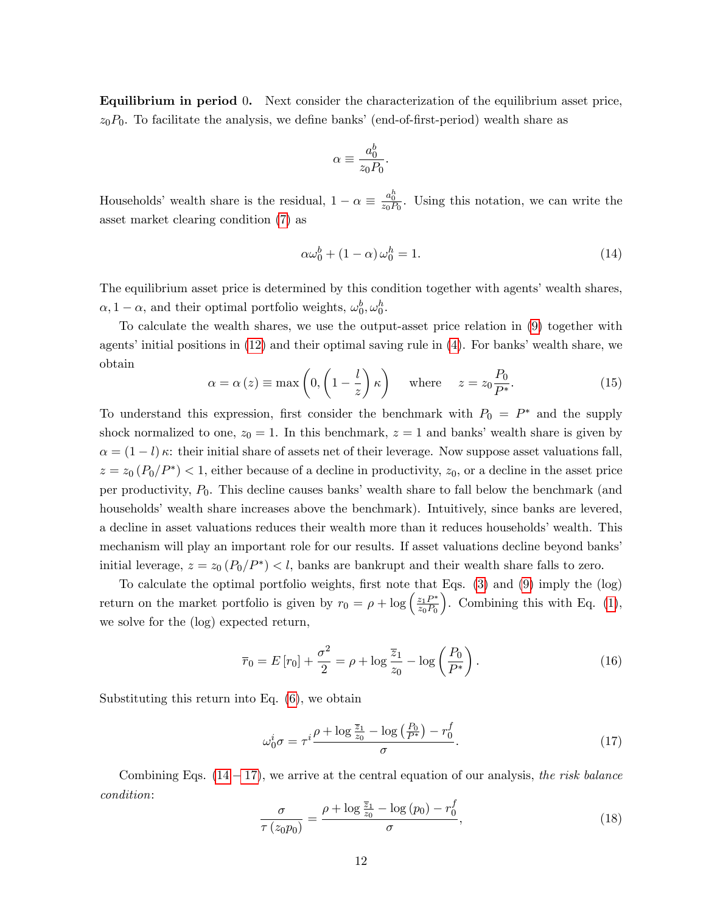Equilibrium in period 0. Next consider the characterization of the equilibrium asset price,  $z_0P_0$ . To facilitate the analysis, we define banks' (end-of-first-period) wealth share as

$$
\alpha \equiv \frac{a_0^b}{z_0P_0}.
$$

Households' wealth share is the residual,  $1 - \alpha \equiv \frac{a_0^h}{z_0 P_0}$ . Using this notation, we can write the asset market clearing condition [\(7\)](#page-10-2) as

<span id="page-13-0"></span>
$$
\alpha \omega_0^b + (1 - \alpha) \omega_0^h = 1. \tag{14}
$$

The equilibrium asset price is determined by this condition together with agents' wealth shares,  $\alpha$ , 1 –  $\alpha$ , and their optimal portfolio weights,  $\omega_0^b, \omega_0^h$ .

To calculate the wealth shares, we use the output-asset price relation in [\(9\)](#page-11-0) together with agents' initial positions in  $(12)$  and their optimal saving rule in  $(4)$ . For banks' wealth share, we obtain

<span id="page-13-3"></span>
$$
\alpha = \alpha(z) \equiv \max\left(0, \left(1 - \frac{l}{z}\right)\kappa\right) \quad \text{where} \quad z = z_0 \frac{P_0}{P^*}.\tag{15}
$$

To understand this expression, first consider the benchmark with  $P_0 = P^*$  and the supply shock normalized to one,  $z_0 = 1$ . In this benchmark,  $z = 1$  and banks' wealth share is given by  $\alpha = (1 - l) \kappa$ : their initial share of assets net of their leverage. Now suppose asset valuations fall,  $z = z_0 (P_0/P^*)$  < 1, either because of a decline in productivity,  $z_0$ , or a decline in the asset price per productivity,  $P_0$ . This decline causes banks' wealth share to fall below the benchmark (and households' wealth share increases above the benchmark). Intuitively, since banks are levered, a decline in asset valuations reduces their wealth more than it reduces households' wealth. This mechanism will play an important role for our results. If asset valuations decline beyond banks' initial leverage,  $z = z_0 (P_0/P^*) < l$ , banks are bankrupt and their wealth share falls to zero.

To calculate the optimal portfolio weights, first note that Eqs.  $(3)$  and  $(9)$  imply the  $(\log)$ return on the market portfolio is given by  $r_0 = \rho + \log \left( \frac{z_1 P^*}{z_0 P_0} \right)$ ). Combining this with Eq.  $(1)$ , we solve for the (log) expected return,

<span id="page-13-4"></span>
$$
\bar{r}_0 = E[r_0] + \frac{\sigma^2}{2} = \rho + \log \frac{\bar{z}_1}{z_0} - \log \left(\frac{P_0}{P^*}\right). \tag{16}
$$

Substituting this return into Eq. [\(6\)](#page-10-0), we obtain

<span id="page-13-1"></span>
$$
\omega_0^i \sigma = \tau^i \frac{\rho + \log \frac{\overline{z}_1}{z_0} - \log \left(\frac{P_0}{P^*}\right) - r_0^f}{\sigma}.
$$
\n(17)

Combining Eqs.  $(14 - 17)$  $(14 - 17)$  $(14 - 17)$ , we arrive at the central equation of our analysis, the risk balance condition:

<span id="page-13-2"></span>
$$
\frac{\sigma}{\tau(z_0 p_0)} = \frac{\rho + \log \frac{\overline{z}_1}{z_0} - \log (p_0) - r_0^f}{\sigma},\tag{18}
$$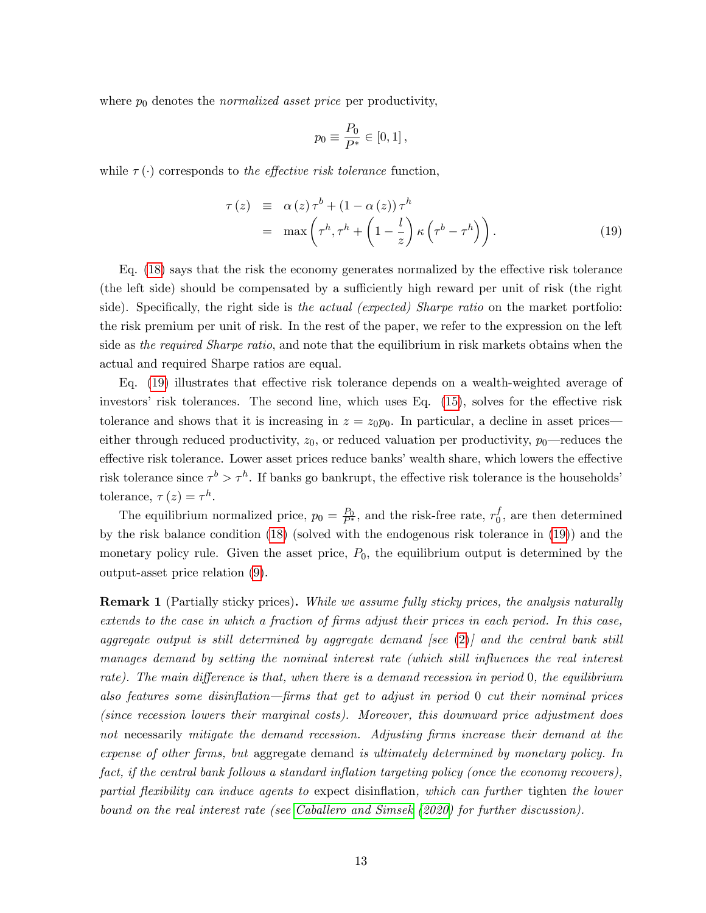where  $p_0$  denotes the *normalized asset price* per productivity,

$$
p_0 \equiv \frac{P_0}{P^*} \in [0,1],
$$

while  $\tau(\cdot)$  corresponds to the effective risk tolerance function,

<span id="page-14-1"></span>
$$
\tau(z) \equiv \alpha(z)\tau^{b} + (1 - \alpha(z))\tau^{h}
$$
  
=  $\max\left(\tau^{h}, \tau^{h} + \left(1 - \frac{l}{z}\right)\kappa\left(\tau^{b} - \tau^{h}\right)\right).$  (19)

Eq.  $(18)$  says that the risk the economy generates normalized by the effective risk tolerance (the left side) should be compensated by a sufficiently high reward per unit of risk (the right side). Specifically, the right side is the actual (expected) Sharpe ratio on the market portfolio: the risk premium per unit of risk. In the rest of the paper, we refer to the expression on the left side as the required Sharpe ratio, and note that the equilibrium in risk markets obtains when the actual and required Sharpe ratios are equal.

Eq.  $(19)$  illustrates that effective risk tolerance depends on a wealth-weighted average of investors' risk tolerances. The second line, which uses Eq.  $(15)$ , solves for the effective risk tolerance and shows that it is increasing in  $z = z_0 p_0$ . In particular, a decline in asset prices either through reduced productivity,  $z_0$ , or reduced valuation per productivity,  $p_0$ —reduces the effective risk tolerance. Lower asset prices reduce banks' wealth share, which lowers the effective risk tolerance since  $\tau^b > \tau^h$ . If banks go bankrupt, the effective risk tolerance is the households<sup>'</sup> tolerance,  $\tau(z) = \tau^h$ .

The equilibrium normalized price,  $p_0 = \frac{P_0}{P^*}$ , and the risk-free rate,  $r_0^f$  $_0^J$ , are then determined by the risk balance condition [\(18\)](#page-13-2) (solved with the endogenous risk tolerance in [\(19\)](#page-14-1)) and the monetary policy rule. Given the asset price,  $P_0$ , the equilibrium output is determined by the output-asset price relation [\(9\)](#page-11-0).

<span id="page-14-0"></span>**Remark 1** (Partially sticky prices). While we assume fully sticky prices, the analysis naturally extends to the case in which a fraction of firms adjust their prices in each period. In this case, aggregate output is still determined by aggregate demand [see  $(2)$ ] and the central bank still manages demand by setting the nominal interest rate (which still influences the real interest rate). The main difference is that, when there is a demand recession in period  $0$ , the equilibrium also features some disinflation—firms that get to adjust in period  $0$  cut their nominal prices (since recession lowers their marginal costs). Moreover, this downward price adjustment does not necessarily mitigate the demand recession. Adjusting firms increase their demand at the expense of other firms, but aggregate demand is ultimately determined by monetary policy. In fact, if the central bank follows a standard inflation targeting policy (once the economy recovers), partial flexibility can induce agents to expect disinflation, which can further tighten the lower bound on the real interest rate (see [Caballero and Simsek](#page-58-0) [\(2020\)](#page-58-0) for further discussion).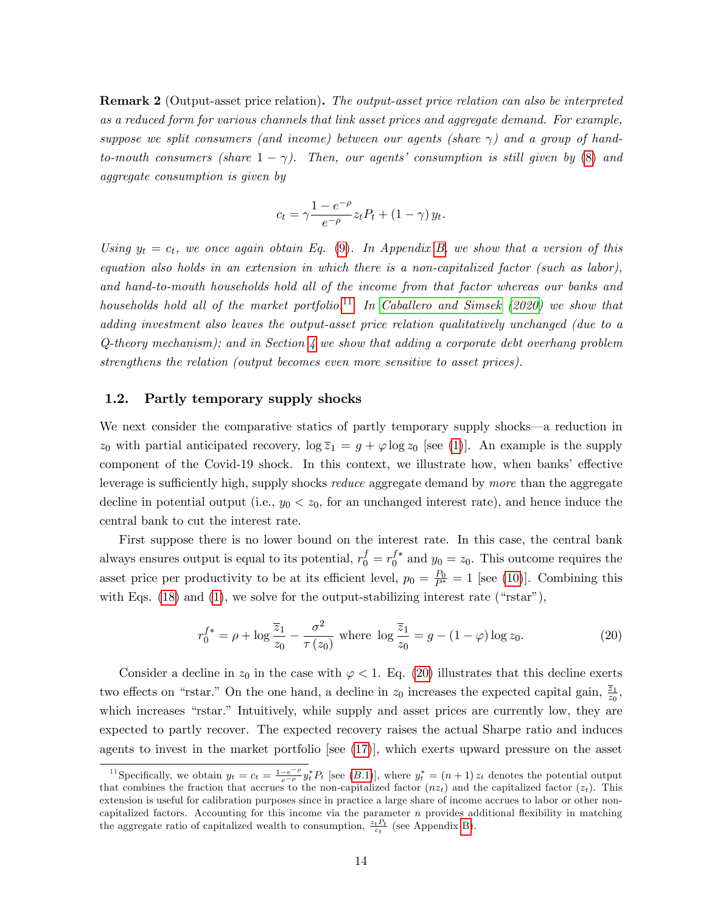<span id="page-15-1"></span>Remark 2 (Output-asset price relation). The output-asset price relation can also be interpreted as a reduced form for various channels that link asset prices and aggregate demand. For example, suppose we split consumers (and income) between our agents (share  $\gamma$ ) and a group of handto-mouth consumers (share  $1 - \gamma$ ). Then, our agents' consumption is still given by [\(8\)](#page-11-1) and aggregate consumption is given by

$$
c_t = \gamma \frac{1 - e^{-\rho}}{e^{-\rho}} z_t P_t + (1 - \gamma) y_t.
$$

Using  $y_t = c_t$ , we once again obtain Eq. [\(9\)](#page-11-0). In Appendix [B,](#page-53-0) we show that a version of this equation also holds in an extension in which there is a non-capitalized factor (such as labor), and hand-to-mouth households hold all of the income from that factor whereas our banks and households hold all of the market portfolio.<sup>[11](#page-15-2)</sup> In [Caballero and Simsek](#page-58-0) [\(2020\)](#page-58-0) we show that adding investment also leaves the output-asset price relation qualitatively unchanged (due to a  $Q$ -theory mechanism); and in Section [4](#page-33-0) we show that adding a corporate debt overhang problem strengthens the relation (output becomes even more sensitive to asset prices).

### <span id="page-15-3"></span>1.2. Partly temporary supply shocks

We next consider the comparative statics of partly temporary supply shocks—a reduction in  $z_0$  with partial anticipated recovery,  $\log \overline{z}_1 = g + \varphi \log z_0$  [see [\(1\)](#page-9-0)]. An example is the supply component of the Covid-19 shock. In this context, we illustrate how, when banks' effective leverage is sufficiently high, supply shocks *reduce* aggregate demand by more than the aggregate decline in potential output (i.e.,  $y_0 < z_0$ , for an unchanged interest rate), and hence induce the central bank to cut the interest rate.

First suppose there is no lower bound on the interest rate. In this case, the central bank always ensures output is equal to its potential,  $r_0^f = r_0^{f*}$  and  $y_0 = z_0$ . This outcome requires the asset price per productivity to be at its efficient level,  $p_0 = \frac{P_0}{P^*} = 1$  [see [\(10\)](#page-11-2)]. Combining this with Eqs.  $(18)$  and  $(1)$ , we solve for the output-stabilizing interest rate ("rstar"),

<span id="page-15-0"></span>
$$
r_0^{f*} = \rho + \log \frac{\overline{z}_1}{z_0} - \frac{\sigma^2}{\tau(z_0)} \text{ where } \log \frac{\overline{z}_1}{z_0} = g - (1 - \varphi) \log z_0. \tag{20}
$$

Consider a decline in  $z_0$  in the case with  $\varphi < 1$ . Eq. [\(20\)](#page-15-0) illustrates that this decline exerts two effects on "rstar." On the one hand, a decline in  $z_0$  increases the expected capital gain,  $\frac{\overline{z}_1}{z_0}$ , which increases "rstar." Intuitively, while supply and asset prices are currently low, they are expected to partly recover. The expected recovery raises the actual Sharpe ratio and induces agents to invest in the market portfolio [see [\(17\)](#page-13-1)], which exerts upward pressure on the asset

<span id="page-15-2"></span><sup>&</sup>lt;sup>11</sup>Specifically, we obtain  $y_t = c_t = \frac{1-e^{-\rho}}{e^{-\rho}} y_t^* P_t$  [see (B.1)], where  $y_t^* = (n+1) z_t$  denotes the potential output that combines the fraction that accrues to the non-capitalized factor  $(nz_t)$  and the capitalized factor  $(z_t)$ . This extension is useful for calibration purposes since in practice a large share of income accrues to labor or other noncapitalized factors. Accounting for this income via the parameter  $n$  provides additional flexibility in matching the aggregate ratio of capitalized wealth to consumption,  $\frac{z_t P_t}{c_t}$  (see Appendix [B\)](#page-53-0).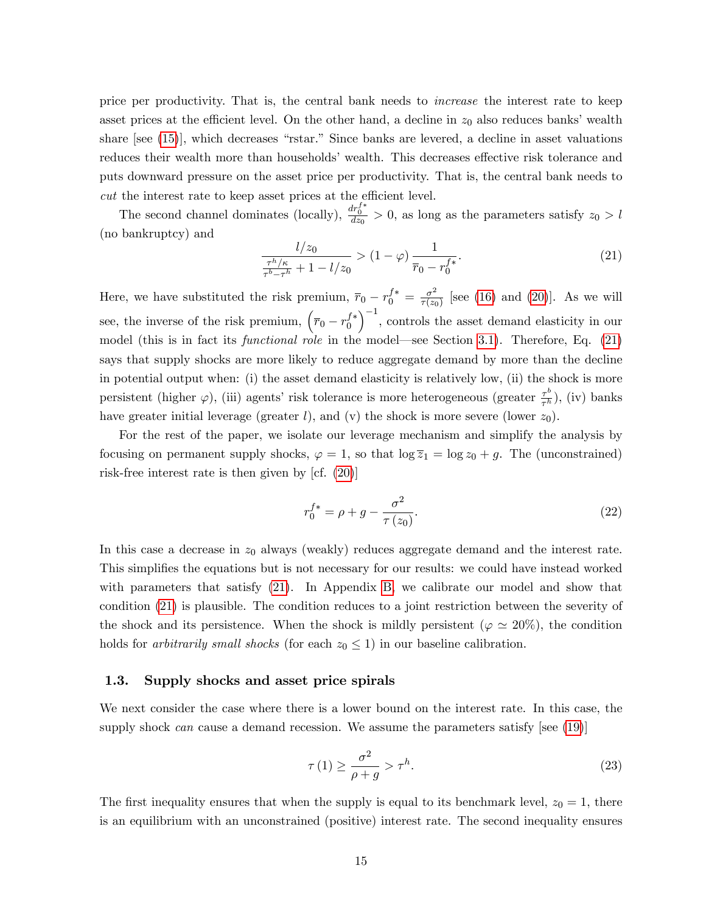price per productivity. That is, the central bank needs to increase the interest rate to keep asset prices at the efficient level. On the other hand, a decline in  $z_0$  also reduces banks' wealth share [see  $(15)$ ], which decreases "rstar." Since banks are levered, a decline in asset valuations reduces their wealth more than households' wealth. This decreases effective risk tolerance and puts downward pressure on the asset price per productivity. That is, the central bank needs to  $cut$  the interest rate to keep asset prices at the efficient level.

The second channel dominates (locally),  $\frac{dr_0^{f*}}{dz_0} > 0$ , as long as the parameters satisfy  $z_0 > l$ (no bankruptcy) and

<span id="page-16-1"></span>
$$
\frac{l/z_0}{\frac{\tau^h/\kappa}{\tau^b - \tau^h} + 1 - l/z_0} > (1 - \varphi) \frac{1}{\overline{r}_0 - r_0^{f*}}.\tag{21}
$$

Here, we have substituted the risk premium,  $\bar{r}_0 - r_0^{f*} = \frac{\sigma^2}{\tau(z_0)}$  $\frac{\sigma^2}{\tau(z_0)}$  [see [\(16\)](#page-13-4) and [\(20\)](#page-15-0)]. As we will see, the inverse of the risk premium,  $(\bar{r}_0 - r_0^{f*})$  $\big)^{-1}$ , controls the asset demand elasticity in our model (this is in fact its *functional role* in the model—see Section [3.1\)](#page-26-0). Therefore, Eq.  $(21)$ says that supply shocks are more likely to reduce aggregate demand by more than the decline in potential output when: (i) the asset demand elasticity is relatively low, (ii) the shock is more persistent (higher  $\varphi$ ), (iii) agents' risk tolerance is more heterogeneous (greater  $\frac{\tau^b}{\tau^b}$  $\frac{\tau^{\circ}}{\tau^h}$ ), (iv) banks have greater initial leverage (greater  $l$ ), and (v) the shock is more severe (lower  $z_0$ ).

For the rest of the paper, we isolate our leverage mechanism and simplify the analysis by focusing on permanent supply shocks,  $\varphi = 1$ , so that  $\log \overline{z}_1 = \log z_0 + g$ . The (unconstrained) risk-free interest rate is then given by [cf. [\(20\)](#page-15-0)]

<span id="page-16-3"></span>
$$
r_0^{f*} = \rho + g - \frac{\sigma^2}{\tau(z_0)}.
$$
\n(22)

In this case a decrease in  $z_0$  always (weakly) reduces aggregate demand and the interest rate. This simplifies the equations but is not necessary for our results: we could have instead worked with parameters that satisfy [\(21\)](#page-16-1). In Appendix [B,](#page-53-0) we calibrate our model and show that condition [\(21\)](#page-16-1) is plausible. The condition reduces to a joint restriction between the severity of the shock and its persistence. When the shock is mildly persistent ( $\varphi \simeq 20\%$ ), the condition holds for *arbitrarily small shocks* (for each  $z_0 \leq 1$ ) in our baseline calibration.

### <span id="page-16-0"></span>1.3. Supply shocks and asset price spirals

We next consider the case where there is a lower bound on the interest rate. In this case, the supply shock can cause a demand recession. We assume the parameters satisfy [see  $(19)$ ]

<span id="page-16-2"></span>
$$
\tau(1) \ge \frac{\sigma^2}{\rho + g} > \tau^h. \tag{23}
$$

The first inequality ensures that when the supply is equal to its benchmark level,  $z_0 = 1$ , there is an equilibrium with an unconstrained (positive) interest rate. The second inequality ensures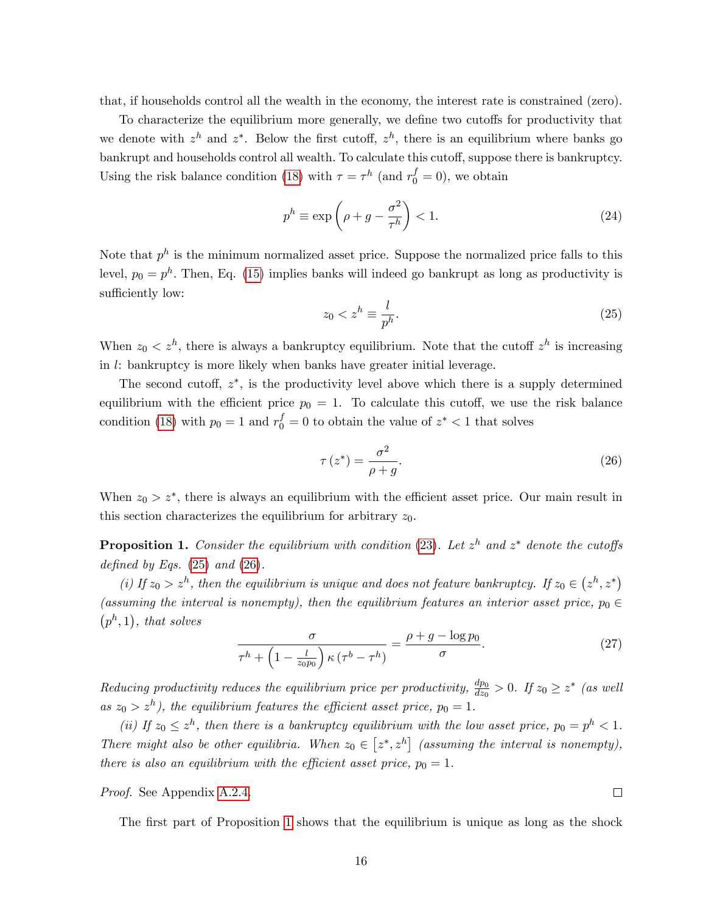that, if households control all the wealth in the economy, the interest rate is constrained (zero).

To characterize the equilibrium more generally, we define two cutoffs for productivity that we denote with  $z^h$  and  $z^*$ . Below the first cutoff,  $z^h$ , there is an equilibrium where banks go bankrupt and households control all wealth. To calculate this cutoff, suppose there is bankruptcy. Using the risk balance condition [\(18\)](#page-13-2) with  $\tau = \tau^h$  (and  $r_0^f = 0$ ), we obtain

<span id="page-17-4"></span>
$$
p^h \equiv \exp\left(\rho + g - \frac{\sigma^2}{\tau^h}\right) < 1. \tag{24}
$$

Note that  $p^h$  is the minimum normalized asset price. Suppose the normalized price falls to this level,  $p_0 = p^h$ . Then, Eq. [\(15\)](#page-13-3) implies banks will indeed go bankrupt as long as productivity is sufficiently low:

<span id="page-17-0"></span>
$$
z_0 < z^h \equiv \frac{l}{p^h}.\tag{25}
$$

When  $z_0 < z^h$ , there is always a bankruptcy equilibrium. Note that the cutoff  $z^h$  is increasing in l: bankruptcy is more likely when banks have greater initial leverage.

The second cutoff,  $z^*$ , is the productivity level above which there is a supply determined equilibrium with the efficient price  $p_0 = 1$ . To calculate this cutoff, we use the risk balance condition [\(18\)](#page-13-2) with  $p_0 = 1$  and  $r_0^f = 0$  to obtain the value of  $z^* < 1$  that solves

<span id="page-17-1"></span>
$$
\tau(z^*) = \frac{\sigma^2}{\rho + g}.\tag{26}
$$

When  $z_0 > z^*$ , there is always an equilibrium with the efficient asset price. Our main result in this section characterizes the equilibrium for arbitrary  $z_0$ .

<span id="page-17-2"></span>**Proposition 1.** Consider the equilibrium with condition [\(23\)](#page-16-2). Let  $z^h$  and  $z^*$  denote the cutoffs defined by Eqs.  $(25)$  and  $(26)$ .

(i) If  $z_0 > z^h$ , then the equilibrium is unique and does not feature bankruptcy. If  $z_0 \in (z^h, z^*)$ (assuming the interval is nonempty), then the equilibrium features an interior asset price,  $p_0 \in$  $(p<sup>h</sup>, 1)$ , that solves

<span id="page-17-3"></span>
$$
\frac{\sigma}{\tau^h + \left(1 - \frac{l}{z_0 p_0}\right) \kappa \left(\tau^b - \tau^h\right)} = \frac{\rho + g - \log p_0}{\sigma}.
$$
\n(27)

Reducing productivity reduces the equilibrium price per productivity,  $\frac{dp_0}{dz_0} > 0$ . If  $z_0 \geq z^*$  (as well as  $z_0 > z^h$ ), the equilibrium features the efficient asset price,  $p_0 = 1$ .

(ii) If  $z_0 \leq z^h$ , then there is a bankruptcy equilibrium with the low asset price,  $p_0 = p^h < 1$ . There might also be other equilibria. When  $z_0 \in [z^*, z^h]$  (assuming the interval is nonempty), there is also an equilibrium with the efficient asset price,  $p_0 = 1$ .

Proof. See Appendix [A.2.4.](#page-42-1)

The first part of Proposition [1](#page-17-2) shows that the equilibrium is unique as long as the shock

 $\Box$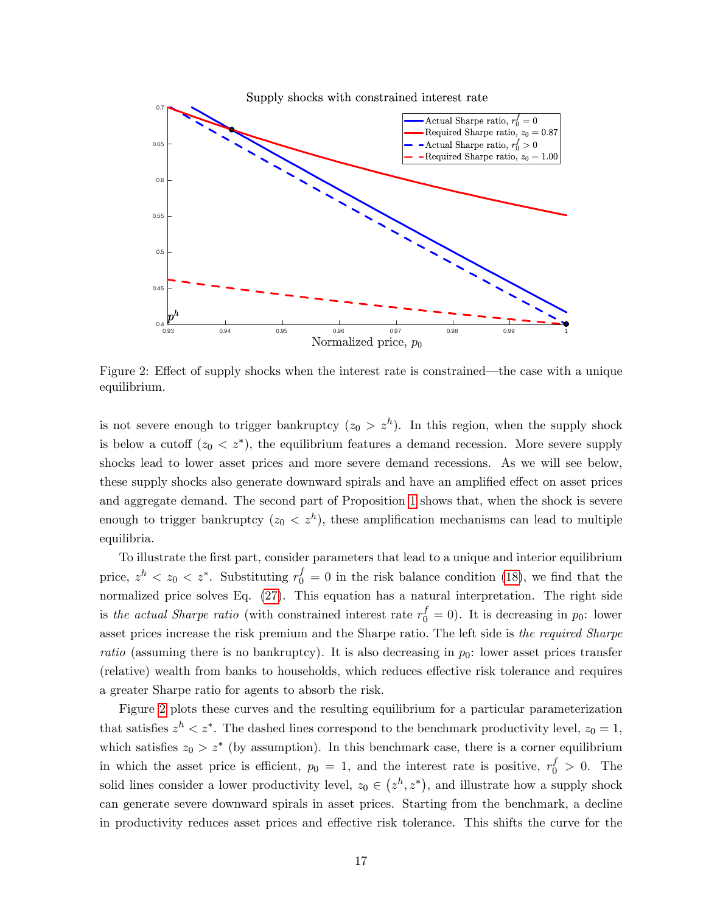

<span id="page-18-0"></span>Figure 2: Effect of supply shocks when the interest rate is constrained—the case with a unique equilibrium.

is not severe enough to trigger bankruptcy  $(z_0 > z^h)$ . In this region, when the supply shock is below a cutoff  $(z_0 < z^*)$ , the equilibrium features a demand recession. More severe supply shocks lead to lower asset prices and more severe demand recessions. As we will see below, these supply shocks also generate downward spirals and have an amplified effect on asset prices and aggregate demand. The second part of Proposition [1](#page-17-2) shows that, when the shock is severe enough to trigger bankruptcy  $(z_0 < z^h)$ , these amplification mechanisms can lead to multiple equilibria.

To illustrate the Örst part, consider parameters that lead to a unique and interior equilibrium price,  $z^h < z_0 < z^*$ . Substituting  $r_0^f = 0$  in the risk balance condition [\(18\)](#page-13-2), we find that the normalized price solves Eq.  $(27)$ . This equation has a natural interpretation. The right side is the actual Sharpe ratio (with constrained interest rate  $r_0^f = 0$ ). It is decreasing in  $p_0$ : lower asset prices increase the risk premium and the Sharpe ratio. The left side is the required Sharpe ratio (assuming there is no bankruptcy). It is also decreasing in  $p_0$ : lower asset prices transfer (relative) wealth from banks to households, which reduces effective risk tolerance and requires a greater Sharpe ratio for agents to absorb the risk.

Figure [2](#page-18-0) plots these curves and the resulting equilibrium for a particular parameterization that satisfies  $z^h < z^*$ . The dashed lines correspond to the benchmark productivity level,  $z_0 = 1$ , which satisfies  $z_0 > z^*$  (by assumption). In this benchmark case, there is a corner equilibrium in which the asset price is efficient,  $p_0 = 1$ , and the interest rate is positive,  $r_0^f > 0$ . The solid lines consider a lower productivity level,  $z_0 \in (z^h, z^*)$ , and illustrate how a supply shock can generate severe downward spirals in asset prices. Starting from the benchmark, a decline in productivity reduces asset prices and effective risk tolerance. This shifts the curve for the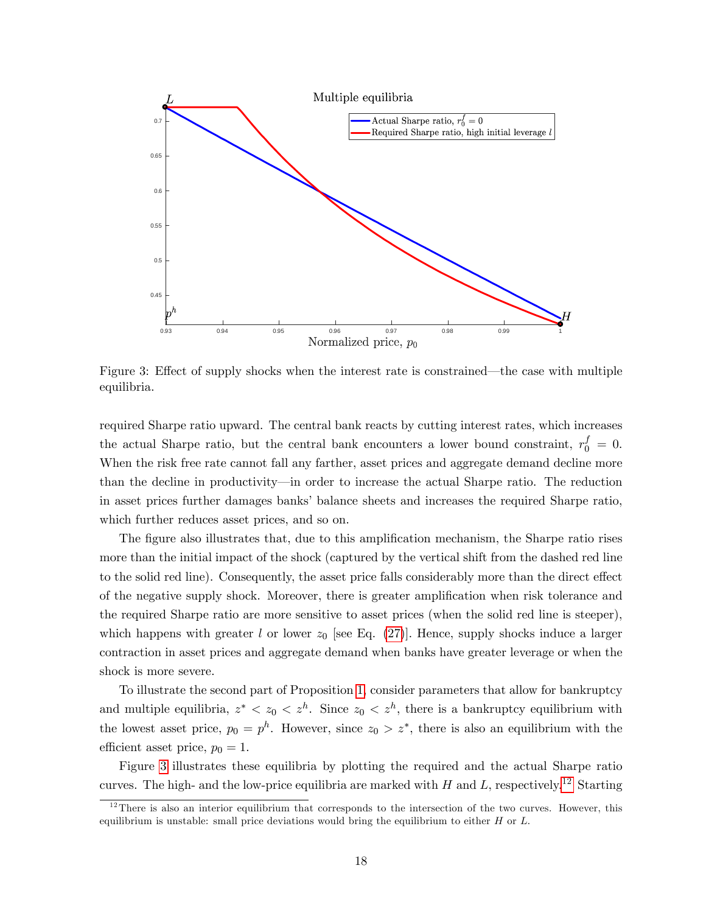

<span id="page-19-0"></span>Figure 3: Effect of supply shocks when the interest rate is constrained—the case with multiple equilibria.

required Sharpe ratio upward. The central bank reacts by cutting interest rates, which increases the actual Sharpe ratio, but the central bank encounters a lower bound constraint,  $r_0^f = 0$ . When the risk free rate cannot fall any farther, asset prices and aggregate demand decline more than the decline in productivity—in order to increase the actual Sharpe ratio. The reduction in asset prices further damages banks' balance sheets and increases the required Sharpe ratio, which further reduces asset prices, and so on.

The figure also illustrates that, due to this amplification mechanism, the Sharpe ratio rises more than the initial impact of the shock (captured by the vertical shift from the dashed red line to the solid red line). Consequently, the asset price falls considerably more than the direct effect of the negative supply shock. Moreover, there is greater amplification when risk tolerance and the required Sharpe ratio are more sensitive to asset prices (when the solid red line is steeper), which happens with greater l or lower  $z_0$  [see Eq. [\(27\)](#page-17-3)]. Hence, supply shocks induce a larger contraction in asset prices and aggregate demand when banks have greater leverage or when the shock is more severe.

To illustrate the second part of Proposition [1,](#page-17-2) consider parameters that allow for bankruptcy and multiple equilibria,  $z^* < z_0 < z^h$ . Since  $z_0 < z^h$ , there is a bankruptcy equilibrium with the lowest asset price,  $p_0 = p^h$ . However, since  $z_0 > z^*$ , there is also an equilibrium with the efficient asset price,  $p_0 = 1$ .

Figure [3](#page-19-0) illustrates these equilibria by plotting the required and the actual Sharpe ratio curves. The high- and the low-price equilibria are marked with H and L, respectively.<sup>[12](#page-19-1)</sup> Starting

<span id="page-19-1"></span> $12$ There is also an interior equilibrium that corresponds to the intersection of the two curves. However, this equilibrium is unstable: small price deviations would bring the equilibrium to either  $H$  or  $L$ .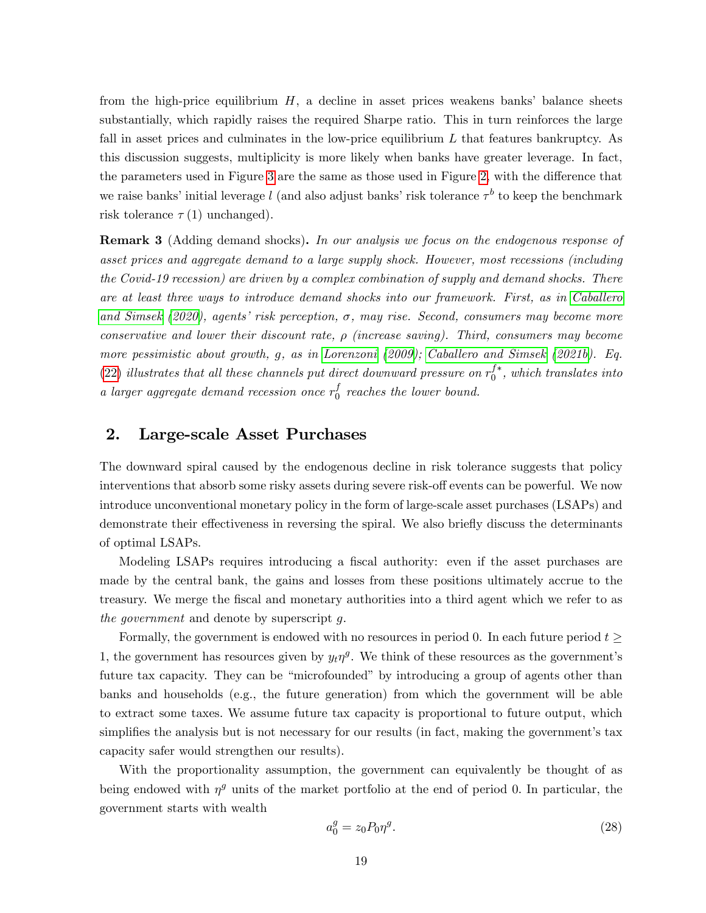from the high-price equilibrium  $H$ , a decline in asset prices weakens banks' balance sheets substantially, which rapidly raises the required Sharpe ratio. This in turn reinforces the large fall in asset prices and culminates in the low-price equilibrium  $L$  that features bankruptcy. As this discussion suggests, multiplicity is more likely when banks have greater leverage. In fact, the parameters used in Figure [3](#page-19-0) are the same as those used in Figure [2,](#page-18-0) with the difference that we raise banks' initial leverage l (and also adjust banks' risk tolerance  $\tau^b$  to keep the benchmark risk tolerance  $\tau(1)$  unchanged).

<span id="page-20-0"></span>**Remark 3** (Adding demand shocks). In our analysis we focus on the endogenous response of asset prices and aggregate demand to a large supply shock. However, most recessions (including the Covid-19 recession) are driven by a complex combination of supply and demand shocks. There are at least three ways to introduce demand shocks into our framework. First, as in [Caballero](#page-58-0) [and Simsek](#page-58-0) [\(2020\)](#page-58-0), agents' risk perception,  $\sigma$ , may rise. Second, consumers may become more conservative and lower their discount rate,  $\rho$  (increase saving). Third, consumers may become more pessimistic about growth, g, as in [Lorenzoni](#page-60-16) [\(2009\)](#page-60-16); [Caballero and Simsek](#page-58-7) [\(2021b\)](#page-58-7). Eq. [\(22\)](#page-16-3) illustrates that all these channels put direct downward pressure on  $r_0^{f*}$ , which translates into a larger aggregate demand recession once  $r_0^f$  $\int_0^J$  reaches the lower bound.

# <span id="page-20-1"></span>2. Large-scale Asset Purchases

The downward spiral caused by the endogenous decline in risk tolerance suggests that policy interventions that absorb some risky assets during severe risk-off events can be powerful. We now introduce unconventional monetary policy in the form of large-scale asset purchases (LSAPs) and demonstrate their effectiveness in reversing the spiral. We also briefly discuss the determinants of optimal LSAPs.

Modeling LSAPs requires introducing a fiscal authority: even if the asset purchases are made by the central bank, the gains and losses from these positions ultimately accrue to the treasury. We merge the Öscal and monetary authorities into a third agent which we refer to as the government and denote by superscript g.

Formally, the government is endowed with no resources in period 0. In each future period  $t \geq$ 1, the government has resources given by  $y_t \eta^g$ . We think of these resources as the government's future tax capacity. They can be "microfounded" by introducing a group of agents other than banks and households (e.g., the future generation) from which the government will be able to extract some taxes. We assume future tax capacity is proportional to future output, which simplifies the analysis but is not necessary for our results (in fact, making the government's tax capacity safer would strengthen our results).

With the proportionality assumption, the government can equivalently be thought of as being endowed with  $\eta^g$  units of the market portfolio at the end of period 0. In particular, the government starts with wealth

<span id="page-20-2"></span>
$$
a_0^g = z_0 P_0 \eta^g. \tag{28}
$$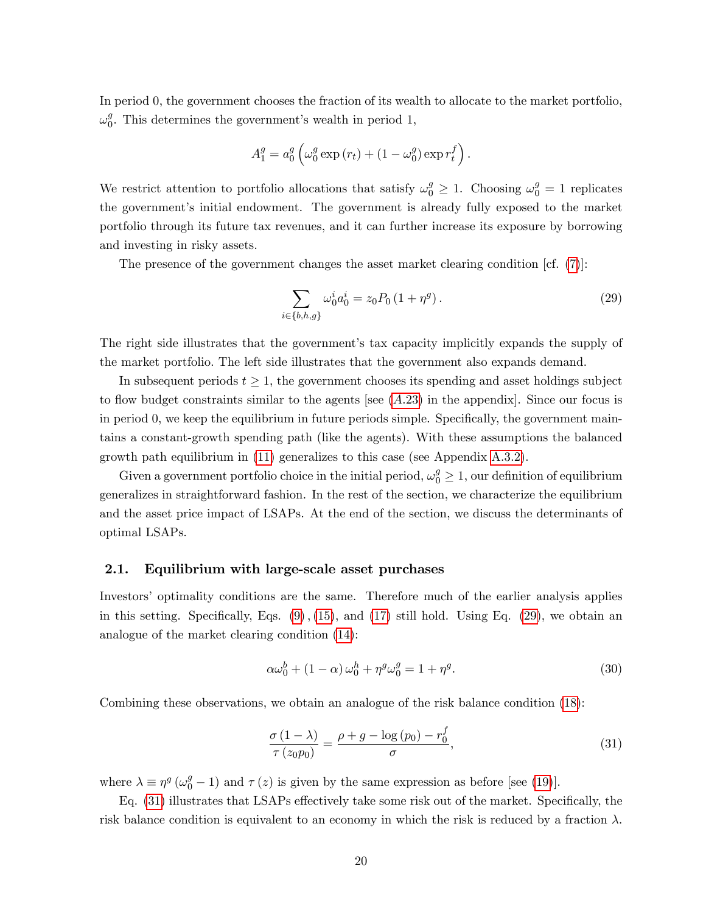In period 0, the government chooses the fraction of its wealth to allocate to the market portfolio,  $\omega_0^g$  $\frac{9}{0}$ . This determines the government's wealth in period 1,

$$
A_1^g = a_0^g \left( \omega_0^g \exp \left( r_t \right) + (1 - \omega_0^g) \exp r_t^f \right).
$$

We restrict attention to portfolio allocations that satisfy  $\omega_0^g \geq 1$ . Choosing  $\omega_0^g = 1$  replicates the government's initial endowment. The government is already fully exposed to the market portfolio through its future tax revenues, and it can further increase its exposure by borrowing and investing in risky assets.

The presence of the government changes the asset market clearing condition [cf. [\(7\)](#page-10-2)]:

<span id="page-21-0"></span>
$$
\sum_{i \in \{b,h,g\}} \omega_0^i a_0^i = z_0 P_0 \left(1 + \eta^g\right). \tag{29}
$$

The right side illustrates that the government's tax capacity implicitly expands the supply of the market portfolio. The left side illustrates that the government also expands demand.

In subsequent periods  $t \geq 1$ , the government chooses its spending and asset holdings subject to flow budget constraints similar to the agents [see  $(A.23)$  $(A.23)$  in the appendix]. Since our focus is in period  $\theta$ , we keep the equilibrium in future periods simple. Specifically, the government maintains a constant-growth spending path (like the agents). With these assumptions the balanced growth path equilibrium in [\(11\)](#page-12-0) generalizes to this case (see Appendix [A.3.2\)](#page-45-0).

Given a government portfolio choice in the initial period,  $\omega_0^g \ge 1$ , our definition of equilibrium generalizes in straightforward fashion. In the rest of the section, we characterize the equilibrium and the asset price impact of LSAPs. At the end of the section, we discuss the determinants of optimal LSAPs.

### 2.1. Equilibrium with large-scale asset purchases

Investors' optimality conditions are the same. Therefore much of the earlier analysis applies in this setting. Specifically, Eqs.  $(9)$ ,  $(15)$ , and  $(17)$  still hold. Using Eq.  $(29)$ , we obtain an analogue of the market clearing condition [\(14\)](#page-13-0):

<span id="page-21-2"></span>
$$
\alpha \omega_0^b + (1 - \alpha) \omega_0^h + \eta^g \omega_0^g = 1 + \eta^g. \tag{30}
$$

Combining these observations, we obtain an analogue of the risk balance condition [\(18\)](#page-13-2):

<span id="page-21-1"></span>
$$
\frac{\sigma(1-\lambda)}{\tau(z_0p_0)} = \frac{\rho+g-\log(p_0)-r_0^f}{\sigma},\tag{31}
$$

where  $\lambda \equiv \eta^g \left( \omega_0^g - 1 \right)$  and  $\tau(z)$  is given by the same expression as before [see [\(19\)](#page-14-1)].

Eq.  $(31)$  illustrates that LSAPs effectively take some risk out of the market. Specifically, the risk balance condition is equivalent to an economy in which the risk is reduced by a fraction  $\lambda$ .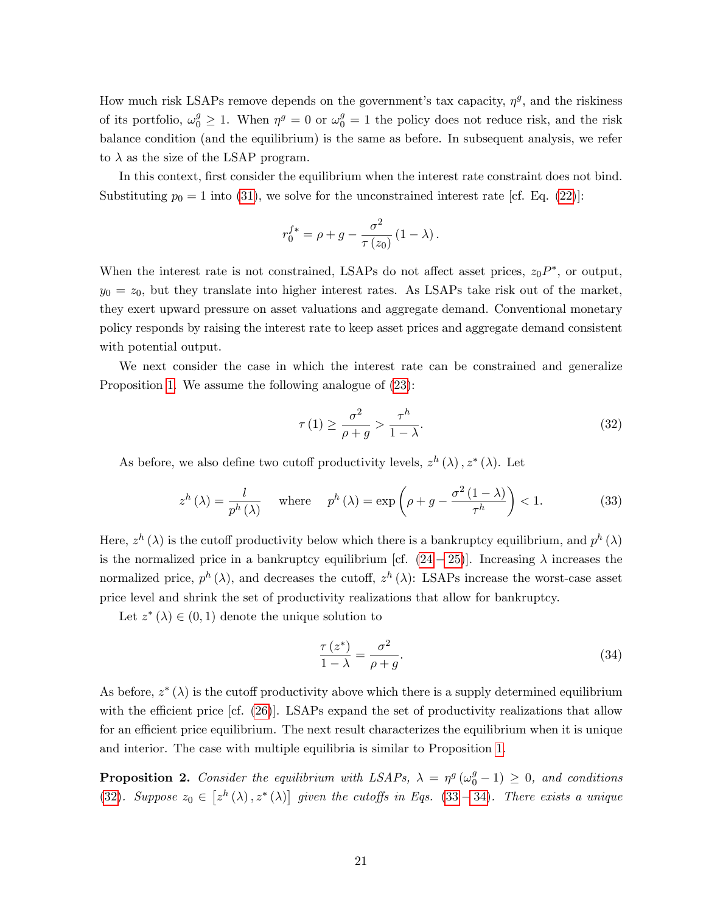How much risk LSAPs remove depends on the government's tax capacity,  $\eta^g$ , and the riskiness of its portfolio,  $\omega_0^g \ge 1$ . When  $\eta^g = 0$  or  $\omega_0^g = 1$  the policy does not reduce risk, and the risk balance condition (and the equilibrium) is the same as before. In subsequent analysis, we refer to  $\lambda$  as the size of the LSAP program.

In this context, first consider the equilibrium when the interest rate constraint does not bind. Substituting  $p_0 = 1$  into [\(31\)](#page-21-1), we solve for the unconstrained interest rate [cf. Eq. [\(22\)](#page-16-3)]:

$$
r_0^{f*} = \rho + g - \frac{\sigma^2}{\tau(z_0)} (1 - \lambda).
$$

When the interest rate is not constrained, LSAPs do not affect asset prices,  $z_0 P^*$ , or output,  $y_0 = z_0$ , but they translate into higher interest rates. As LSAPs take risk out of the market, they exert upward pressure on asset valuations and aggregate demand. Conventional monetary policy responds by raising the interest rate to keep asset prices and aggregate demand consistent with potential output.

We next consider the case in which the interest rate can be constrained and generalize Proposition [1.](#page-17-2) We assume the following analogue of [\(23\)](#page-16-2):

<span id="page-22-0"></span>
$$
\tau(1) \ge \frac{\sigma^2}{\rho + g} > \frac{\tau^h}{1 - \lambda}.\tag{32}
$$

As before, we also define two cutoff productivity levels,  $z^h(\lambda)$ ,  $z^*(\lambda)$ . Let

<span id="page-22-1"></span>
$$
z^{h}(\lambda) = \frac{l}{p^{h}(\lambda)} \quad \text{where} \quad p^{h}(\lambda) = \exp\left(\rho + g - \frac{\sigma^{2}(1-\lambda)}{\tau^{h}}\right) < 1. \tag{33}
$$

Here,  $z^h(\lambda)$  is the cutoff productivity below which there is a bankruptcy equilibrium, and  $p^h(\lambda)$ is the normalized price in a bankruptcy equilibrium [cf.  $(24-25)$  $(24-25)$  $(24-25)$ ]. Increasing  $\lambda$  increases the normalized price,  $p^h(\lambda)$ , and decreases the cutoff,  $z^h(\lambda)$ : LSAPs increase the worst-case asset price level and shrink the set of productivity realizations that allow for bankruptcy.

Let  $z^*(\lambda) \in (0,1)$  denote the unique solution to

<span id="page-22-2"></span>
$$
\frac{\tau(z^*)}{1-\lambda} = \frac{\sigma^2}{\rho+g}.\tag{34}
$$

As before,  $z^*(\lambda)$  is the cutoff productivity above which there is a supply determined equilibrium with the efficient price  $[cf. (26)]$  $[cf. (26)]$  $[cf. (26)]$ . LSAPs expand the set of productivity realizations that allow for an efficient price equilibrium. The next result characterizes the equilibrium when it is unique and interior. The case with multiple equilibria is similar to Proposition [1.](#page-17-2)

<span id="page-22-3"></span>**Proposition 2.** Consider the equilibrium with LSAPs,  $\lambda = \eta^g(\omega_0^g - 1) \geq 0$ , and conditions [\(32\)](#page-22-0). Suppose  $z_0 \in [z^h(\lambda), z^*(\lambda)]$  given the cutoffs in Eqs. [\(33](#page-22-1) – [34\)](#page-22-2). There exists a unique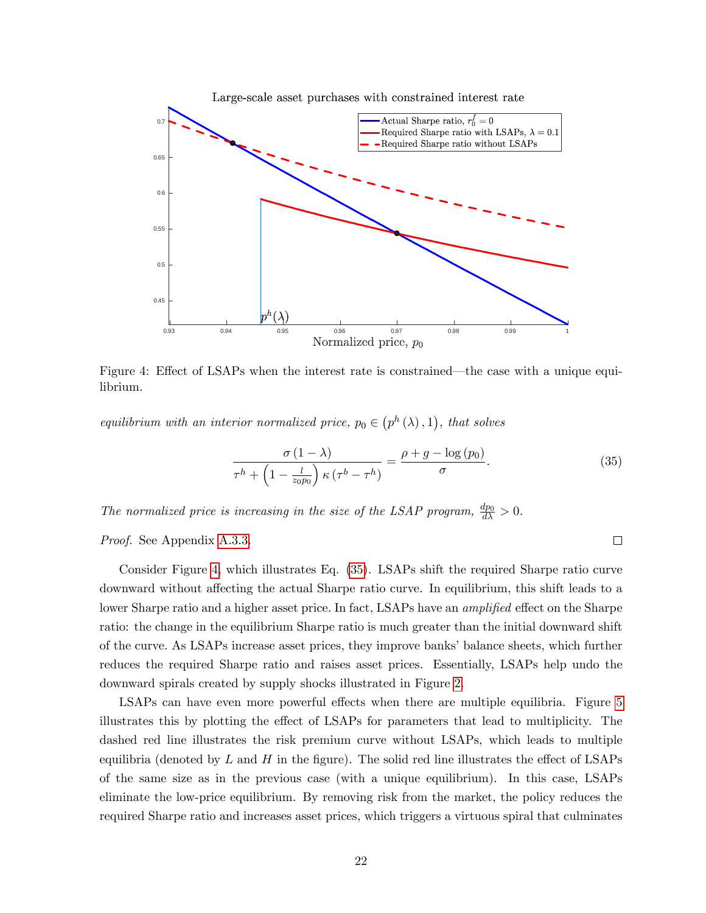

<span id="page-23-0"></span>Figure 4: Effect of LSAPs when the interest rate is constrained—the case with a unique equilibrium.

equilibrium with an interior normalized price,  $p_0 \in (p^h(\lambda), 1)$ , that solves

<span id="page-23-1"></span>
$$
\frac{\sigma(1-\lambda)}{\tau^h + \left(1 - \frac{l}{z_0 p_0}\right) \kappa(\tau^b - \tau^h)} = \frac{\rho + g - \log(p_0)}{\sigma}.
$$
\n(35)

The normalized price is increasing in the size of the LSAP program,  $\frac{dp_0}{d\lambda} > 0$ .

Proof. See Appendix [A.3.3.](#page-45-1)

Consider Figure [4,](#page-23-0) which illustrates Eq. [\(35\)](#page-23-1). LSAPs shift the required Sharpe ratio curve downward without affecting the actual Sharpe ratio curve. In equilibrium, this shift leads to a lower Sharpe ratio and a higher asset price. In fact, LSAPs have an *amplified* effect on the Sharpe ratio: the change in the equilibrium Sharpe ratio is much greater than the initial downward shift of the curve. As LSAPs increase asset prices, they improve banks' balance sheets, which further reduces the required Sharpe ratio and raises asset prices. Essentially, LSAPs help undo the downward spirals created by supply shocks illustrated in Figure [2.](#page-18-0)

LSAPs can have even more powerful effects when there are multiple equilibria. Figure [5](#page-24-0) illustrates this by plotting the effect of LSAPs for parameters that lead to multiplicity. The dashed red line illustrates the risk premium curve without LSAPs, which leads to multiple equilibria (denoted by  $L$  and  $H$  in the figure). The solid red line illustrates the effect of LSAPs of the same size as in the previous case (with a unique equilibrium). In this case, LSAPs eliminate the low-price equilibrium. By removing risk from the market, the policy reduces the required Sharpe ratio and increases asset prices, which triggers a virtuous spiral that culminates

 $\Box$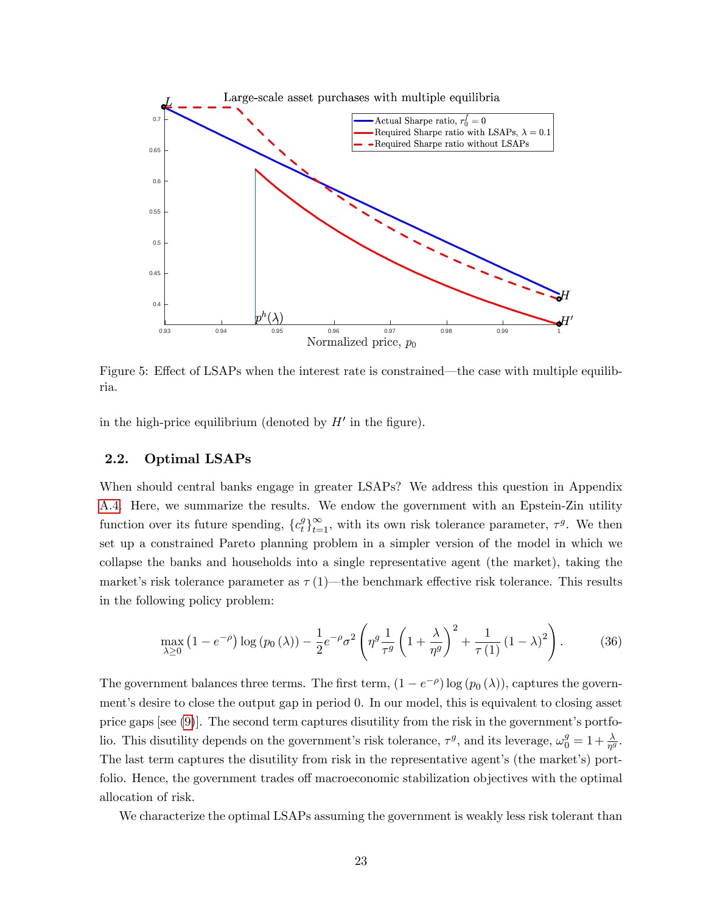

<span id="page-24-0"></span>Figure 5: Effect of LSAPs when the interest rate is constrained—the case with multiple equilibria.

in the high-price equilibrium (denoted by  $H'$  in the figure).

### <span id="page-24-2"></span>2.2. Optimal LSAPs

When should central banks engage in greater LSAPs? We address this question in Appendix [A.4.](#page-46-0) Here, we summarize the results. We endow the government with an Epstein-Zin utility function over its future spending,  $\{c_t^g\}$  $t^g_t$ <sub>t=1</sub>, with its own risk tolerance parameter,  $\tau^g$ . We then set up a constrained Pareto planning problem in a simpler version of the model in which we collapse the banks and households into a single representative agent (the market), taking the market's risk tolerance parameter as  $\tau(1)$ —the benchmark effective risk tolerance. This results in the following policy problem:

<span id="page-24-1"></span>
$$
\max_{\lambda \ge 0} \left( 1 - e^{-\rho} \right) \log \left( p_0 \left( \lambda \right) \right) - \frac{1}{2} e^{-\rho} \sigma^2 \left( \eta^g \frac{1}{\tau^g} \left( 1 + \frac{\lambda}{\eta^g} \right)^2 + \frac{1}{\tau \left( 1 \right)} \left( 1 - \lambda \right)^2 \right). \tag{36}
$$

The government balances three terms. The first term,  $(1 - e^{-\rho}) \log(p_0(\lambda))$ , captures the governmentís desire to close the output gap in period 0. In our model, this is equivalent to closing asset price gaps [see  $(9)$ ]. The second term captures disutility from the risk in the government's portfolio. This disutility depends on the government's risk tolerance,  $\tau^g$ , and its leverage,  $\omega_0^g = 1 + \frac{\lambda}{\eta^g}$ . The last term captures the disutility from risk in the representative agent's (the market's) portfolio. Hence, the government trades of macroeconomic stabilization objectives with the optimal allocation of risk.

We characterize the optimal LSAPs assuming the government is weakly less risk tolerant than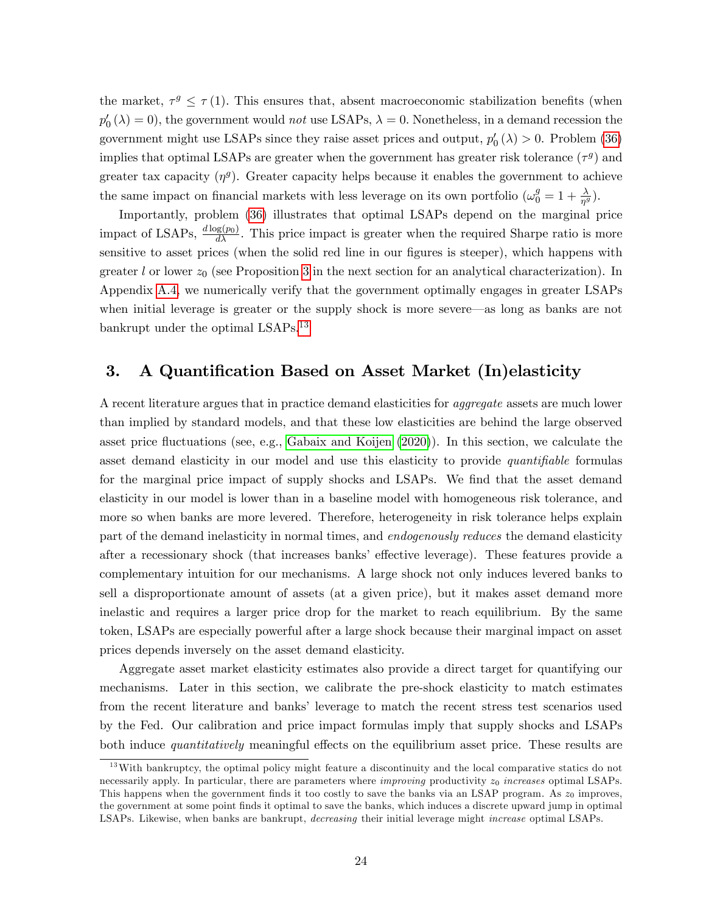the market,  $\tau^g \leq \tau(1)$ . This ensures that, absent macroeconomic stabilization benefits (when  $p'_0(\lambda) = 0$ , the government would *not* use LSAPs,  $\lambda = 0$ . Nonetheless, in a demand recession the government might use LSAPs since they raise asset prices and output,  $p'_{0}(\lambda) > 0$ . Problem [\(36\)](#page-24-1) implies that optimal LSAPs are greater when the government has greater risk tolerance  $(\tau^g)$  and greater tax capacity  $(\eta^g)$ . Greater capacity helps because it enables the government to achieve the same impact on financial markets with less leverage on its own portfolio  $(\omega_0^g = 1 + \frac{\lambda}{\eta^g})$ .

Importantly, problem [\(36\)](#page-24-1) illustrates that optimal LSAPs depend on the marginal price impact of LSAPs,  $\frac{d \log(p_0)}{d \lambda}$ . This price impact is greater when the required Sharpe ratio is more sensitive to asset prices (when the solid red line in our figures is steeper), which happens with greater l or lower  $z_0$  (see Proposition [3](#page-26-1) in the next section for an analytical characterization). In Appendix [A.4,](#page-46-0) we numerically verify that the government optimally engages in greater LSAPs when initial leverage is greater or the supply shock is more severe—as long as banks are not bankrupt under the optimal LSAPs.<sup>[13](#page-25-1)</sup>

# <span id="page-25-0"></span>3. A Quantification Based on Asset Market (In)elasticity

A recent literature argues that in practice demand elasticities for aggregate assets are much lower than implied by standard models, and that these low elasticities are behind the large observed asset price fluctuations (see, e.g., [Gabaix and Koijen](#page-59-1) [\(2020\)](#page-59-1)). In this section, we calculate the asset demand elasticity in our model and use this elasticity to provide *quantifiable* formulas for the marginal price impact of supply shocks and LSAPs. We find that the asset demand elasticity in our model is lower than in a baseline model with homogeneous risk tolerance, and more so when banks are more levered. Therefore, heterogeneity in risk tolerance helps explain part of the demand inelasticity in normal times, and *endogenously reduces* the demand elasticity after a recessionary shock (that increases banks' effective leverage). These features provide a complementary intuition for our mechanisms. A large shock not only induces levered banks to sell a disproportionate amount of assets (at a given price), but it makes asset demand more inelastic and requires a larger price drop for the market to reach equilibrium. By the same token, LSAPs are especially powerful after a large shock because their marginal impact on asset prices depends inversely on the asset demand elasticity.

Aggregate asset market elasticity estimates also provide a direct target for quantifying our mechanisms. Later in this section, we calibrate the pre-shock elasticity to match estimates from the recent literature and banks' leverage to match the recent stress test scenarios used by the Fed. Our calibration and price impact formulas imply that supply shocks and LSAPs both induce *quantitatively* meaningful effects on the equilibrium asset price. These results are

<span id="page-25-1"></span><sup>&</sup>lt;sup>13</sup>With bankruptcy, the optimal policy might feature a discontinuity and the local comparative statics do not necessarily apply. In particular, there are parameters where *improving* productivity  $z_0$  *increases* optimal LSAPs. This happens when the government finds it too costly to save the banks via an LSAP program. As  $z_0$  improves, the government at some point Önds it optimal to save the banks, which induces a discrete upward jump in optimal LSAPs. Likewise, when banks are bankrupt, decreasing their initial leverage might increase optimal LSAPs.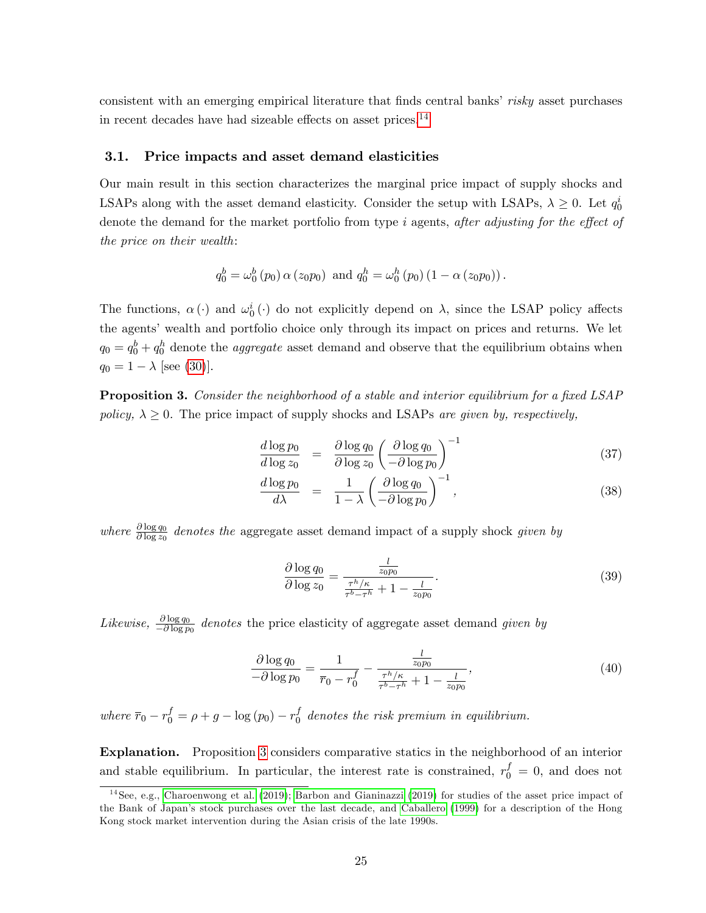consistent with an emerging empirical literature that finds central banks' risky asset purchases in recent decades have had sizeable effects on asset prices.<sup>[14](#page-26-2)</sup>

### <span id="page-26-0"></span>3.1. Price impacts and asset demand elasticities

Our main result in this section characterizes the marginal price impact of supply shocks and LSAPs along with the asset demand elasticity. Consider the setup with LSAPs,  $\lambda \geq 0$ . Let  $q_0^i$ denote the demand for the market portfolio from type  $i$  agents, after adjusting for the effect of the price on their wealth:

$$
q_0^b = \omega_0^b(p_0) \alpha(z_0 p_0)
$$
 and  $q_0^h = \omega_0^h(p_0) (1 - \alpha(z_0 p_0))$ .

The functions,  $\alpha(\cdot)$  and  $\omega_0^i(\cdot)$  do not explicitly depend on  $\lambda$ , since the LSAP policy affects the agents' wealth and portfolio choice only through its impact on prices and returns. We let  $q_0 = q_0^b + q_0^h$  denote the *aggregate* asset demand and observe that the equilibrium obtains when  $q_0 = 1 - \lambda$  [see [\(30\)](#page-21-2)].

<span id="page-26-1"></span>**Proposition 3.** Consider the neighborhood of a stable and interior equilibrium for a fixed LSAP policy,  $\lambda \geq 0$ . The price impact of supply shocks and LSAPs are given by, respectively,

$$
\frac{d \log p_0}{d \log z_0} = \frac{\partial \log q_0}{\partial \log z_0} \left( \frac{\partial \log q_0}{-\partial \log p_0} \right)^{-1} \tag{37}
$$

<span id="page-26-3"></span>
$$
\frac{d \log p_0}{d\lambda} = \frac{1}{1-\lambda} \left( \frac{\partial \log q_0}{-\partial \log p_0} \right)^{-1},\tag{38}
$$

where  $\frac{\partial \log q_0}{\partial \log z_0}$  denotes the aggregate asset demand impact of a supply shock given by

<span id="page-26-4"></span>
$$
\frac{\partial \log q_0}{\partial \log z_0} = \frac{\frac{l}{z_0 p_0}}{\frac{\tau^h/\kappa}{\tau^b - \tau^h} + 1 - \frac{l}{z_0 p_0}}.
$$
\n(39)

Likewise,  $\frac{\partial \log q_0}{\partial \log p_0}$  denotes the price elasticity of aggregate asset demand given by

<span id="page-26-5"></span>
$$
\frac{\partial \log q_0}{-\partial \log p_0} = \frac{1}{\bar{r}_0 - r_0^f} - \frac{\frac{l}{z_0 p_0}}{\frac{\tau^h/\kappa}{\tau^b - \tau^h} + 1 - \frac{l}{z_0 p_0}},\tag{40}
$$

where  $\bar{r}_0 - r_0^f = \rho + g - \log(p_0) - r_0^f$  $\int_0^J$  denotes the risk premium in equilibrium.

Explanation. Proposition [3](#page-26-1) considers comparative statics in the neighborhood of an interior and stable equilibrium. In particular, the interest rate is constrained,  $r_0^f = 0$ , and does not

<span id="page-26-2"></span><sup>&</sup>lt;sup>14</sup>See, e.g., [Charoenwong et al.](#page-58-10) [\(2019\)](#page-57-9); [Barbon and Gianinazzi](#page-57-9) (2019) for studies of the asset price impact of the Bank of Japanís stock purchases over the last decade, and [Caballero](#page-58-9) [\(1999\)](#page-58-9) for a description of the Hong Kong stock market intervention during the Asian crisis of the late 1990s.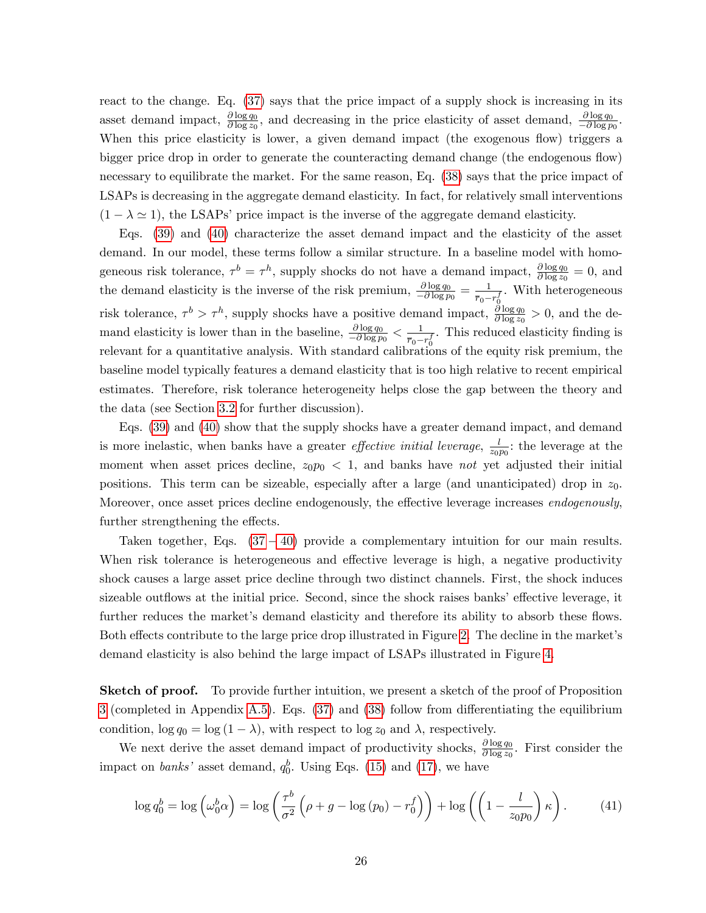react to the change. Eq. [\(37\)](#page-26-3) says that the price impact of a supply shock is increasing in its asset demand impact,  $\frac{\partial \log q_0}{\partial \log z_0}$ , and decreasing in the price elasticity of asset demand,  $\frac{\partial \log q_0}{\partial \log p_0}$ . When this price elasticity is lower, a given demand impact (the exogenous flow) triggers a bigger price drop in order to generate the counteracting demand change (the endogenous flow) necessary to equilibrate the market. For the same reason, Eq. [\(38\)](#page-26-3) says that the price impact of LSAPs is decreasing in the aggregate demand elasticity. In fact, for relatively small interventions  $(1 - \lambda \approx 1)$ , the LSAPs' price impact is the inverse of the aggregate demand elasticity.

Eqs. [\(39\)](#page-26-4) and [\(40\)](#page-26-5) characterize the asset demand impact and the elasticity of the asset demand. In our model, these terms follow a similar structure. In a baseline model with homogeneous risk tolerance,  $\tau^b = \tau^h$ , supply shocks do not have a demand impact,  $\frac{\partial \log q_0}{\partial \log z_0} = 0$ , and the demand elasticity is the inverse of the risk premium,  $\frac{\partial \log q_0}{\partial \log p_0} = \frac{1}{\bar{r}_0 - \bar{r}_0}$  $\frac{1}{\overline{r}_0-r_0^f}$ . With heterogeneous risk tolerance,  $\tau^b > \tau^h$ , supply shocks have a positive demand impact,  $\frac{\partial \log q_0}{\partial \log z_0} > 0$ , and the demand elasticity is lower than in the baseline,  $\frac{\partial \log q_0}{\partial \log p_0} < \frac{1}{\bar{r}_0 - \bar{r}_0}$  $\frac{1}{\overline{r}_0-r_0^f}$ . This reduced elasticity finding is relevant for a quantitative analysis. With standard calibrations of the equity risk premium, the baseline model typically features a demand elasticity that is too high relative to recent empirical estimates. Therefore, risk tolerance heterogeneity helps close the gap between the theory and the data (see Section [3.2](#page-29-0) for further discussion).

Eqs. [\(39\)](#page-26-4) and [\(40\)](#page-26-5) show that the supply shocks have a greater demand impact, and demand is more inelastic, when banks have a greater *effective initial leverage*,  $\frac{l}{m}$  $\frac{l}{z_0p_0}$ : the leverage at the moment when asset prices decline,  $z_0p_0 < 1$ , and banks have not yet adjusted their initial positions. This term can be sizeable, especially after a large (and unanticipated) drop in  $z_0$ . Moreover, once asset prices decline endogenously, the effective leverage increases *endogenously*, further strengthening the effects.

Taken together, Eqs.  $(37 - 40)$  $(37 - 40)$  $(37 - 40)$  provide a complementary intuition for our main results. When risk tolerance is heterogeneous and effective leverage is high, a negative productivity shock causes a large asset price decline through two distinct channels. First, the shock induces sizeable outflows at the initial price. Second, since the shock raises banks' effective leverage, it further reduces the market's demand elasticity and therefore its ability to absorb these flows. Both effects contribute to the large price drop illustrated in Figure [2.](#page-18-0) The decline in the market's demand elasticity is also behind the large impact of LSAPs illustrated in Figure [4.](#page-23-0)

**Sketch of proof.** To provide further intuition, we present a sketch of the proof of Proposition [3](#page-26-1) (completed in Appendix [A.5\)](#page-49-0). Eqs.  $(37)$  and  $(38)$  follow from differentiating the equilibrium condition,  $\log q_0 = \log (1 - \lambda)$ , with respect to  $\log z_0$  and  $\lambda$ , respectively.

We next derive the asset demand impact of productivity shocks,  $\frac{\partial \log q_0}{\partial \log z_0}$ . First consider the impact on *banks*' asset demand,  $q_0^b$ . Using Eqs. [\(15\)](#page-13-3) and [\(17\)](#page-13-1), we have

<span id="page-27-0"></span>
$$
\log q_0^b = \log \left( \omega_0^b \alpha \right) = \log \left( \frac{\tau^b}{\sigma^2} \left( \rho + g - \log \left( p_0 \right) - r_0^f \right) \right) + \log \left( \left( 1 - \frac{l}{z_0 p_0} \right) \kappa \right). \tag{41}
$$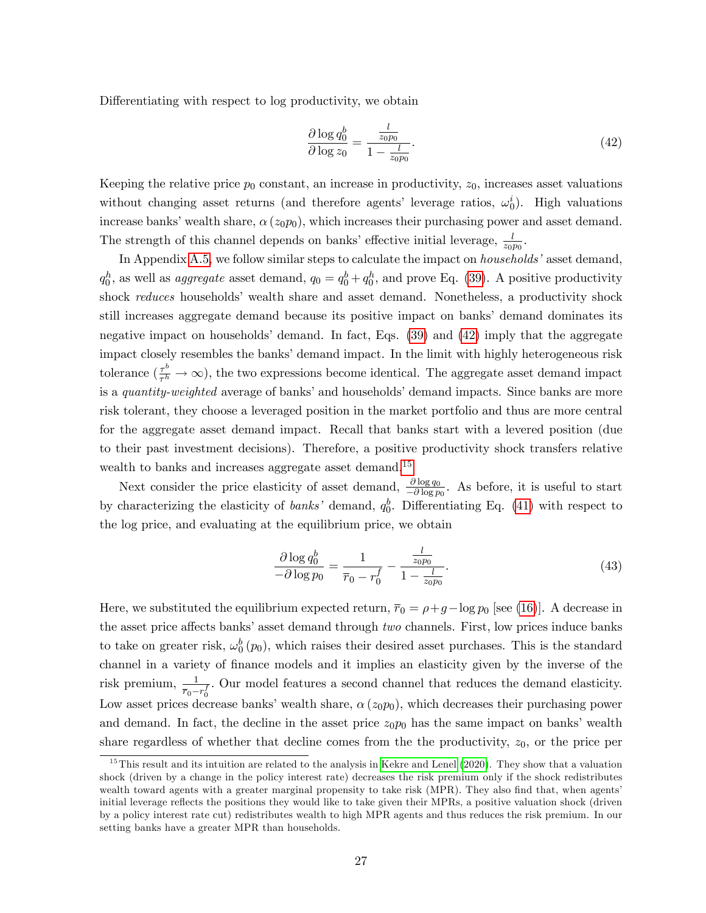Differentiating with respect to log productivity, we obtain

<span id="page-28-0"></span>
$$
\frac{\partial \log q_0^b}{\partial \log z_0} = \frac{\frac{l}{z_0 p_0}}{1 - \frac{l}{z_0 p_0}}.\tag{42}
$$

Keeping the relative price  $p_0$  constant, an increase in productivity,  $z_0$ , increases asset valuations without changing asset returns (and therefore agents' leverage ratios,  $\omega_0^i$ ). High valuations increase banks' wealth share,  $\alpha(z_0p_0)$ , which increases their purchasing power and asset demand. The strength of this channel depends on banks' effective initial leverage,  $\frac{l}{z_0p_0}$ .

In Appendix [A.5,](#page-49-0) we follow similar steps to calculate the impact on *households*' asset demand,  $q_0^h$ , as well as *aggregate* asset demand,  $q_0 = q_0^b + q_0^h$ , and prove Eq. [\(39\)](#page-26-4). A positive productivity shock reduces households' wealth share and asset demand. Nonetheless, a productivity shock still increases aggregate demand because its positive impact on banks' demand dominates its negative impact on households' demand. In fact, Eqs.  $(39)$  and  $(42)$  imply that the aggregate impact closely resembles the banks' demand impact. In the limit with highly heterogeneous risk tolerance  $\left(\frac{\tau^b}{\tau^h}\right)$  $\frac{\tau^o}{\tau^h} \to \infty$ ), the two expressions become identical. The aggregate asset demand impact is a quantity-weighted average of banks' and households' demand impacts. Since banks are more risk tolerant, they choose a leveraged position in the market portfolio and thus are more central for the aggregate asset demand impact. Recall that banks start with a levered position (due to their past investment decisions). Therefore, a positive productivity shock transfers relative wealth to banks and increases aggregate asset demand.<sup>[15](#page-28-1)</sup>

Next consider the price elasticity of asset demand,  $\frac{\partial \log q_0}{\partial \partial \log p_0}$ . As before, it is useful to start by characterizing the elasticity of *banks*' demand,  $q_0^b$ . Differentiating Eq. [\(41\)](#page-27-0) with respect to the log price, and evaluating at the equilibrium price, we obtain

<span id="page-28-2"></span>
$$
\frac{\partial \log q_0^b}{-\partial \log p_0} = \frac{1}{\bar{r}_0 - r_0^f} - \frac{\frac{l}{z_0 p_0}}{1 - \frac{l}{z_0 p_0}}.\tag{43}
$$

Here, we substituted the equilibrium expected return,  $\overline{r}_0 = \rho + g - \log p_0$  [see [\(16\)](#page-13-4)]. A decrease in the asset price affects banks' asset demand through two channels. First, low prices induce banks to take on greater risk,  $\omega_0^b(p_0)$ , which raises their desired asset purchases. This is the standard channel in a variety of finance models and it implies an elasticity given by the inverse of the risk premium,  $\frac{1}{\pi}$  $\frac{1}{\overline{r}_0-r_0^f}$ . Our model features a second channel that reduces the demand elasticity. Low asset prices decrease banks' wealth share,  $\alpha(z_0p_0)$ , which decreases their purchasing power and demand. In fact, the decline in the asset price  $z_0p_0$  has the same impact on banks' wealth share regardless of whether that decline comes from the the productivity,  $z_0$ , or the price per

<span id="page-28-1"></span><sup>&</sup>lt;sup>15</sup>This result and its intuition are related to the analysis in [Kekre and Lenel](#page-60-11) [\(2020\)](#page-60-11). They show that a valuation shock (driven by a change in the policy interest rate) decreases the risk premium only if the shock redistributes wealth toward agents with a greater marginal propensity to take risk (MPR). They also find that, when agents' initial leverage reflects the positions they would like to take given their MPRs, a positive valuation shock (driven by a policy interest rate cut) redistributes wealth to high MPR agents and thus reduces the risk premium. In our setting banks have a greater MPR than households.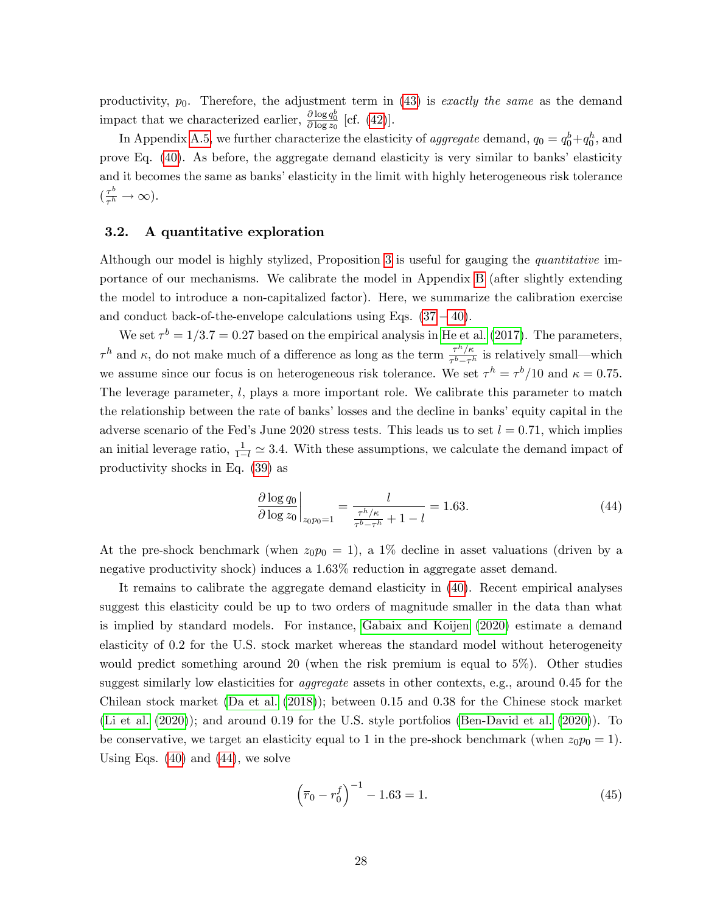productivity,  $p_0$ . Therefore, the adjustment term in [\(43\)](#page-28-2) is exactly the same as the demand impact that we characterized earlier,  $\frac{\partial \log q_0^b}{\partial \log z_0}$  [cf. [\(42\)](#page-28-0)].

In Appendix [A.5,](#page-49-0) we further characterize the elasticity of *aggregate* demand,  $q_0 = q_0^b + q_0^h$ , and prove Eq.  $(40)$ . As before, the aggregate demand elasticity is very similar to banks' elasticity and it becomes the same as banks' elasticity in the limit with highly heterogeneous risk tolerance  $\left(\frac{\tau^b}{\tau^h}\right)$  $\frac{\tau^{\circ}}{\tau^h} \to \infty$ ).

### <span id="page-29-0"></span>3.2. A quantitative exploration

Although our model is highly stylized, Proposition [3](#page-26-1) is useful for gauging the quantitative importance of our mechanisms. We calibrate the model in Appendix [B](#page-53-0) (after slightly extending the model to introduce a non-capitalized factor). Here, we summarize the calibration exercise and conduct back-of-the-envelope calculations using Eqs.  $(37 - 40)$  $(37 - 40)$  $(37 - 40)$ .

We set  $\tau^b = 1/3.7 = 0.27$  based on the empirical analysis in [He et al.](#page-60-3) [\(2017\)](#page-60-3). The parameters,  $\tau^h$  and  $\kappa$ , do not make much of a difference as long as the term  $\frac{\tau^h/\kappa}{\tau^h-\tau^h}$  $\frac{\tau^{n}/\kappa}{\tau^{b}-\tau^{h}}$  is relatively small—which we assume since our focus is on heterogeneous risk tolerance. We set  $\tau^h = \tau^b/10$  and  $\kappa = 0.75$ . The leverage parameter, l, plays a more important role. We calibrate this parameter to match the relationship between the rate of banks' losses and the decline in banks' equity capital in the adverse scenario of the Fed's June 2020 stress tests. This leads us to set  $l = 0.71$ , which implies an initial leverage ratio,  $\frac{1}{1-l} \simeq 3.4$ . With these assumptions, we calculate the demand impact of productivity shocks in Eq. [\(39\)](#page-26-4) as

<span id="page-29-1"></span>
$$
\frac{\partial \log q_0}{\partial \log z_0}\bigg|_{z_0 p_0 = 1} = \frac{l}{\frac{\tau^h/\kappa}{\tau^b - \tau^h} + 1 - l} = 1.63. \tag{44}
$$

At the pre-shock benchmark (when  $z_0p_0 = 1$ ), a 1% decline in asset valuations (driven by a negative productivity shock) induces a 1.63% reduction in aggregate asset demand.

It remains to calibrate the aggregate demand elasticity in [\(40\)](#page-26-5). Recent empirical analyses suggest this elasticity could be up to two orders of magnitude smaller in the data than what is implied by standard models. For instance, [Gabaix and Koijen](#page-59-1) [\(2020\)](#page-59-1) estimate a demand elasticity of 0.2 for the U.S. stock market whereas the standard model without heterogeneity would predict something around 20 (when the risk premium is equal to 5%). Other studies suggest similarly low elasticities for *aggregate* assets in other contexts, e.g., around 0.45 for the Chilean stock market [\(Da et al.](#page-58-17) [\(2018\)](#page-58-17)); between 0.15 and 0.38 for the Chinese stock market [\(Li et al.](#page-60-17) [\(2020\)](#page-60-17)); and around 0.19 for the U.S. style portfolios [\(Ben-David et al.](#page-57-17) [\(2020\)](#page-57-17)). To be conservative, we target an elasticity equal to 1 in the pre-shock benchmark (when  $z_0p_0 = 1$ ). Using Eqs.  $(40)$  and  $(44)$ , we solve

<span id="page-29-2"></span>
$$
\left(\overline{r}_0 - r_0^f\right)^{-1} - 1.63 = 1.
$$
\n(45)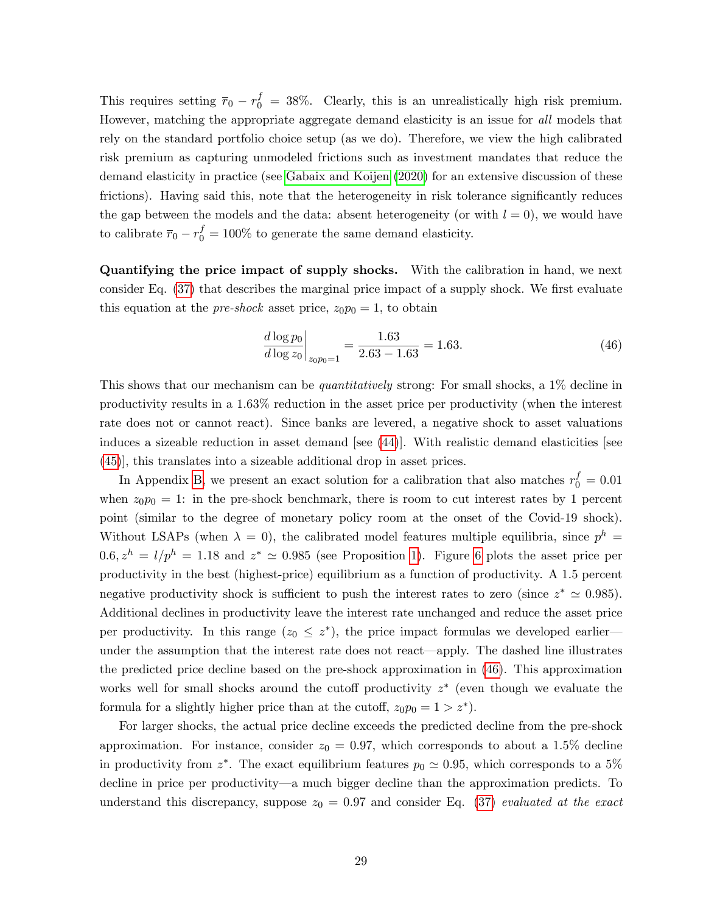This requires setting  $\bar{r}_0 - r_0^f = 38\%$ . Clearly, this is an unrealistically high risk premium. However, matching the appropriate aggregate demand elasticity is an issue for all models that rely on the standard portfolio choice setup (as we do). Therefore, we view the high calibrated risk premium as capturing unmodeled frictions such as investment mandates that reduce the demand elasticity in practice (see [Gabaix and Koijen](#page-59-1) [\(2020\)](#page-59-1) for an extensive discussion of these frictions). Having said this, note that the heterogeneity in risk tolerance significantly reduces the gap between the models and the data: absent heterogeneity (or with  $l = 0$ ), we would have to calibrate  $\bar{r}_0 - r_0^f = 100\%$  to generate the same demand elasticity.

Quantifying the price impact of supply shocks. With the calibration in hand, we next consider Eq.  $(37)$  that describes the marginal price impact of a supply shock. We first evaluate this equation at the *pre-shock* asset price,  $z_0p_0 = 1$ , to obtain

<span id="page-30-0"></span>
$$
\left. \frac{d \log p_0}{d \log z_0} \right|_{z_0 p_0 = 1} = \frac{1.63}{2.63 - 1.63} = 1.63. \tag{46}
$$

This shows that our mechanism can be *quantitatively* strong: For small shocks, a 1\% decline in productivity results in a 1.63% reduction in the asset price per productivity (when the interest rate does not or cannot react). Since banks are levered, a negative shock to asset valuations induces a sizeable reduction in asset demand [see [\(44\)](#page-29-1)]. With realistic demand elasticities [see [\(45\)](#page-29-2)], this translates into a sizeable additional drop in asset prices.

In Appendix [B,](#page-53-0) we present an exact solution for a calibration that also matches  $r_0^f = 0.01$ when  $z_0p_0 = 1$ : in the pre-shock benchmark, there is room to cut interest rates by 1 percent point (similar to the degree of monetary policy room at the onset of the Covid-19 shock). Without LSAPs (when  $\lambda = 0$ ), the calibrated model features multiple equilibria, since  $p^h =$  $0.6, z<sup>h</sup> = l/p<sup>h</sup> = 1.18$  and  $z^* \simeq 0.985$  (see Proposition [1\)](#page-17-2). Figure [6](#page-31-0) plots the asset price per productivity in the best (highest-price) equilibrium as a function of productivity. A 1.5 percent negative productivity shock is sufficient to push the interest rates to zero (since  $z^* \approx 0.985$ ). Additional declines in productivity leave the interest rate unchanged and reduce the asset price per productivity. In this range  $(z_0 \leq z^*)$ , the price impact formulas we developed earlier under the assumption that the interest rate does not react—apply. The dashed line illustrates the predicted price decline based on the pre-shock approximation in [\(46\)](#page-30-0). This approximation works well for small shocks around the cutoff productivity  $z^*$  (even though we evaluate the formula for a slightly higher price than at the cutoff,  $z_0p_0 = 1 > z^*$ ).

For larger shocks, the actual price decline exceeds the predicted decline from the pre-shock approximation. For instance, consider  $z_0 = 0.97$ , which corresponds to about a 1.5% decline in productivity from  $z^*$ . The exact equilibrium features  $p_0 \simeq 0.95$ , which corresponds to a 5% decline in price per productivity—a much bigger decline than the approximation predicts. To understand this discrepancy, suppose  $z_0 = 0.97$  and consider Eq. [\(37\)](#page-26-3) evaluated at the exact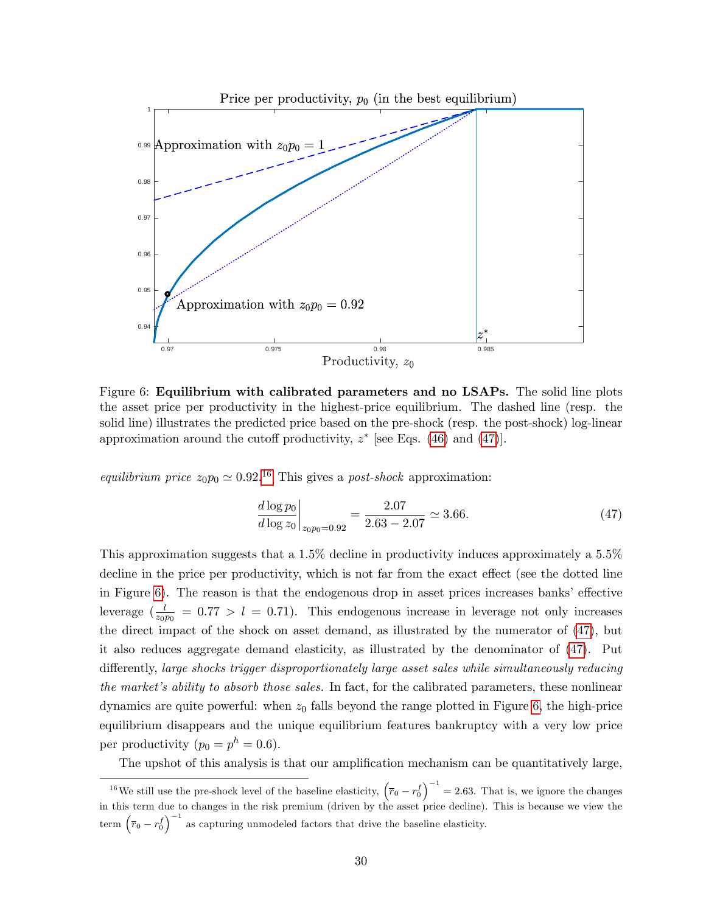

<span id="page-31-0"></span>Figure 6: Equilibrium with calibrated parameters and no LSAPs. The solid line plots the asset price per productivity in the highest-price equilibrium. The dashed line (resp. the solid line) illustrates the predicted price based on the pre-shock (resp. the post-shock) log-linear approximation around the cutoff productivity,  $z^*$  [see Eqs. [\(46\)](#page-30-0) and [\(47\)](#page-31-1)].

equilibrium price  $z_0 p_0 \simeq 0.92^{16}$  $z_0 p_0 \simeq 0.92^{16}$  $z_0 p_0 \simeq 0.92^{16}$  This gives a post-shock approximation:

<span id="page-31-1"></span>
$$
\left. \frac{d \log p_0}{d \log z_0} \right|_{z_0 p_0 = 0.92} = \frac{2.07}{2.63 - 2.07} \simeq 3.66. \tag{47}
$$

This approximation suggests that a 1.5% decline in productivity induces approximately a 5.5% decline in the price per productivity, which is not far from the exact effect (see the dotted line in Figure [6\)](#page-31-0). The reason is that the endogenous drop in asset prices increases banks' effective leverage  $\left(\frac{l}{z_0p_0}\right)$  = 0.77 > l = 0.71. This endogenous increase in leverage not only increases the direct impact of the shock on asset demand, as illustrated by the numerator of [\(47\)](#page-31-1), but it also reduces aggregate demand elasticity, as illustrated by the denominator of [\(47\)](#page-31-1). Put differently, large shocks trigger disproportionately large asset sales while simultaneously reducing the market's ability to absorb those sales. In fact, for the calibrated parameters, these nonlinear dynamics are quite powerful: when  $z_0$  falls beyond the range plotted in Figure [6,](#page-31-0) the high-price equilibrium disappears and the unique equilibrium features bankruptcy with a very low price per productivity  $(p_0 = p^h = 0.6)$ .

The upshot of this analysis is that our amplification mechanism can be quantitatively large,

<span id="page-31-2"></span><sup>&</sup>lt;sup>16</sup>We still use the pre-shock level of the baseline elasticity,  $(\bar{r}_0 - r_0^f)^{-1} = 2.63$ . That is, we ignore the changes in this term due to changes in the risk premium (driven by the asset price decline). This is because we view the term  $(\bar{r}_0 - r_0^f)^{-1}$  as capturing unmodeled factors that drive the baseline elasticity.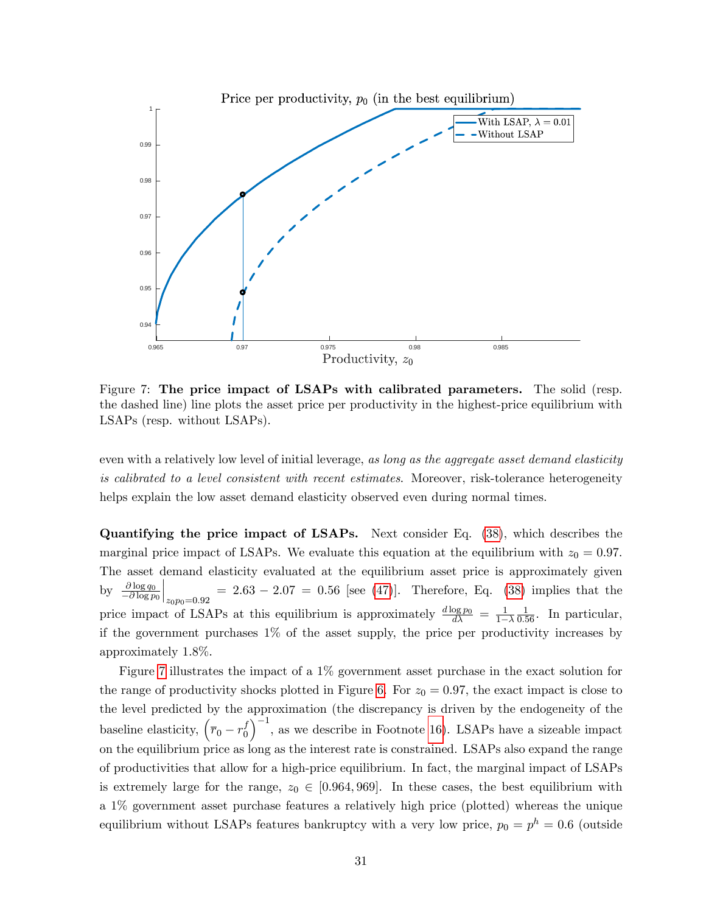

<span id="page-32-0"></span>Figure 7: The price impact of LSAPs with calibrated parameters. The solid (resp. the dashed line) line plots the asset price per productivity in the highest-price equilibrium with LSAPs (resp. without LSAPs).

even with a relatively low level of initial leverage, as long as the aggregate asset demand elasticity is calibrated to a level consistent with recent estimates. Moreover, risk-tolerance heterogeneity helps explain the low asset demand elasticity observed even during normal times.

Quantifying the price impact of LSAPs. Next consider Eq. [\(38\)](#page-26-3), which describes the marginal price impact of LSAPs. We evaluate this equation at the equilibrium with  $z_0 = 0.97$ . The asset demand elasticity evaluated at the equilibrium asset price is approximately given by  $\frac{\partial \log q_0}{\partial \log p_0}$  $\Big|_{z_0p_0=0.92}$  $= 2.63 - 2.07 = 0.56$  [see [\(47\)](#page-31-1)]. Therefore, Eq. [\(38\)](#page-26-3) implies that the price impact of LSAPs at this equilibrium is approximately  $\frac{d \log p_0}{d \lambda} = \frac{1}{1-\lambda}$  $1-\lambda$  $\frac{1}{0.56}$ . In particular, if the government purchases 1% of the asset supply, the price per productivity increases by approximately 1.8%.

Figure [7](#page-32-0) illustrates the impact of a 1% government asset purchase in the exact solution for the range of productivity shocks plotted in Figure [6.](#page-31-0) For  $z_0 = 0.97$ , the exact impact is close to the level predicted by the approximation (the discrepancy is driven by the endogeneity of the baseline elasticity,  $(\bar{r}_0 - r_0^f)$  $\boldsymbol{0}$  $\int^{-1}$ , as we describe in Footnote [16\)](#page-31-2). LSAPs have a sizeable impact on the equilibrium price as long as the interest rate is constrained. LSAPs also expand the range of productivities that allow for a high-price equilibrium. In fact, the marginal impact of LSAPs is extremely large for the range,  $z_0 \in [0.964, 969]$ . In these cases, the best equilibrium with a 1% government asset purchase features a relatively high price (plotted) whereas the unique equilibrium without LSAPs features bankruptcy with a very low price,  $p_0 = p^h = 0.6$  (outside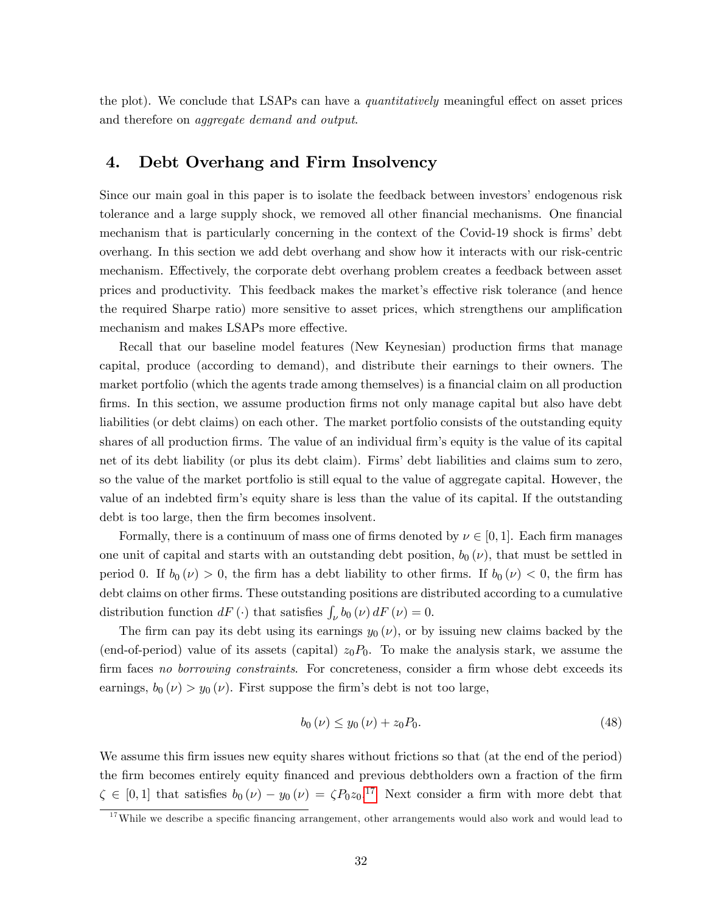the plot). We conclude that LSAPs can have a *quantitatively* meaningful effect on asset prices and therefore on aggregate demand and output.

# <span id="page-33-0"></span>4. Debt Overhang and Firm Insolvency

Since our main goal in this paper is to isolate the feedback between investors' endogenous risk tolerance and a large supply shock, we removed all other financial mechanisms. One financial mechanism that is particularly concerning in the context of the Covid-19 shock is firms' debt overhang. In this section we add debt overhang and show how it interacts with our risk-centric mechanism. Effectively, the corporate debt overhang problem creates a feedback between asset prices and productivity. This feedback makes the market's effective risk tolerance (and hence the required Sharpe ratio) more sensitive to asset prices, which strengthens our amplification mechanism and makes LSAPs more effective.

Recall that our baseline model features (New Keynesian) production firms that manage capital, produce (according to demand), and distribute their earnings to their owners. The market portfolio (which the agents trade among themselves) is a financial claim on all production firms. In this section, we assume production firms not only manage capital but also have debt liabilities (or debt claims) on each other. The market portfolio consists of the outstanding equity shares of all production firms. The value of an individual firm's equity is the value of its capital net of its debt liability (or plus its debt claim). Firms' debt liabilities and claims sum to zero, so the value of the market portfolio is still equal to the value of aggregate capital. However, the value of an indebted firm's equity share is less than the value of its capital. If the outstanding debt is too large, then the firm becomes insolvent.

Formally, there is a continuum of mass one of firms denoted by  $\nu \in [0, 1]$ . Each firm manages one unit of capital and starts with an outstanding debt position,  $b_0(\nu)$ , that must be settled in period 0. If  $b_0 (\nu) > 0$ , the firm has a debt liability to other firms. If  $b_0 (\nu) < 0$ , the firm has debt claims on other firms. These outstanding positions are distributed according to a cumulative distribution function  $dF(\cdot)$  that satisfies  $\int_{\nu} b_0(\nu) dF(\nu) = 0$ .

The firm can pay its debt using its earnings  $y_0(\nu)$ , or by issuing new claims backed by the (end-of-period) value of its assets (capital)  $z_0P_0$ . To make the analysis stark, we assume the firm faces no borrowing constraints. For concreteness, consider a firm whose debt exceeds its earnings,  $b_0(\nu) > y_0(\nu)$ . First suppose the firm's debt is not too large,

<span id="page-33-2"></span>
$$
b_0(\nu) \le y_0(\nu) + z_0 P_0. \tag{48}
$$

We assume this firm issues new equity shares without frictions so that (at the end of the period) the firm becomes entirely equity financed and previous debtholders own a fraction of the firm  $\zeta \in [0,1]$  that satisfies  $b_0(\nu) - y_0(\nu) = \zeta P_0 z_0$ .<sup>[17](#page-33-1)</sup> Next consider a firm with more debt that

<span id="page-33-1"></span> $17$ While we describe a specific financing arrangement, other arrangements would also work and would lead to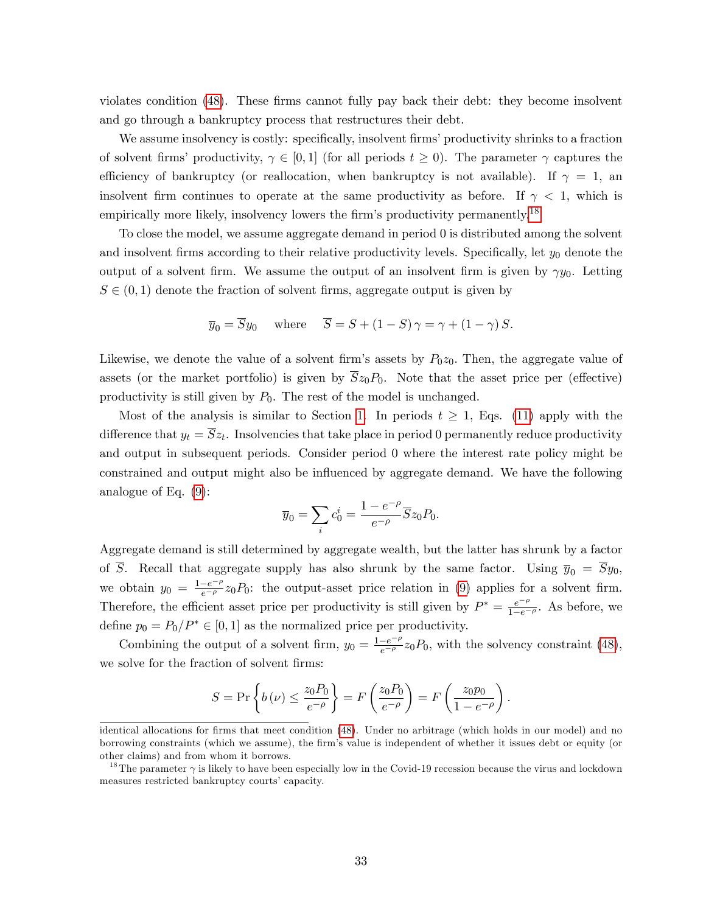violates condition [\(48\)](#page-33-2). These firms cannot fully pay back their debt: they become insolvent and go through a bankruptcy process that restructures their debt.

We assume insolvency is costly: specifically, insolvent firms' productivity shrinks to a fraction of solvent firms' productivity,  $\gamma \in [0,1]$  (for all periods  $t \geq 0$ ). The parameter  $\gamma$  captures the efficiency of bankruptcy (or reallocation, when bankruptcy is not available). If  $\gamma = 1$ , an insolvent firm continues to operate at the same productivity as before. If  $\gamma$  < 1, which is empirically more likely, insolvency lowers the firm's productivity permanently.<sup>[18](#page-34-0)</sup>

To close the model, we assume aggregate demand in period 0 is distributed among the solvent and insolvent firms according to their relative productivity levels. Specifically, let  $y_0$  denote the output of a solvent firm. We assume the output of an insolvent firm is given by  $\gamma y_0$ . Letting  $S \in (0, 1)$  denote the fraction of solvent firms, aggregate output is given by

$$
\overline{y}_0 = \overline{S}y_0
$$
 where  $\overline{S} = S + (1 - S)\gamma = \gamma + (1 - \gamma)S$ .

Likewise, we denote the value of a solvent firm's assets by  $P_0z_0$ . Then, the aggregate value of assets (or the market portfolio) is given by  $\overline{S}z_0P_0$ . Note that the asset price per (effective) productivity is still given by  $P_0$ . The rest of the model is unchanged.

Most of the analysis is similar to Section [1.](#page-8-0) In periods  $t \geq 1$ , Eqs. [\(11\)](#page-12-0) apply with the difference that  $y_t = Sz_t$ . Insolvencies that take place in period 0 permanently reduce productivity and output in subsequent periods. Consider period 0 where the interest rate policy might be constrained and output might also be influenced by aggregate demand. We have the following analogue of Eq. [\(9\)](#page-11-0):

$$
\overline{y}_0 = \sum_i c_0^i = \frac{1 - e^{-\rho}}{e^{-\rho}} \overline{S} z_0 P_0.
$$

Aggregate demand is still determined by aggregate wealth, but the latter has shrunk by a factor of  $\overline{S}$ . Recall that aggregate supply has also shrunk by the same factor. Using  $\overline{y}_0 = \overline{S}y_0$ , we obtain  $y_0 = \frac{1-e^{-\rho}}{e^{-\rho}} z_0 P_0$ : the output-asset price relation in [\(9\)](#page-11-0) applies for a solvent firm. Therefore, the efficient asset price per productivity is still given by  $P^* = \frac{e^{-\rho}}{1-e^{-\rho}}$ . As before, we define  $p_0 = P_0/P^* \in [0, 1]$  as the normalized price per productivity.

Combining the output of a solvent firm,  $y_0 = \frac{1-e^{-\rho}}{e^{-\rho}} z_0 P_0$ , with the solvency constraint [\(48\)](#page-33-2), we solve for the fraction of solvent firms:

$$
S = \Pr\left\{b(\nu) \le \frac{z_0 P_0}{e^{-\rho}}\right\} = F\left(\frac{z_0 P_0}{e^{-\rho}}\right) = F\left(\frac{z_0 p_0}{1 - e^{-\rho}}\right).
$$

identical allocations for firms that meet condition [\(48\)](#page-33-2). Under no arbitrage (which holds in our model) and no borrowing constraints (which we assume), the Örmís value is independent of whether it issues debt or equity (or other claims) and from whom it borrows.

<span id="page-34-0"></span><sup>&</sup>lt;sup>18</sup>The parameter  $\gamma$  is likely to have been especially low in the Covid-19 recession because the virus and lockdown measures restricted bankruptcy courts' capacity.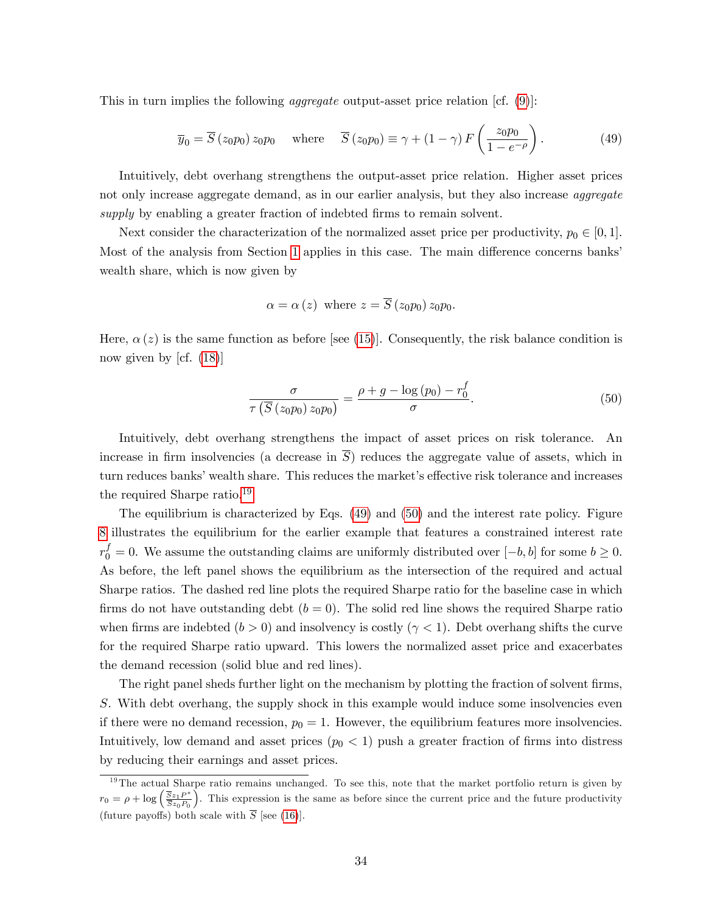This in turn implies the following *aggregate* output-asset price relation [cf. [\(9\)](#page-11-0)]:

<span id="page-35-1"></span>
$$
\overline{y}_0 = \overline{S}(z_0 p_0) z_0 p_0 \quad \text{where} \quad \overline{S}(z_0 p_0) \equiv \gamma + (1 - \gamma) F\left(\frac{z_0 p_0}{1 - e^{-\rho}}\right). \tag{49}
$$

Intuitively, debt overhang strengthens the output-asset price relation. Higher asset prices not only increase aggregate demand, as in our earlier analysis, but they also increase *aggregate* supply by enabling a greater fraction of indebted firms to remain solvent.

Next consider the characterization of the normalized asset price per productivity,  $p_0 \in [0, 1]$ . Most of the analysis from Section [1](#page-8-0) applies in this case. The main difference concerns banks wealth share, which is now given by

$$
\alpha = \alpha(z)
$$
 where  $z = \overline{S}(z_0p_0) z_0p_0$ .

Here,  $\alpha(z)$  is the same function as before [see [\(15\)](#page-13-3)]. Consequently, the risk balance condition is now given by  $|cf. (18)|$  $|cf. (18)|$  $|cf. (18)|$ 

<span id="page-35-2"></span>
$$
\frac{\sigma}{\tau\left(\overline{S}\left(z_{0}p_{0}\right)z_{0}p_{0}\right)} = \frac{\rho + g - \log\left(p_{0}\right) - r_{0}^{f}}{\sigma}.\tag{50}
$$

Intuitively, debt overhang strengthens the impact of asset prices on risk tolerance. An increase in firm insolvencies (a decrease in  $\overline{S}$ ) reduces the aggregate value of assets, which in turn reduces banks' wealth share. This reduces the market's effective risk tolerance and increases the required Sharpe ratio.[19](#page-35-0)

The equilibrium is characterized by Eqs. [\(49\)](#page-35-1) and [\(50\)](#page-35-2) and the interest rate policy. Figure [8](#page-36-1) illustrates the equilibrium for the earlier example that features a constrained interest rate  $r_0^f = 0$ . We assume the outstanding claims are uniformly distributed over  $[-b, b]$  for some  $b \ge 0$ . As before, the left panel shows the equilibrium as the intersection of the required and actual Sharpe ratios. The dashed red line plots the required Sharpe ratio for the baseline case in which firms do not have outstanding debt  $(b = 0)$ . The solid red line shows the required Sharpe ratio when firms are indebted  $(b > 0)$  and insolvency is costly  $(\gamma < 1)$ . Debt overhang shifts the curve for the required Sharpe ratio upward. This lowers the normalized asset price and exacerbates the demand recession (solid blue and red lines).

The right panel sheds further light on the mechanism by plotting the fraction of solvent firms, S. With debt overhang, the supply shock in this example would induce some insolvencies even if there were no demand recession,  $p_0 = 1$ . However, the equilibrium features more insolvencies. Intuitively, low demand and asset prices  $(p_0 < 1)$  push a greater fraction of firms into distress by reducing their earnings and asset prices.

<span id="page-35-0"></span> $19$ The actual Sharpe ratio remains unchanged. To see this, note that the market portfolio return is given by  $r_0 = \rho + \log \left( \frac{\overline{S}z_1 P^*}{\overline{S}z_0 P_0} \right)$  . This expression is the same as before since the current price and the future productivity (future payoffs) both scale with  $\overline{S}$  [see [\(16\)](#page-13-4)].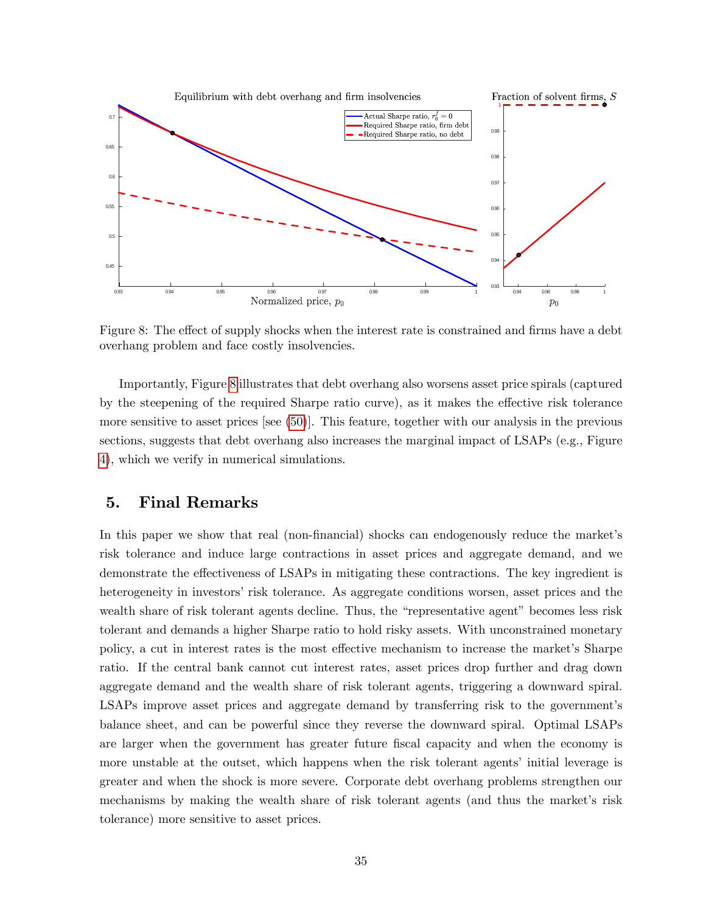

<span id="page-36-1"></span>Figure 8: The effect of supply shocks when the interest rate is constrained and firms have a debt overhang problem and face costly insolvencies.

Importantly, Figure [8](#page-36-1) illustrates that debt overhang also worsens asset price spirals (captured by the steepening of the required Sharpe ratio curve), as it makes the effective risk tolerance more sensitive to asset prices [see [\(50\)](#page-35-2)]. This feature, together with our analysis in the previous sections, suggests that debt overhang also increases the marginal impact of LSAPs (e.g., Figure [4\)](#page-23-0), which we verify in numerical simulations.

# <span id="page-36-0"></span>5. Final Remarks

In this paper we show that real (non-financial) shocks can endogenously reduce the market's risk tolerance and induce large contractions in asset prices and aggregate demand, and we demonstrate the effectiveness of LSAPs in mitigating these contractions. The key ingredient is heterogeneity in investors' risk tolerance. As aggregate conditions worsen, asset prices and the wealth share of risk tolerant agents decline. Thus, the "representative agent" becomes less risk tolerant and demands a higher Sharpe ratio to hold risky assets. With unconstrained monetary policy, a cut in interest rates is the most effective mechanism to increase the market's Sharpe ratio. If the central bank cannot cut interest rates, asset prices drop further and drag down aggregate demand and the wealth share of risk tolerant agents, triggering a downward spiral. LSAPs improve asset prices and aggregate demand by transferring risk to the government's balance sheet, and can be powerful since they reverse the downward spiral. Optimal LSAPs are larger when the government has greater future fiscal capacity and when the economy is more unstable at the outset, which happens when the risk tolerant agents' initial leverage is greater and when the shock is more severe. Corporate debt overhang problems strengthen our mechanisms by making the wealth share of risk tolerant agents (and thus the market's risk tolerance) more sensitive to asset prices.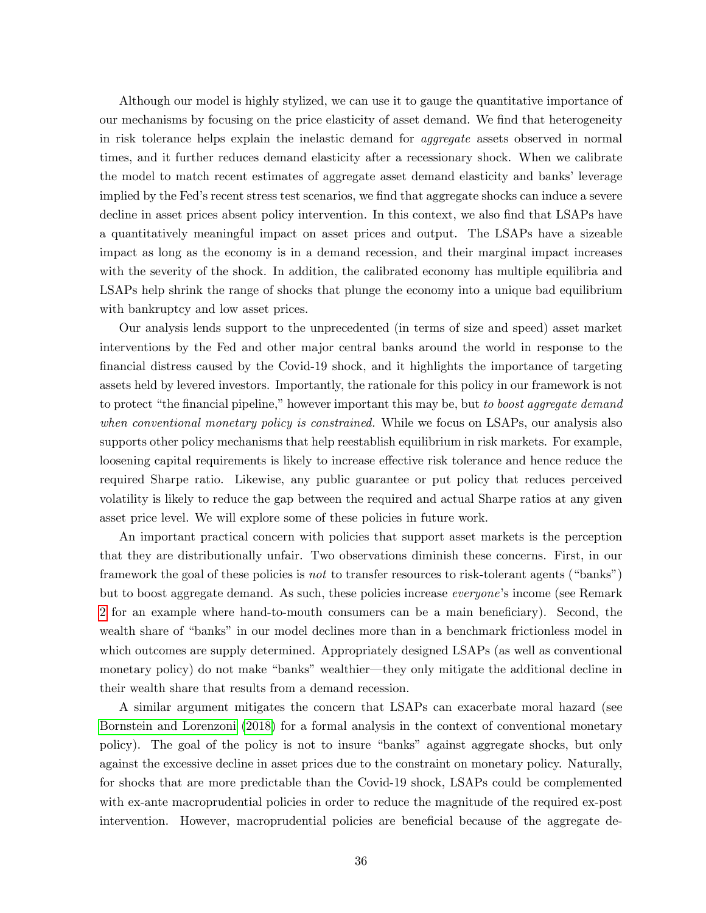Although our model is highly stylized, we can use it to gauge the quantitative importance of our mechanisms by focusing on the price elasticity of asset demand. We find that heterogeneity in risk tolerance helps explain the inelastic demand for aggregate assets observed in normal times, and it further reduces demand elasticity after a recessionary shock. When we calibrate the model to match recent estimates of aggregate asset demand elasticity and banks' leverage implied by the Fed's recent stress test scenarios, we find that aggregate shocks can induce a severe decline in asset prices absent policy intervention. In this context, we also find that LSAPs have a quantitatively meaningful impact on asset prices and output. The LSAPs have a sizeable impact as long as the economy is in a demand recession, and their marginal impact increases with the severity of the shock. In addition, the calibrated economy has multiple equilibria and LSAPs help shrink the range of shocks that plunge the economy into a unique bad equilibrium with bankruptcy and low asset prices.

Our analysis lends support to the unprecedented (in terms of size and speed) asset market interventions by the Fed and other major central banks around the world in response to the Önancial distress caused by the Covid-19 shock, and it highlights the importance of targeting assets held by levered investors. Importantly, the rationale for this policy in our framework is not to protect "the financial pipeline," however important this may be, but to boost aggregate demand when conventional monetary policy is constrained. While we focus on LSAPs, our analysis also supports other policy mechanisms that help reestablish equilibrium in risk markets. For example, loosening capital requirements is likely to increase effective risk tolerance and hence reduce the required Sharpe ratio. Likewise, any public guarantee or put policy that reduces perceived volatility is likely to reduce the gap between the required and actual Sharpe ratios at any given asset price level. We will explore some of these policies in future work.

An important practical concern with policies that support asset markets is the perception that they are distributionally unfair. Two observations diminish these concerns. First, in our framework the goal of these policies is *not* to transfer resources to risk-tolerant agents ("banks") but to boost aggregate demand. As such, these policies increase *everyone*'s income (see Remark [2](#page-15-1) for an example where hand-to-mouth consumers can be a main beneficiary). Second, the wealth share of "banks" in our model declines more than in a benchmark frictionless model in which outcomes are supply determined. Appropriately designed LSAPs (as well as conventional monetary policy) do not make "banks" wealthier—they only mitigate the additional decline in their wealth share that results from a demand recession.

A similar argument mitigates the concern that LSAPs can exacerbate moral hazard (see [Bornstein and Lorenzoni](#page-57-18) [\(2018\)](#page-57-18) for a formal analysis in the context of conventional monetary policy). The goal of the policy is not to insure "banks" against aggregate shocks, but only against the excessive decline in asset prices due to the constraint on monetary policy. Naturally, for shocks that are more predictable than the Covid-19 shock, LSAPs could be complemented with ex-ante macroprudential policies in order to reduce the magnitude of the required ex-post intervention. However, macroprudential policies are beneficial because of the aggregate de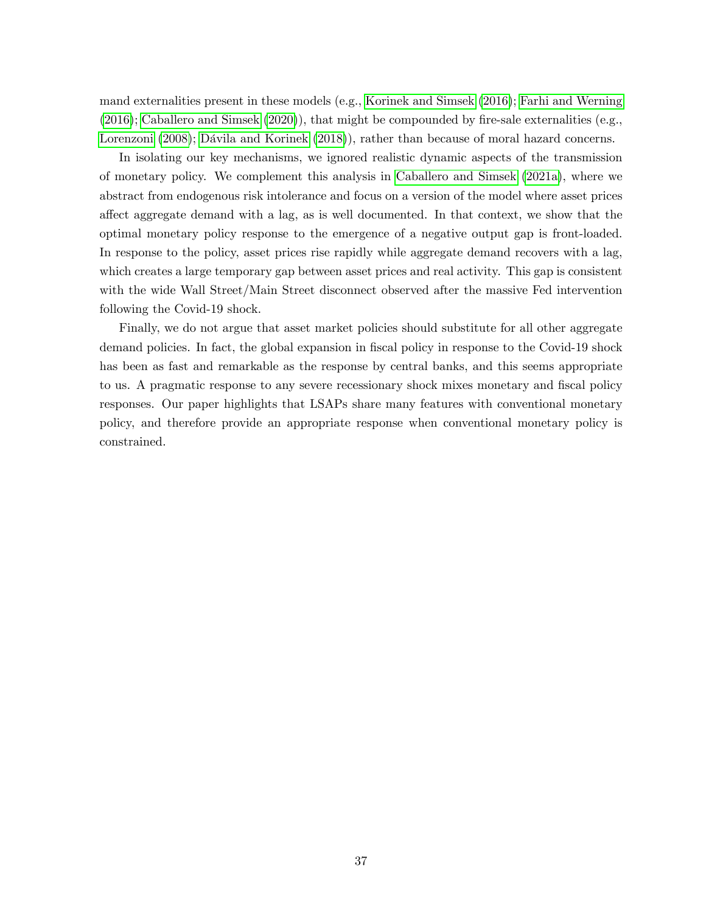mand externalities present in these models (e.g., [Korinek and Simsek](#page-60-18) [\(2016\)](#page-60-18); [Farhi and Werning](#page-59-20)  $(2016)$ ; [Caballero and Simsek](#page-58-0)  $(2020)$ ), that might be compounded by fire-sale externalities (e.g., [Lorenzoni](#page-60-19) [\(2008\)](#page-60-19); Dávila and Korinek [\(2018\)](#page-58-18)), rather than because of moral hazard concerns.

In isolating our key mechanisms, we ignored realistic dynamic aspects of the transmission of monetary policy. We complement this analysis in [Caballero and Simsek](#page-58-19) [\(2021a\)](#page-58-19), where we abstract from endogenous risk intolerance and focus on a version of the model where asset prices affect aggregate demand with a lag, as is well documented. In that context, we show that the optimal monetary policy response to the emergence of a negative output gap is front-loaded. In response to the policy, asset prices rise rapidly while aggregate demand recovers with a lag, which creates a large temporary gap between asset prices and real activity. This gap is consistent with the wide Wall Street/Main Street disconnect observed after the massive Fed intervention following the Covid-19 shock.

Finally, we do not argue that asset market policies should substitute for all other aggregate demand policies. In fact, the global expansion in fiscal policy in response to the Covid-19 shock has been as fast and remarkable as the response by central banks, and this seems appropriate to us. A pragmatic response to any severe recessionary shock mixes monetary and fiscal policy responses. Our paper highlights that LSAPs share many features with conventional monetary policy, and therefore provide an appropriate response when conventional monetary policy is constrained.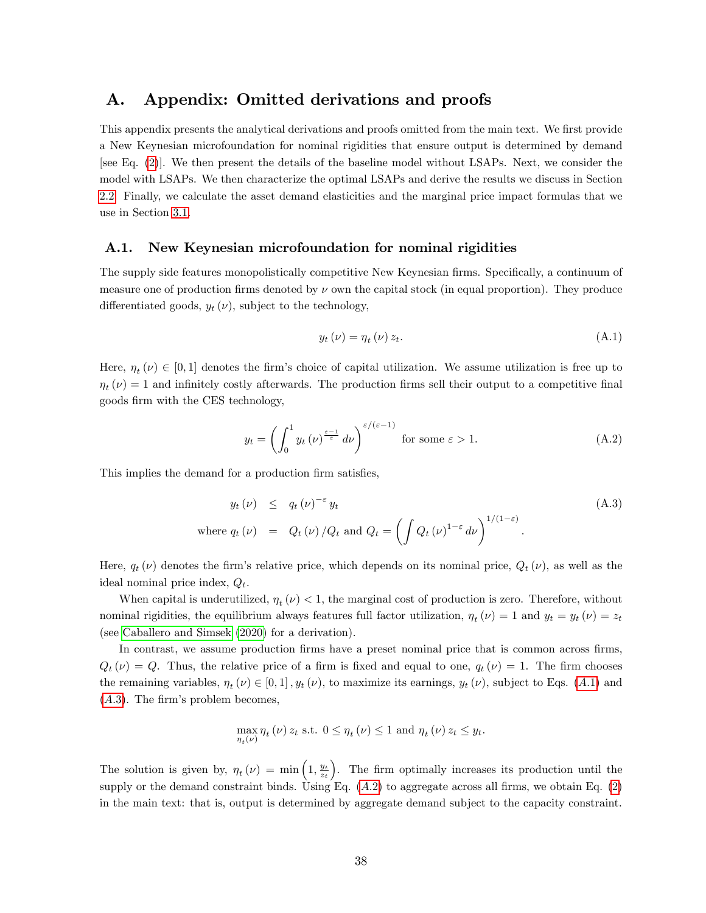# A. Appendix: Omitted derivations and proofs

This appendix presents the analytical derivations and proofs omitted from the main text. We first provide a New Keynesian microfoundation for nominal rigidities that ensure output is determined by demand [see Eq. [\(2\)](#page-9-1)]. We then present the details of the baseline model without LSAPs. Next, we consider the model with LSAPs. We then characterize the optimal LSAPs and derive the results we discuss in Section [2.2.](#page-24-2) Finally, we calculate the asset demand elasticities and the marginal price impact formulas that we use in Section [3.1.](#page-26-0)

### <span id="page-39-0"></span>A.1. New Keynesian microfoundation for nominal rigidities

The supply side features monopolistically competitive New Keynesian firms. Specifically, a continuum of measure one of production firms denoted by  $\nu$  own the capital stock (in equal proportion). They produce differentiated goods,  $y_t(\nu)$ , subject to the technology,

<span id="page-39-1"></span>
$$
y_t(\nu) = \eta_t(\nu) z_t. \tag{A.1}
$$

Here,  $\eta_t(\nu) \in [0, 1]$  denotes the firm's choice of capital utilization. We assume utilization is free up to  $\eta_t(\nu) = 1$  and infinitely costly afterwards. The production firms sell their output to a competitive final goods Örm with the CES technology,

<span id="page-39-3"></span>
$$
y_t = \left(\int_0^1 y_t \left(\nu\right)^{\frac{\varepsilon - 1}{\varepsilon}} d\nu\right)^{\varepsilon/(\varepsilon - 1)} \text{ for some } \varepsilon > 1. \tag{A.2}
$$

This implies the demand for a production firm satisfies,

<span id="page-39-2"></span>
$$
y_t(\nu) \le q_t(\nu)^{-\varepsilon} y_t
$$
  
where  $q_t(\nu) = Q_t(\nu) / Q_t$  and  $Q_t = \left( \int Q_t(\nu)^{1-\varepsilon} d\nu \right)^{1/(1-\varepsilon)}$ . (A.3)

Here,  $q_t(\nu)$  denotes the firm's relative price, which depends on its nominal price,  $Q_t(\nu)$ , as well as the ideal nominal price index,  $Q_t$ .

When capital is underutilized,  $\eta_t(\nu) < 1$ , the marginal cost of production is zero. Therefore, without nominal rigidities, the equilibrium always features full factor utilization,  $\eta_t(\nu) = 1$  and  $y_t = y_t(\nu) = z_t$ (see [Caballero and Simsek](#page-58-0) [\(2020\)](#page-58-0) for a derivation).

In contrast, we assume production firms have a preset nominal price that is common across firms,  $Q_t(\nu) = Q$ . Thus, the relative price of a firm is fixed and equal to one,  $q_t(\nu) = 1$ . The firm chooses the remaining variables,  $\eta_t(\nu) \in [0, 1]$ ,  $y_t(\nu)$ , to maximize its earnings,  $y_t(\nu)$ , subject to Eqs. (A.1) and  $(A.3)$ . The firm's problem becomes,

$$
\max_{\eta_t(\nu)} \eta_t(\nu) z_t \text{ s.t. } 0 \le \eta_t(\nu) \le 1 \text{ and } \eta_t(\nu) z_t \le y_t.
$$

The solution is given by,  $\eta_t(\nu) = \min\left(1, \frac{y_t}{z_t}\right)$ ). The firm optimally increases its production until the supply or the demand constraint binds. Using Eq.  $(A.2)$  to aggregate across all firms, we obtain Eq.  $(2)$ in the main text: that is, output is determined by aggregate demand subject to the capacity constraint.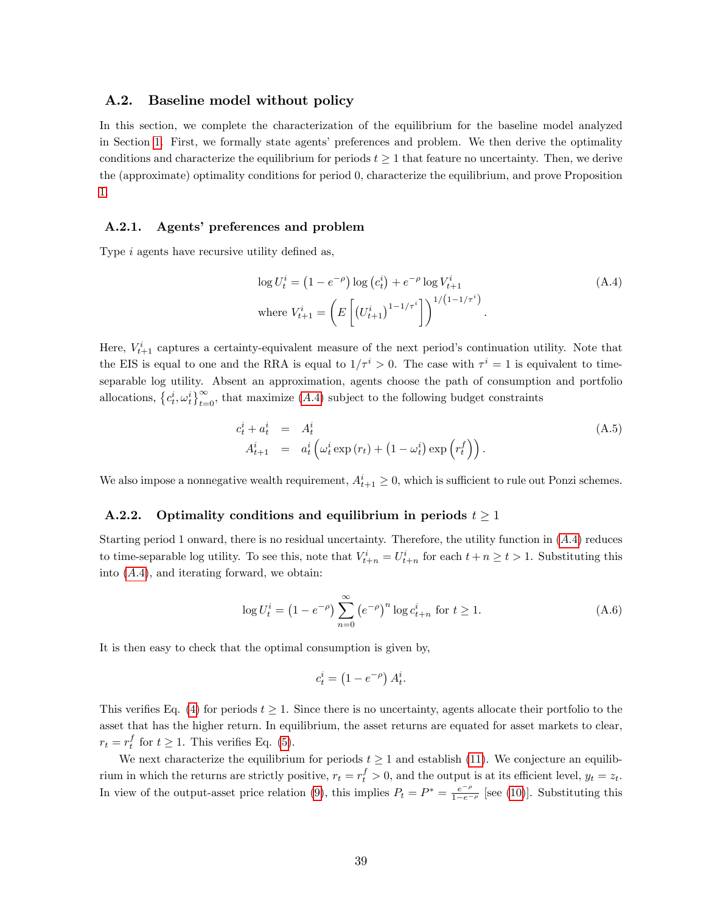### <span id="page-40-0"></span>A.2. Baseline model without policy

In this section, we complete the characterization of the equilibrium for the baseline model analyzed in Section [1.](#page-8-0) First, we formally state agents' preferences and problem. We then derive the optimality conditions and characterize the equilibrium for periods  $t \geq 1$  that feature no uncertainty. Then, we derive the (approximate) optimality conditions for period 0, characterize the equilibrium, and prove Proposition [1.](#page-17-2)

#### A.2.1. Agents' preferences and problem

Type  $i$  agents have recursive utility defined as,

<span id="page-40-2"></span>
$$
\log U_t^i = (1 - e^{-\rho}) \log (c_t^i) + e^{-\rho} \log V_{t+1}^i
$$
\nwhere  $V_{t+1}^i = \left( E \left[ (U_{t+1}^i)^{1-1/\tau^i} \right] \right)^{1/(1-1/\tau^i)}$ .

\n(A.4)

Here,  $V_{t+1}^i$  captures a certainty-equivalent measure of the next period's continuation utility. Note that the EIS is equal to one and the RRA is equal to  $1/\tau^i > 0$ . The case with  $\tau^i = 1$  is equivalent to timeseparable log utility. Absent an approximation, agents choose the path of consumption and portfolio allocations,  $\{c_t^i, \omega_t^i\}_{t=0}^{\infty}$ , that maximize  $(A.4)$  subject to the following budget constraints

<span id="page-40-3"></span>
$$
c_t^i + a_t^i = A_t^i
$$
  
\n
$$
A_{t+1}^i = a_t^i \left( \omega_t^i \exp(r_t) + (1 - \omega_t^i) \exp\left(r_t^f\right) \right).
$$
\n(A.5)

We also impose a nonnegative wealth requirement,  $A_{t+1}^i \geq 0$ , which is sufficient to rule out Ponzi schemes.

#### <span id="page-40-1"></span>A.2.2. Optimality conditions and equilibrium in periods  $t \geq 1$

Starting period 1 onward, there is no residual uncertainty. Therefore, the utility function in ([A:](#page-40-2)4) reduces to time-separable log utility. To see this, note that  $V_{t+n}^i = U_{t+n}^i$  for each  $t+n \ge t > 1$ . Substituting this into  $(A.4)$ , and iterating forward, we obtain:

<span id="page-40-4"></span>
$$
\log U_t^i = \left(1 - e^{-\rho}\right) \sum_{n=0}^{\infty} \left(e^{-\rho}\right)^n \log c_{t+n}^i \text{ for } t \ge 1.
$$
 (A.6)

It is then easy to check that the optimal consumption is given by,

$$
c_t^i = \left(1 - e^{-\rho}\right) A_t^i.
$$

This verifies Eq. [\(4\)](#page-10-3) for periods  $t \geq 1$ . Since there is no uncertainty, agents allocate their portfolio to the asset that has the higher return. In equilibrium, the asset returns are equated for asset markets to clear,  $r_t = r_t^f$  for  $t \ge 1$ . This verifies Eq. [\(5\)](#page-10-4).

We next characterize the equilibrium for periods  $t \geq 1$  and establish [\(11\)](#page-12-0). We conjecture an equilibrium in which the returns are strictly positive,  $r_t = r_t^f > 0$ , and the output is at its efficient level,  $y_t = z_t$ . In view of the output-asset price relation [\(9\)](#page-11-0), this implies  $P_t = P^* = \frac{e^{-\rho}}{1-e^{-\rho}}$  [see [\(10\)](#page-11-2)]. Substituting this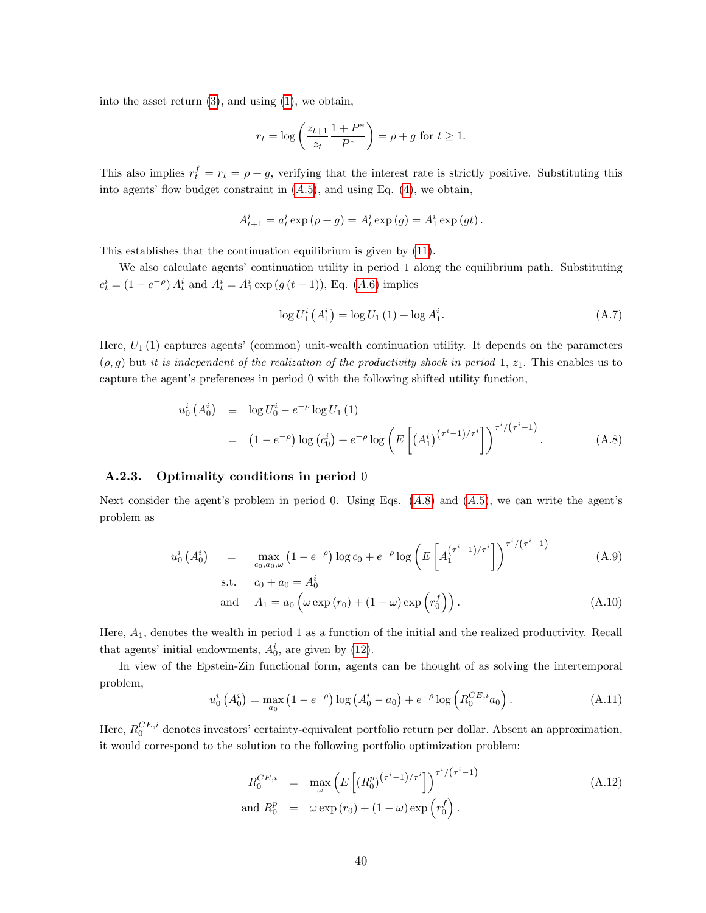into the asset return [\(3\)](#page-9-2), and using [\(1\)](#page-9-0), we obtain,

$$
r_t = \log \left( \frac{z_{t+1}}{z_t} \frac{1+P^*}{P^*} \right) = \rho + g
$$
 for  $t \ge 1$ .

This also implies  $r_t^f = r_t = \rho + g$ , verifying that the interest rate is strictly positive. Substituting this into agents' flow budget constraint in  $(A.5)$ , and using Eq.  $(4)$ , we obtain,

$$
A_{t+1}^{i} = a_{t}^{i} \exp (\rho + g) = A_{t}^{i} \exp (g) = A_{1}^{i} \exp (gt).
$$

This establishes that the continuation equilibrium is given by [\(11\)](#page-12-0).

We also calculate agents' continuation utility in period 1 along the equilibrium path. Substituting  $c_t^i = (1 - e^{-\rho}) A_t^i$  and  $A_t^i = A_1^i \exp(g(t-1))$ , Eq. (A.6) implies

<span id="page-41-4"></span>
$$
\log U_1^i\left(A_1^i\right) = \log U_1\left(1\right) + \log A_1^i. \tag{A.7}
$$

Here,  $U_1$  (1) captures agents' (common) unit-wealth continuation utility. It depends on the parameters  $(\rho, g)$  but it is independent of the realization of the productivity shock in period 1,  $z_1$ . This enables us to capture the agent's preferences in period  $0$  with the following shifted utility function,

<span id="page-41-0"></span>
$$
u_0^i(A_0^i) \equiv \log U_0^i - e^{-\rho} \log U_1(1)
$$
  
=  $(1 - e^{-\rho}) \log (c_0^i) + e^{-\rho} \log \left( E \left[ (A_1^i)^{(\tau^i - 1)/\tau^i} \right] \right)^{\tau^i/(\tau^i - 1)}.$  (A.8)

#### A.2.3. Optimality conditions in period 0

Next consider the agent's problem in period 0. Using Eqs.  $(A.8)$  and  $(A.5)$ , we can write the agent's problem as

<span id="page-41-3"></span>
$$
u_0^i\left(A_0^i\right) = \max_{c_0, a_0, \omega} \left(1 - e^{-\rho}\right) \log c_0 + e^{-\rho} \log \left(E\left[A_1^{\left(\tau^i - 1\right)/\tau^i}\right]\right)^{\tau^i / \left(\tau^i - 1\right)} \tag{A.9}
$$

s.t. 
$$
c_0 + a_0 = A_0^i
$$
  
and  $A_1 = a_0 \left( \omega \exp(r_0) + (1 - \omega) \exp\left(r_0^f\right) \right)$ . (A.10)

Here, A1, denotes the wealth in period 1 as a function of the initial and the realized productivity. Recall that agents' initial endowments,  $A_0^i$ , are given by [\(12\)](#page-12-1).

In view of the Epstein-Zin functional form, agents can be thought of as solving the intertemporal problem,

<span id="page-41-1"></span>
$$
u_0^i\left(A_0^i\right) = \max_{a_0} \left(1 - e^{-\rho}\right) \log \left(A_0^i - a_0\right) + e^{-\rho} \log \left(R_0^{CE, i} a_0\right). \tag{A.11}
$$

Here,  $R_0^{CE,i}$  denotes investors' certainty-equivalent portfolio return per dollar. Absent an approximation, it would correspond to the solution to the following portfolio optimization problem:

<span id="page-41-2"></span>
$$
R_0^{CE,i} = \max_{\omega} \left( E\left[ (R_0^p)^{(\tau^i - 1)/\tau^i} \right] \right)^{\tau^i/(\tau^i - 1)}
$$
  
and  $R_0^p = \omega \exp(r_0) + (1 - \omega) \exp(r_0^f)$ . (A.12)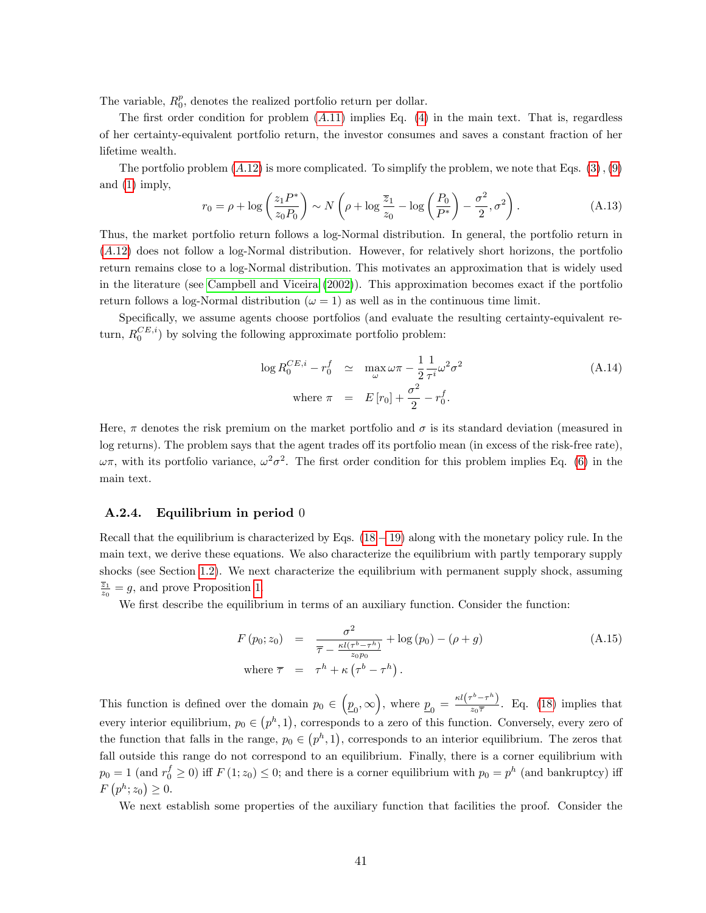The variable,  $R_0^p$ , denotes the realized portfolio return per dollar.

The first order condition for problem  $(A.11)$  $(A.11)$  implies Eq.  $(4)$  in the main text. That is, regardless of her certainty-equivalent portfolio return, the investor consumes and saves a constant fraction of her lifetime wealth.

The portfolio problem  $(A.12)$  $(A.12)$  is more complicated. To simplify the problem, we note that Eqs.  $(3), (9)$  $(3), (9)$  $(3), (9)$ and [\(1\)](#page-9-0) imply,

<span id="page-42-3"></span>
$$
r_0 = \rho + \log\left(\frac{z_1 P^*}{z_0 P_0}\right) \sim N\left(\rho + \log\frac{\overline{z}_1}{z_0} - \log\left(\frac{P_0}{P^*}\right) - \frac{\sigma^2}{2}, \sigma^2\right). \tag{A.13}
$$

Thus, the market portfolio return follows a log-Normal distribution. In general, the portfolio return in (A:[12\)](#page-41-2) does not follow a log-Normal distribution. However, for relatively short horizons, the portfolio return remains close to a log-Normal distribution. This motivates an approximation that is widely used in the literature (see [Campbell and Viceira](#page-58-16) [\(2002\)](#page-58-16)). This approximation becomes exact if the portfolio return follows a log-Normal distribution ( $\omega = 1$ ) as well as in the continuous time limit.

Specifically, we assume agents choose portfolios (and evaluate the resulting certainty-equivalent return,  $R_0^{CE,i}$ ) by solving the following approximate portfolio problem:

<span id="page-42-0"></span>
$$
\log R_0^{CE,i} - r_0^f \simeq \max_{\omega} \omega \pi - \frac{1}{2} \frac{1}{\tau^i} \omega^2 \sigma^2
$$
\nwhere  $\pi = E[r_0] + \frac{\sigma^2}{2} - r_0^f$ .

\n(A.14)

Here,  $\pi$  denotes the risk premium on the market portfolio and  $\sigma$  is its standard deviation (measured in log returns). The problem says that the agent trades off its portfolio mean (in excess of the risk-free rate),  $\omega\pi$ , with its portfolio variance,  $\omega^2\sigma^2$ . The first order condition for this problem implies Eq. [\(6\)](#page-10-0) in the main text.

#### <span id="page-42-1"></span>A.2.4. Equilibrium in period 0

Recall that the equilibrium is characterized by Eqs.  $(18 - 19)$  $(18 - 19)$  $(18 - 19)$  along with the monetary policy rule. In the main text, we derive these equations. We also characterize the equilibrium with partly temporary supply shocks (see Section [1.2\)](#page-15-3). We next characterize the equilibrium with permanent supply shock, assuming  $\frac{\overline{z}_1}{z_0} = g$ , and prove Proposition [1.](#page-17-2)

We first describe the equilibrium in terms of an auxiliary function. Consider the function:

<span id="page-42-2"></span>
$$
F(p_0; z_0) = \frac{\sigma^2}{\overline{\tau} - \frac{\kappa l (\tau^b - \tau^h)}{z_0 p_0}} + \log (p_0) - (\rho + g)
$$
\n(A.15)

\nwhere  $\overline{\tau} = \tau^h + \kappa (\tau^b - \tau^h)$ .

This function is defined over the domain  $p_0 \in (p_0, \infty)$ , where  $p_0 = \frac{\kappa l(\tau^b - \tau^h)}{z_0 \overline{\tau}}$  $\frac{1}{z_0\overline{\tau}}$ . Eq. [\(18\)](#page-13-2) implies that every interior equilibrium,  $p_0 \in (p^h, 1)$ , corresponds to a zero of this function. Conversely, every zero of the function that falls in the range,  $p_0 \in (p^h, 1)$ , corresponds to an interior equilibrium. The zeros that fall outside this range do not correspond to an equilibrium. Finally, there is a corner equilibrium with  $p_0 = 1$  (and  $r_0^f \ge 0$ ) iff  $F(1; z_0) \le 0$ ; and there is a corner equilibrium with  $p_0 = p^h$  (and bankruptcy) iff  $F(p^h; z_0) \geq 0.$ 

We next establish some properties of the auxiliary function that facilities the proof. Consider the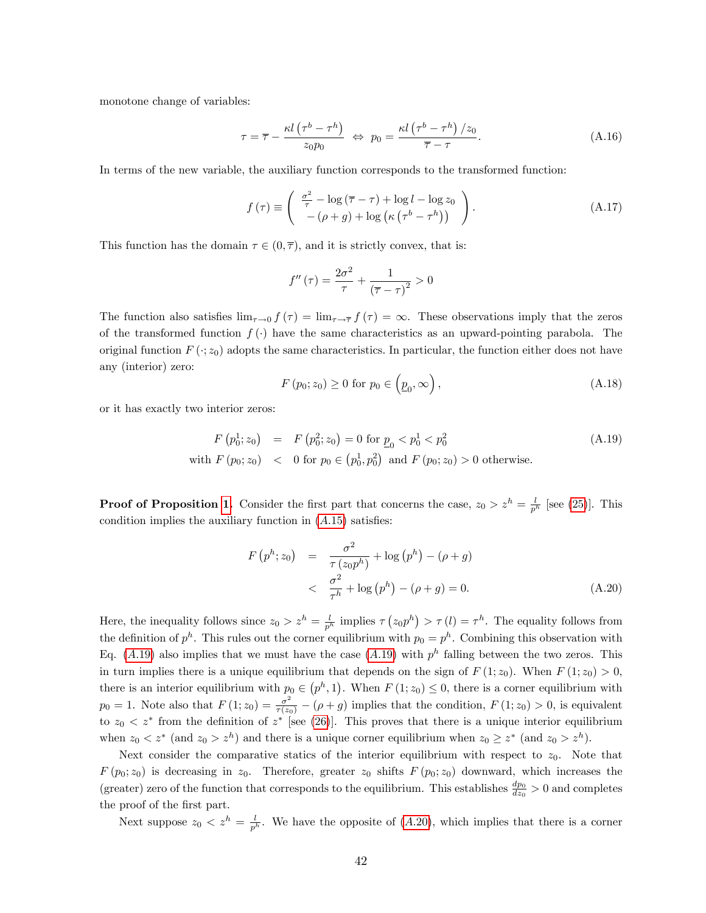monotone change of variables:

$$
\tau = \overline{\tau} - \frac{\kappa l \left(\tau^b - \tau^h\right)}{z_0 p_0} \Leftrightarrow p_0 = \frac{\kappa l \left(\tau^b - \tau^h\right) / z_0}{\overline{\tau} - \tau}.
$$
\n(A.16)

In terms of the new variable, the auxiliary function corresponds to the transformed function:

$$
f(\tau) \equiv \begin{pmatrix} \frac{\sigma^2}{\tau} - \log(\overline{\tau} - \tau) + \log l - \log z_0 \\ -(\rho + g) + \log \left(\kappa (\tau^b - \tau^h)\right) \end{pmatrix}.
$$
 (A.17)

This function has the domain  $\tau \in (0, \overline{\tau})$ , and it is strictly convex, that is:

$$
f''\left(\tau\right) = \frac{2\sigma^2}{\tau} + \frac{1}{\left(\overline{\tau} - \tau\right)^2} > 0
$$

The function also satisfies  $\lim_{\tau \to 0} f (\tau) = \lim_{\tau \to \overline{\tau}} f (\tau) = \infty$ . These observations imply that the zeros of the transformed function  $f(\cdot)$  have the same characteristics as an upward-pointing parabola. The original function  $F(\cdot; z_0)$  adopts the same characteristics. In particular, the function either does not have any (interior) zero:

<span id="page-43-2"></span>
$$
F(p_0; z_0) \ge 0 \text{ for } p_0 \in \left(\underline{p}_0, \infty\right),\tag{A.18}
$$

or it has exactly two interior zeros:

<span id="page-43-0"></span>
$$
F(p_0^1; z_0) = F(p_0^2; z_0) = 0 \text{ for } \underline{p}_0 < p_0^1 < p_0^2
$$
\n
$$
\text{with } F(p_0; z_0) < 0 \text{ for } p_0 \in (p_0^1, p_0^2) \text{ and } F(p_0; z_0) > 0 \text{ otherwise.}
$$
\n
$$
\tag{A.19}
$$

**Proof of Proposition [1.](#page-17-2)** Consider the first part that concerns the case,  $z_0 > z^h = \frac{l}{p^h}$  [see [\(25\)](#page-17-0)]. This condition implies the auxiliary function in  $(A.15)$  $(A.15)$  satisfies:

<span id="page-43-1"></span>
$$
F(p^{h}; z_{0}) = \frac{\sigma^{2}}{\tau(z_{0}p^{h})} + \log(p^{h}) - (\rho + g)
$$
  
< 
$$
< \frac{\sigma^{2}}{\tau^{h}} + \log(p^{h}) - (\rho + g) = 0.
$$
 (A.20)

Here, the inequality follows since  $z_0 > z^h = \frac{l}{p^h}$  implies  $\tau (z_0 p^h) > \tau (l) = \tau^h$ . The equality follows from the definition of  $p^h$ . This rules out the corner equilibrium with  $p_0 = p^h$ . Combining this observation with Eq. (A.[19\)](#page-43-0) also implies that we must have the case (A.19) with  $p^h$  falling between the two zeros. This in turn implies there is a unique equilibrium that depends on the sign of  $F(1; z_0)$ . When  $F(1; z_0) > 0$ , there is an interior equilibrium with  $p_0 \in (p^h, 1)$ . When  $F(1; z_0) \leq 0$ , there is a corner equilibrium with  $p_0 = 1$ . Note also that  $F(1; z_0) = \frac{\sigma^2}{\tau(z_0)} - (\rho + g)$  implies that the condition,  $F(1; z_0) > 0$ , is equivalent to  $z_0 < z^*$  from the definition of  $z^*$  [see [\(26\)](#page-17-1)]. This proves that there is a unique interior equilibrium when  $z_0 < z^*$  (and  $z_0 > z^h$ ) and there is a unique corner equilibrium when  $z_0 \geq z^*$  (and  $z_0 > z^h$ ).

Next consider the comparative statics of the interior equilibrium with respect to  $z_0$ . Note that  $F(p_0; z_0)$  is decreasing in  $z_0$ . Therefore, greater  $z_0$  shifts  $F(p_0; z_0)$  downward, which increases the (greater) zero of the function that corresponds to the equilibrium. This establishes  $\frac{dp_0}{dz_0} > 0$  and completes the proof of the first part.

Next suppose  $z_0 < z^h = \frac{l}{p^h}$ . We have the opposite of  $(A.20)$  $(A.20)$ , which implies that there is a corner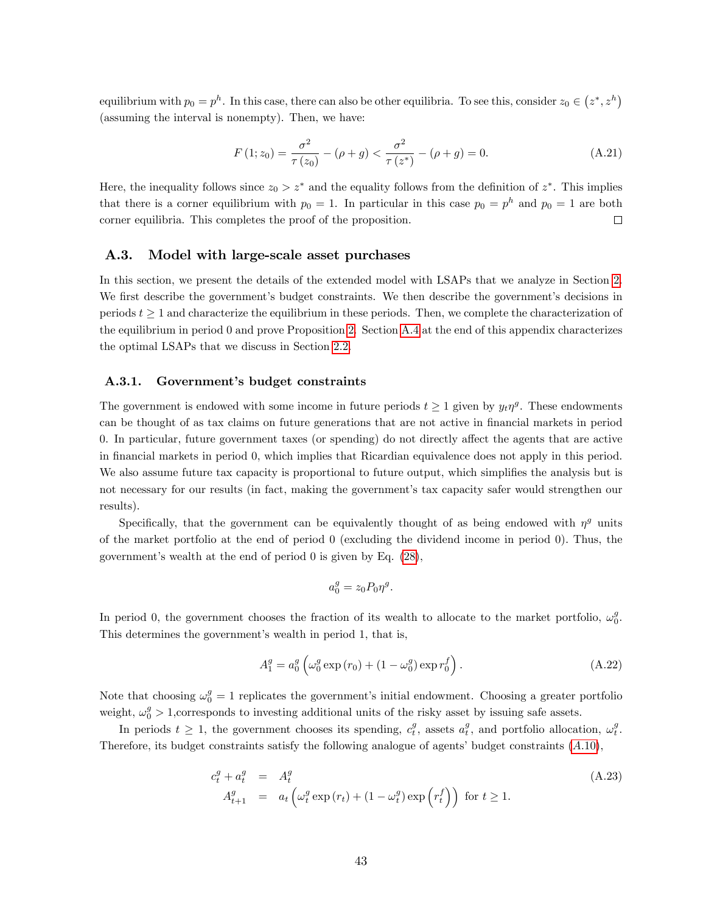equilibrium with  $p_0 = p^h$ . In this case, there can also be other equilibria. To see this, consider  $z_0 \in (z^*, z^h)$ (assuming the interval is nonempty). Then, we have:

$$
F(1; z_0) = \frac{\sigma^2}{\tau(z_0)} - (\rho + g) < \frac{\sigma^2}{\tau(z^*)} - (\rho + g) = 0. \tag{A.21}
$$

Here, the inequality follows since  $z_0 > z^*$  and the equality follows from the definition of  $z^*$ . This implies that there is a corner equilibrium with  $p_0 = 1$ . In particular in this case  $p_0 = p^h$  and  $p_0 = 1$  are both corner equilibria. This completes the proof of the proposition.  $\Box$ 

### A.3. Model with large-scale asset purchases

In this section, we present the details of the extended model with LSAPs that we analyze in Section [2.](#page-20-1) We first describe the government's budget constraints. We then describe the government's decisions in periods  $t \geq 1$  and characterize the equilibrium in these periods. Then, we complete the characterization of the equilibrium in period 0 and prove Proposition [2.](#page-22-3) Section [A.4](#page-46-0) at the end of this appendix characterizes the optimal LSAPs that we discuss in Section [2.2.](#page-24-2)

### A.3.1. Government's budget constraints

The government is endowed with some income in future periods  $t \geq 1$  given by  $y_t \eta^g$ . These endowments can be thought of as tax claims on future generations that are not active in financial markets in period 0. In particular, future government taxes (or spending) do not directly affect the agents that are active in Önancial markets in period 0, which implies that Ricardian equivalence does not apply in this period. We also assume future tax capacity is proportional to future output, which simplifies the analysis but is not necessary for our results (in fact, making the government's tax capacity safer would strengthen our results).

Specifically, that the government can be equivalently thought of as being endowed with  $\eta^g$  units of the market portfolio at the end of period 0 (excluding the dividend income in period 0). Thus, the government's wealth at the end of period  $0$  is given by Eq.  $(28)$ ,

$$
a_0^g = z_0 P_0 \eta^g.
$$

In period 0, the government chooses the fraction of its wealth to allocate to the market portfolio,  $\omega_0^g$ . This determines the government's wealth in period 1, that is,

$$
A_1^g = a_0^g \left( \omega_0^g \exp(r_0) + (1 - \omega_0^g) \exp r_0^f \right).
$$
 (A.22)

Note that choosing  $\omega_0^g = 1$  replicates the government's initial endowment. Choosing a greater portfolio weight,  $\omega_0^g > 1$ , corresponds to investing additional units of the risky asset by issuing safe assets.

In periods  $t \geq 1$ , the government chooses its spending,  $c_t^g$ , assets  $a_t^g$ , and portfolio allocation,  $\omega_t^g$ . Therefore, its budget constraints satisfy the following analogue of agents' budget constraints  $(A.10)$  $(A.10)$ ,

<span id="page-44-0"></span>
$$
c_t^g + a_t^g = A_t^g
$$
  
\n
$$
A_{t+1}^g = a_t \left( \omega_t^g \exp(r_t) + (1 - \omega_t^g) \exp\left(r_t^f\right) \right) \text{ for } t \ge 1.
$$
\n(A.23)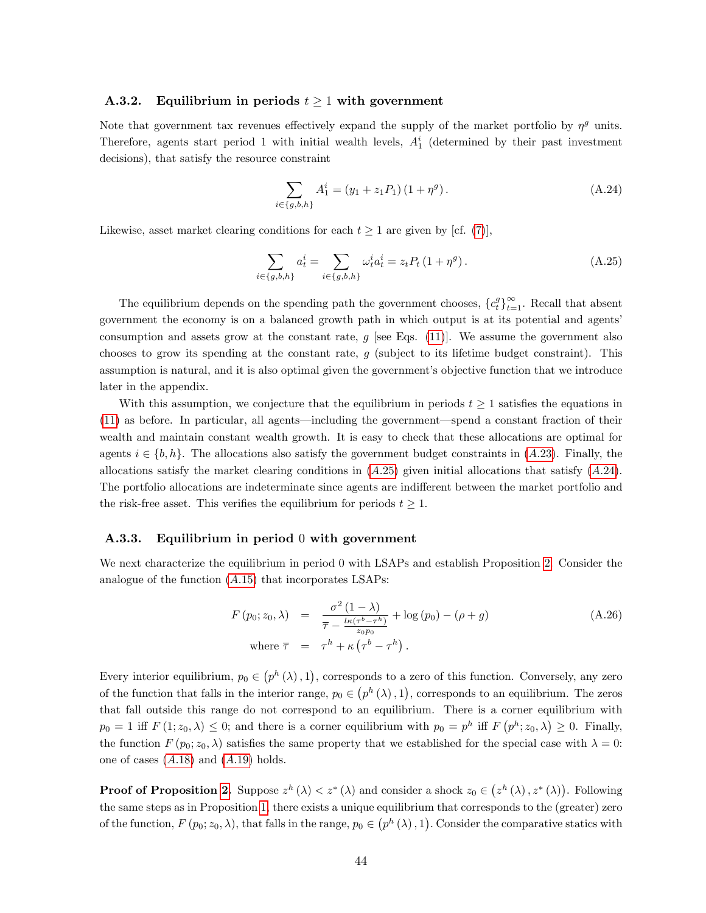### <span id="page-45-0"></span>A.3.2. Equilibrium in periods  $t \geq 1$  with government

Note that government tax revenues effectively expand the supply of the market portfolio by  $\eta^g$  units. Therefore, agents start period 1 with initial wealth levels,  $A_1^i$  (determined by their past investment decisions), that satisfy the resource constraint

<span id="page-45-3"></span>
$$
\sum_{i \in \{g,b,h\}} A_1^i = (y_1 + z_1 P_1) (1 + \eta^g).
$$
 (A.24)

Likewise, asset market clearing conditions for each  $t \geq 1$  are given by [cf. [\(7\)](#page-10-2)],

<span id="page-45-2"></span>
$$
\sum_{i \in \{g,b,h\}} a_t^i = \sum_{i \in \{g,b,h\}} \omega_t^i a_t^i = z_t P_t (1 + \eta^g).
$$
 (A.25)

The equilibrium depends on the spending path the government chooses,  ${c_t^g}_{t=1}^{\infty}$ . Recall that absent government the economy is on a balanced growth path in which output is at its potential and agentsí consumption and assets grow at the constant rate,  $g$  [see Eqs. [\(11\)](#page-12-0)]. We assume the government also chooses to grow its spending at the constant rate,  $g$  (subject to its lifetime budget constraint). This assumption is natural, and it is also optimal given the government's objective function that we introduce later in the appendix.

With this assumption, we conjecture that the equilibrium in periods  $t \geq 1$  satisfies the equations in  $(11)$  as before. In particular, all agents—including the government—spend a constant fraction of their wealth and maintain constant wealth growth. It is easy to check that these allocations are optimal for agents  $i \in \{b, h\}$ . The allocations also satisfy the government budget constraints in (A.[23\)](#page-44-0). Finally, the allocations satisfy the market clearing conditions in  $(A.25)$  $(A.25)$  given initial allocations that satisfy  $(A.24)$  $(A.24)$ . The portfolio allocations are indeterminate since agents are indifferent between the market portfolio and the risk-free asset. This verifies the equilibrium for periods  $t \geq 1$ .

#### <span id="page-45-1"></span>A.3.3. Equilibrium in period 0 with government

We next characterize the equilibrium in period 0 with LSAPs and establish Proposition [2.](#page-22-3) Consider the analogue of the function  $(A.15)$  $(A.15)$  that incorporates LSAPs:

<span id="page-45-4"></span>
$$
F(p_0; z_0, \lambda) = \frac{\sigma^2 (1 - \lambda)}{\overline{\tau} - \frac{l\kappa (\tau^b - \tau^h)}{z_0 p_0}} + \log (p_0) - (\rho + g)
$$
\n(A.26)

\nwhere  $\overline{\tau} = \tau^h + \kappa (\tau^b - \tau^h)$ .

Every interior equilibrium,  $p_0 \in (p^h(\lambda), 1)$ , corresponds to a zero of this function. Conversely, any zero of the function that falls in the interior range,  $p_0 \in (p^h(\lambda), 1)$ , corresponds to an equilibrium. The zeros that fall outside this range do not correspond to an equilibrium. There is a corner equilibrium with  $p_0 = 1$  iff  $F(1; z_0, \lambda) \leq 0$ ; and there is a corner equilibrium with  $p_0 = p^h$  iff  $F(p^h; z_0, \lambda) \geq 0$ . Finally, the function  $F(p_0; z_0, \lambda)$  satisfies the same property that we established for the special case with  $\lambda = 0$ : one of cases  $(A.18)$  $(A.18)$  and  $(A.19)$  $(A.19)$  holds.

**Proof of Proposition [2.](#page-22-3)** Suppose  $z^h(\lambda) < z^*(\lambda)$  and consider a shock  $z_0 \in (z^h(\lambda), z^*(\lambda))$ . Following the same steps as in Proposition [1,](#page-17-2) there exists a unique equilibrium that corresponds to the (greater) zero of the function,  $F(p_0; z_0, \lambda)$ , that falls in the range,  $p_0 \in (p^h(\lambda), 1)$ . Consider the comparative statics with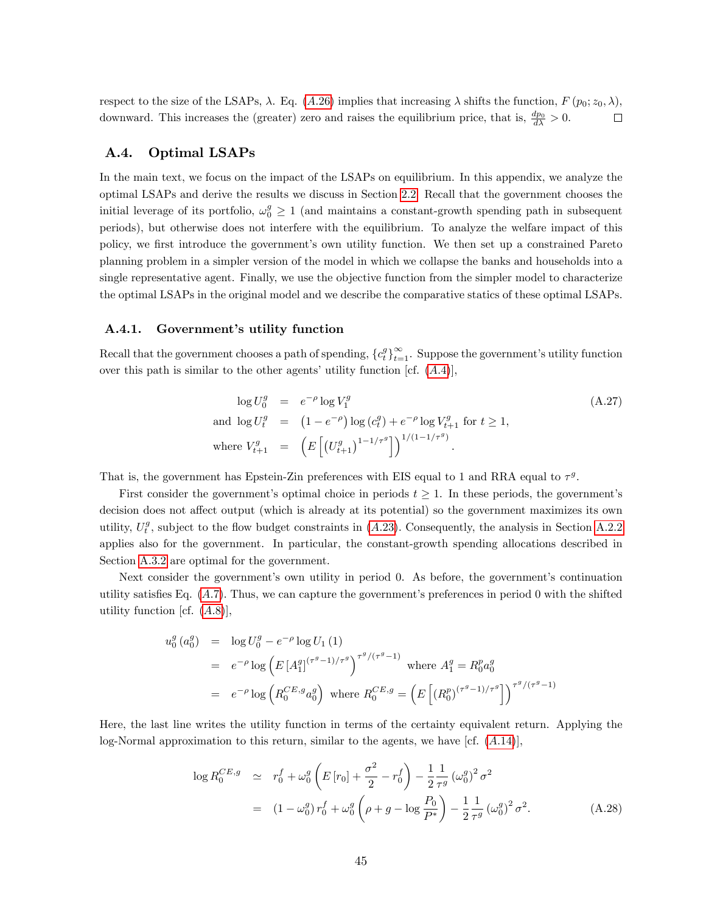respect to the size of the LSAPs,  $\lambda$ . Eq. (A.[26\)](#page-45-4) implies that increasing  $\lambda$  shifts the function,  $F(p_0; z_0, \lambda)$ , downward. This increases the (greater) zero and raises the equilibrium price, that is,  $\frac{dp_0}{d\lambda} > 0$ .  $\Box$ 

## <span id="page-46-0"></span>A.4. Optimal LSAPs

In the main text, we focus on the impact of the LSAPs on equilibrium. In this appendix, we analyze the optimal LSAPs and derive the results we discuss in Section [2.2.](#page-24-2) Recall that the government chooses the initial leverage of its portfolio,  $\omega_0^g \ge 1$  (and maintains a constant-growth spending path in subsequent periods), but otherwise does not interfere with the equilibrium. To analyze the welfare impact of this policy, we first introduce the government's own utility function. We then set up a constrained Pareto planning problem in a simpler version of the model in which we collapse the banks and households into a single representative agent. Finally, we use the objective function from the simpler model to characterize the optimal LSAPs in the original model and we describe the comparative statics of these optimal LSAPs.

### A.4.1. Government's utility function

Recall that the government chooses a path of spending,  $\{c_t^g\}_{t=1}^{\infty}$ . Suppose the government's utility function over this path is similar to the other agents' utility function [cf.  $(A.4)$ ],

$$
\log U_0^g = e^{-\rho} \log V_1^g
$$
\n
$$
\text{and } \log U_t^g = (1 - e^{-\rho}) \log (c_t^g) + e^{-\rho} \log V_{t+1}^g \text{ for } t \ge 1,
$$
\n
$$
\text{where } V_{t+1}^g = \left( E \left[ (U_{t+1}^g)^{1-1/\tau^g} \right] \right)^{1/(1-1/\tau^g)}.
$$
\n(A.27)

That is, the government has Epstein-Zin preferences with EIS equal to 1 and RRA equal to  $\tau^g$ .

First consider the government's optimal choice in periods  $t \geq 1$ . In these periods, the government's decision does not affect output (which is already at its potential) so the government maximizes its own utility,  $U_t^g$ , subject to the flow budget constraints in (A.[23\)](#page-44-0). Consequently, the analysis in Section [A.2.2](#page-40-1) applies also for the government. In particular, the constant-growth spending allocations described in Section [A.3.2](#page-45-0) are optimal for the government.

Next consider the government's own utility in period 0. As before, the government's continuation utility satisfies Eq.  $(A.7)$ . Thus, we can capture the government's preferences in period 0 with the shifted utility function [cf.  $(A.8)$ ],

$$
u_0^g (a_0^g) = \log U_0^g - e^{-\rho} \log U_1 (1)
$$
  
=  $e^{-\rho} \log \left( E[A_1^{g}]^{(\tau^g - 1)/\tau^g} \right)^{\tau^g/(\tau^g - 1)}$  where  $A_1^g = R_0^p a_0^g$   
=  $e^{-\rho} \log \left( R_0^{CE, g} a_0^g \right)$  where  $R_0^{CE, g} = \left( E \left[ (R_0^p)^{(\tau^g - 1)/\tau^g} \right] \right)^{\tau^g/(\tau^g - 1)}$ 

Here, the last line writes the utility function in terms of the certainty equivalent return. Applying the log-Normal approximation to this return, similar to the agents, we have  $[\text{cf. } (A.14)],$  $[\text{cf. } (A.14)],$  $[\text{cf. } (A.14)],$ 

<span id="page-46-1"></span>
$$
\log R_0^{CE,g} \simeq r_0^f + \omega_0^g \left( E[r_0] + \frac{\sigma^2}{2} - r_0^f \right) - \frac{1}{2} \frac{1}{\tau^g} \left( \omega_0^g \right)^2 \sigma^2
$$
  
= 
$$
(1 - \omega_0^g) r_0^f + \omega_0^g \left( \rho + g - \log \frac{P_0}{P^*} \right) - \frac{1}{2} \frac{1}{\tau^g} \left( \omega_0^g \right)^2 \sigma^2.
$$
 (A.28)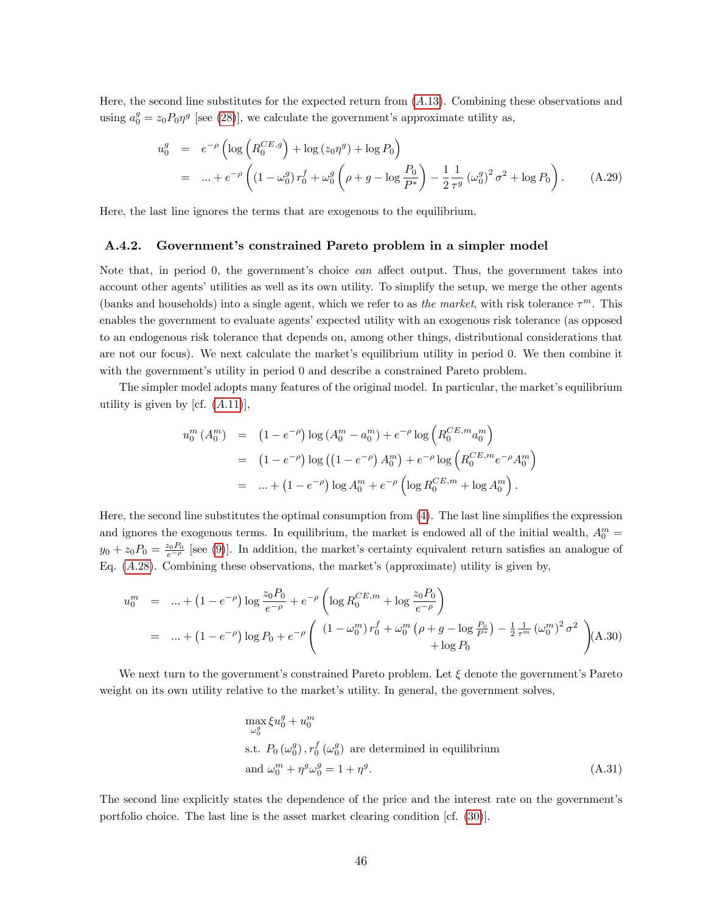Here, the second line substitutes for the expected return from (A:[13\)](#page-42-3). Combining these observations and using  $a_0^g = z_0 P_0 \eta^g$  [see [\(28\)](#page-20-2)], we calculate the government's approximate utility as,

<span id="page-47-0"></span>
$$
u_0^g = e^{-\rho} \left( \log \left( R_0^{CE, g} \right) + \log (z_0 \eta^g) + \log P_0 \right)
$$
  
= ... +  $e^{-\rho} \left( (1 - \omega_0^g) r_0^f + \omega_0^g \left( \rho + g - \log \frac{P_0}{P^*} \right) - \frac{1}{2} \frac{1}{\tau^g} (\omega_0^g)^2 \sigma^2 + \log P_0 \right)$ . (A.29)

Here, the last line ignores the terms that are exogenous to the equilibrium.

#### A.4.2. Governmentís constrained Pareto problem in a simpler model

Note that, in period 0, the government's choice *can* affect output. Thus, the government takes into account other agents' utilities as well as its own utility. To simplify the setup, we merge the other agents (banks and households) into a single agent, which we refer to as the market, with risk tolerance  $\tau^m$ . This enables the government to evaluate agents' expected utility with an exogenous risk tolerance (as opposed to an endogenous risk tolerance that depends on, among other things, distributional considerations that are not our focus). We next calculate the market's equilibrium utility in period 0. We then combine it with the government's utility in period 0 and describe a constrained Pareto problem.

The simpler model adopts many features of the original model. In particular, the market's equilibrium utility is given by [cf.  $(A.11)$  $(A.11)$ ],

$$
u_0^m(A_0^m) = (1 - e^{-\rho}) \log (A_0^m - a_0^m) + e^{-\rho} \log \left( R_0^{CE,m} a_0^m \right)
$$
  
= 
$$
(1 - e^{-\rho}) \log \left( (1 - e^{-\rho}) A_0^m \right) + e^{-\rho} \log \left( R_0^{CE,m} e^{-\rho} A_0^m \right)
$$
  
= 
$$
\dots + (1 - e^{-\rho}) \log A_0^m + e^{-\rho} \left( \log R_0^{CE,m} + \log A_0^m \right).
$$

Here, the second line substitutes the optimal consumption from  $(4)$ . The last line simplifies the expression and ignores the exogenous terms. In equilibrium, the market is endowed all of the initial wealth,  $A_0^m$  =  $y_0 + z_0 P_0 = \frac{z_0 P_0}{e^{-\rho}}$  [see [\(9\)](#page-11-0)]. In addition, the market's certainty equivalent return satisfies an analogue of Eq.  $(A.28)$  $(A.28)$ . Combining these observations, the market's (approximate) utility is given by,

<span id="page-47-1"></span>
$$
u_0^m = \dots + (1 - e^{-\rho}) \log \frac{z_0 P_0}{e^{-\rho}} + e^{-\rho} \left( \log R_0^{CE,m} + \log \frac{z_0 P_0}{e^{-\rho}} \right)
$$
  
= 
$$
\dots + (1 - e^{-\rho}) \log P_0 + e^{-\rho} \left( \frac{(1 - \omega_0^m) r_0^f + \omega_0^m \left( \rho + g - \log \frac{P_0}{P^*} \right) - \frac{1}{2} \frac{1}{\tau^m} (\omega_0^m)^2 \sigma^2}{+ \log P_0} \right) (A.30)
$$

We next turn to the government's constrained Pareto problem. Let  $\xi$  denote the government's Pareto weight on its own utility relative to the market's utility. In general, the government solves,

<span id="page-47-2"></span>
$$
\max_{\omega_0^g} \xi u_0^g + u_0^m
$$
  
s.t.  $P_0(\omega_0^g), r_0^f(\omega_0^g)$  are determined in equilibrium  
and  $\omega_0^m + \eta^g \omega_0^g = 1 + \eta^g$ . (A.31)

The second line explicitly states the dependence of the price and the interest rate on the government's portfolio choice. The last line is the asset market clearing condition [cf. [\(30\)](#page-21-2)].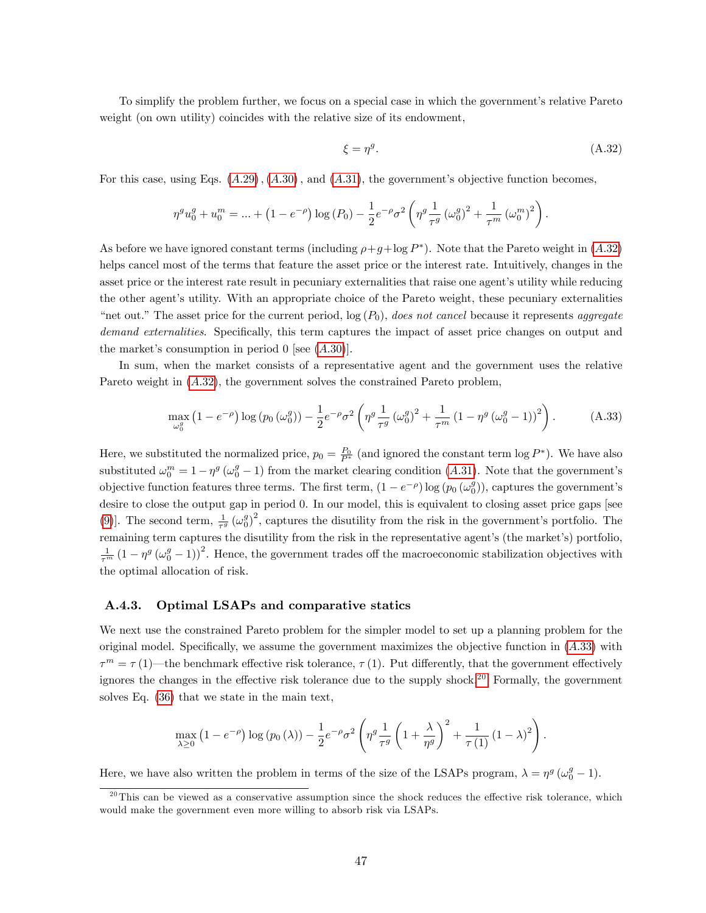To simplify the problem further, we focus on a special case in which the government's relative Pareto weight (on own utility) coincides with the relative size of its endowment,

<span id="page-48-0"></span>
$$
\xi = \eta^g. \tag{A.32}
$$

For this case, using Eqs.  $(A.29)$  $(A.29)$ ,  $(A.30)$  $(A.30)$ , and  $(A.31)$  $(A.31)$ , the government's objective function becomes,

$$
\eta^g u_0^g + u_0^m = \dots + (1 - e^{-\rho}) \log(P_0) - \frac{1}{2} e^{-\rho} \sigma^2 \left( \eta^g \frac{1}{\tau^g} \left( \omega_0^g \right)^2 + \frac{1}{\tau^m} \left( \omega_0^m \right)^2 \right).
$$

As before we have ignored constant terms (including  $\rho + g + \log P^*$ ). Note that the Pareto weight in  $(A.32)$  $(A.32)$ helps cancel most of the terms that feature the asset price or the interest rate. Intuitively, changes in the asset price or the interest rate result in pecuniary externalities that raise one agent's utility while reducing the other agent's utility. With an appropriate choice of the Pareto weight, these pecuniary externalities "net out." The asset price for the current period,  $log(P_0)$ , does not cancel because it represents aggregate demand externalities. Specifically, this term captures the impact of asset price changes on output and the market's consumption in period  $0$  [see  $(A.30)$  $(A.30)$ ].

In sum, when the market consists of a representative agent and the government uses the relative Pareto weight in  $(A.32)$  $(A.32)$ , the government solves the constrained Pareto problem,

<span id="page-48-1"></span>
$$
\max_{\omega_0^g} \left( 1 - e^{-\rho} \right) \log \left( p_0 \left( \omega_0^g \right) \right) - \frac{1}{2} e^{-\rho} \sigma^2 \left( \eta^g \frac{1}{\tau^g} \left( \omega_0^g \right)^2 + \frac{1}{\tau^m} \left( 1 - \eta^g \left( \omega_0^g - 1 \right) \right)^2 \right). \tag{A.33}
$$

Here, we substituted the normalized price,  $p_0 = \frac{P_0}{P^*}$  (and ignored the constant term  $\log P^*$ ). We have also substituted  $\omega_0^m = 1 - \eta^g (\omega_0^g - 1)$  from the market clearing condition (A.[31\)](#page-47-2). Note that the government's objective function features three terms. The first term,  $(1 - e^{-\rho}) \log(p_0(\omega_0^g))$ , captures the government's desire to close the output gap in period 0. In our model, this is equivalent to closing asset price gaps [see [\(9\)](#page-11-0)]. The second term,  $\frac{1}{\tau^g} (\omega_0^g)^2$ , captures the disutility from the risk in the government's portfolio. The remaining term captures the disutility from the risk in the representative agent's (the market's) portfolio,  $\frac{1}{\tau^m} (1 - \eta^g (\omega_0^g - 1))^2$ . Hence, the government trades off the macroeconomic stabilization objectives with the optimal allocation of risk.

### A.4.3. Optimal LSAPs and comparative statics

We next use the constrained Pareto problem for the simpler model to set up a planning problem for the original model. Specifically, we assume the government maximizes the objective function in  $(A.33)$  $(A.33)$  with  $\tau^m = \tau(1)$ —the benchmark effective risk tolerance,  $\tau(1)$ . Put differently, that the government effectively ignores the changes in the effective risk tolerance due to the supply shock.<sup>[20](#page-48-2)</sup> Formally, the government solves Eq. [\(36\)](#page-24-1) that we state in the main text,

$$
\max_{\lambda \geq 0} \left(1 - e^{-\rho}\right) \log\left(p_0\left(\lambda\right)\right) - \frac{1}{2} e^{-\rho} \sigma^2 \left(\eta^g \frac{1}{\tau^g} \left(1 + \frac{\lambda}{\eta^g}\right)^2 + \frac{1}{\tau\left(1\right)} \left(1 - \lambda\right)^2\right).
$$

Here, we have also written the problem in terms of the size of the LSAPs program,  $\lambda = \eta^g (\omega_0^g - 1)$ .

<span id="page-48-2"></span> $^{20}$ This can be viewed as a conservative assumption since the shock reduces the effective risk tolerance, which would make the government even more willing to absorb risk via LSAPs.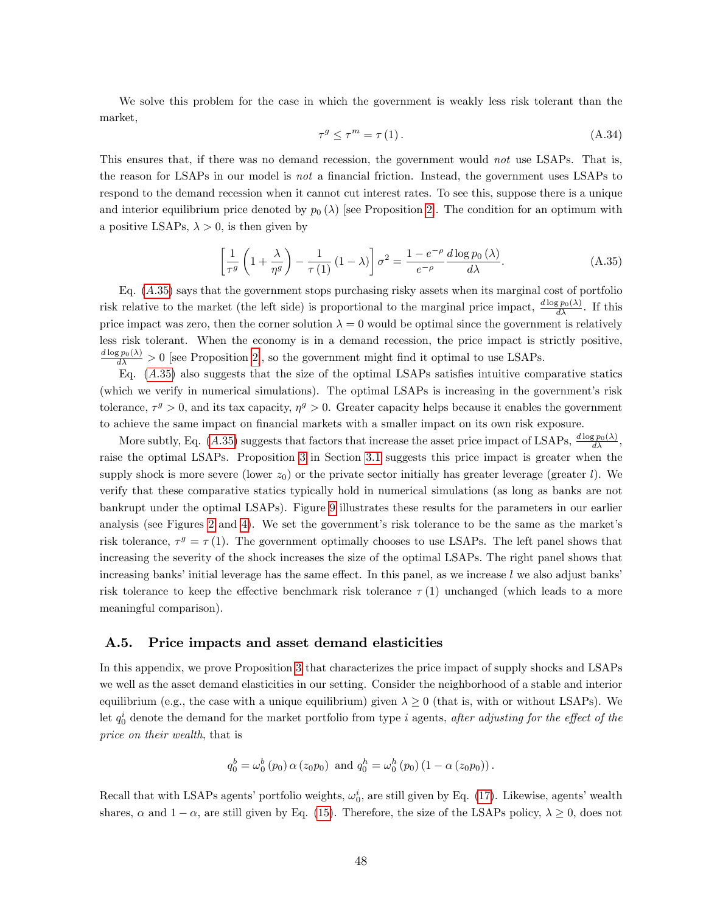We solve this problem for the case in which the government is weakly less risk tolerant than the market,

$$
\tau^g \le \tau^m = \tau(1). \tag{A.34}
$$

This ensures that, if there was no demand recession, the government would not use LSAPs. That is, the reason for LSAPs in our model is *not* a financial friction. Instead, the government uses LSAPs to respond to the demand recession when it cannot cut interest rates. To see this, suppose there is a unique and interior equilibrium price denoted by  $p_0(\lambda)$  [see Proposition [2\]](#page-22-3). The condition for an optimum with a positive LSAPs,  $\lambda > 0$ , is then given by

<span id="page-49-1"></span>
$$
\left[\frac{1}{\tau^g} \left(1 + \frac{\lambda}{\eta^g}\right) - \frac{1}{\tau(1)} \left(1 - \lambda\right)\right] \sigma^2 = \frac{1 - e^{-\rho}}{e^{-\rho}} \frac{d \log p_0(\lambda)}{d\lambda}.
$$
\n(A.35)

Eq. (A:[35\)](#page-49-1) says that the government stops purchasing risky assets when its marginal cost of portfolio risk relative to the market (the left side) is proportional to the marginal price impact,  $\frac{d \log p_0(\lambda)}{d \lambda}$ . If this price impact was zero, then the corner solution  $\lambda = 0$  would be optimal since the government is relatively less risk tolerant. When the economy is in a demand recession, the price impact is strictly positive,  $\frac{d \log p_0(\lambda)}{d \lambda} > 0$  [see Proposition [2\]](#page-22-3), so the government might find it optimal to use LSAPs.

Eq.  $(A.35)$  $(A.35)$  also suggests that the size of the optimal LSAPs satisfies intuitive comparative statics (which we verify in numerical simulations). The optimal LSAPs is increasing in the government's risk tolerance,  $\tau^g > 0$ , and its tax capacity,  $\eta^g > 0$ . Greater capacity helps because it enables the government to achieve the same impact on financial markets with a smaller impact on its own risk exposure.

More subtly, Eq.  $(A.35)$  $(A.35)$  suggests that factors that increase the asset price impact of LSAPs,  $\frac{d \log p_0(\lambda)}{d \lambda}$ , raise the optimal LSAPs. Proposition [3](#page-26-1) in Section [3.1](#page-26-0) suggests this price impact is greater when the supply shock is more severe (lower  $z_0$ ) or the private sector initially has greater leverage (greater l). We verify that these comparative statics typically hold in numerical simulations (as long as banks are not bankrupt under the optimal LSAPs). Figure [9](#page-50-0) illustrates these results for the parameters in our earlier analysis (see Figures [2](#page-18-0) and [4\)](#page-23-0). We set the government's risk tolerance to be the same as the market's risk tolerance,  $\tau^g = \tau(1)$ . The government optimally chooses to use LSAPs. The left panel shows that increasing the severity of the shock increases the size of the optimal LSAPs. The right panel shows that increasing banks' initial leverage has the same effect. In this panel, as we increase  $l$  we also adjust banks risk tolerance to keep the effective benchmark risk tolerance  $\tau(1)$  unchanged (which leads to a more meaningful comparison).

### <span id="page-49-0"></span>A.5. Price impacts and asset demand elasticities

In this appendix, we prove Proposition [3](#page-26-1) that characterizes the price impact of supply shocks and LSAPs we well as the asset demand elasticities in our setting. Consider the neighborhood of a stable and interior equilibrium (e.g., the case with a unique equilibrium) given  $\lambda \geq 0$  (that is, with or without LSAPs). We Let  $q_0^i$  denote the demand for the market portfolio from type i agents, after adjusting for the effect of the price on their wealth, that is

$$
q_0^b = \omega_0^b(p_0) \alpha(z_0 p_0)
$$
 and  $q_0^h = \omega_0^h(p_0) (1 - \alpha(z_0 p_0))$ .

Recall that with LSAPs agents' portfolio weights,  $\omega_0^i$ , are still given by Eq. [\(17\)](#page-13-1). Likewise, agents' wealth shares,  $\alpha$  and  $1 - \alpha$ , are still given by Eq. [\(15\)](#page-13-3). Therefore, the size of the LSAPs policy,  $\lambda \geq 0$ , does not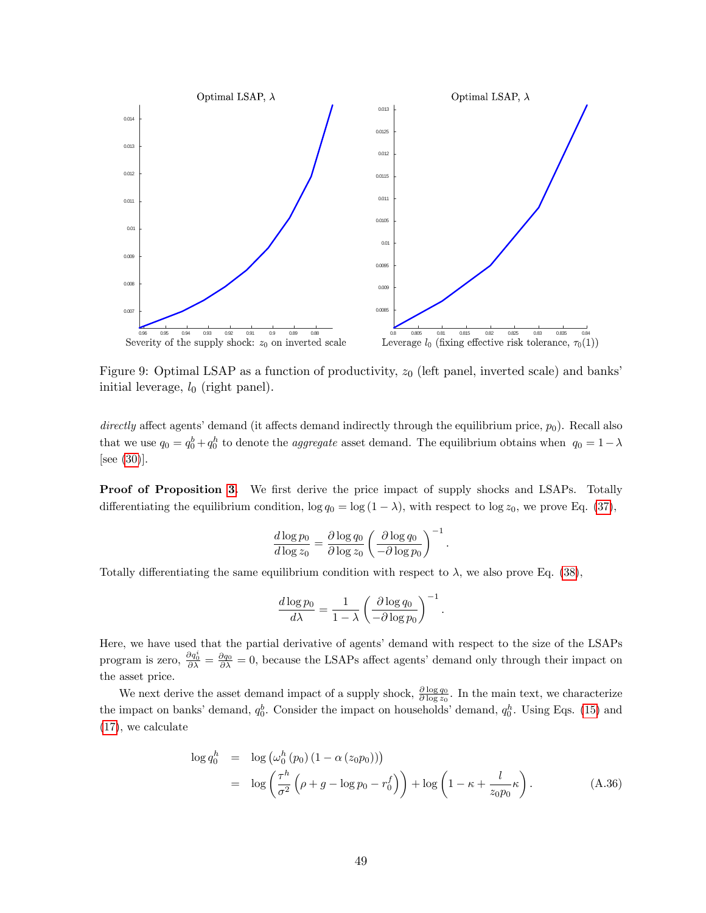

<span id="page-50-0"></span>Figure 9: Optimal LSAP as a function of productivity,  $z_0$  (left panel, inverted scale) and banks initial leverage,  $l_0$  (right panel).

directly affect agents' demand (it affects demand indirectly through the equilibrium price,  $p_0$ ). Recall also that we use  $q_0 = q_0^b + q_0^h$  to denote the *aggregate* asset demand. The equilibrium obtains when  $q_0 = 1 - \lambda$ [see [\(30\)](#page-21-2)].

**Proof of Proposition [3.](#page-26-1)** We first derive the price impact of supply shocks and LSAPs. Totally differentiating the equilibrium condition,  $\log q_0 = \log (1 - \lambda)$ , with respect to  $\log z_0$ , we prove Eq. [\(37\)](#page-26-3),

$$
\frac{d \log p_0}{d \log z_0} = \frac{\partial \log q_0}{\partial \log z_0} \left( \frac{\partial \log q_0}{-\partial \log p_0} \right)^{-1}.
$$

Totally differentiating the same equilibrium condition with respect to  $\lambda$ , we also prove Eq. [\(38\)](#page-26-3),

$$
\frac{d \log p_0}{d\lambda} = \frac{1}{1 - \lambda} \left( \frac{\partial \log q_0}{-\partial \log p_0} \right)^{-1}.
$$

Here, we have used that the partial derivative of agents' demand with respect to the size of the LSAPs program is zero,  $\frac{\partial q_0^i}{\partial \lambda} = \frac{\partial q_0}{\partial \lambda} = 0$ , because the LSAPs affect agents' demand only through their impact on the asset price.

We next derive the asset demand impact of a supply shock,  $\frac{\partial \log q_0}{\partial \log z_0}$ . In the main text, we characterize the impact on banks' demand,  $q_0^b$ . Consider the impact on households' demand,  $q_0^h$ . Using Eqs. [\(15\)](#page-13-3) and [\(17\)](#page-13-1), we calculate

<span id="page-50-1"></span>
$$
\log q_0^h = \log \left( \omega_0^h \left( p_0 \right) \left( 1 - \alpha \left( z_0 p_0 \right) \right) \right)
$$
  
= 
$$
\log \left( \frac{\tau^h}{\sigma^2} \left( \rho + g - \log p_0 - r_0^f \right) \right) + \log \left( 1 - \kappa + \frac{l}{z_0 p_0} \kappa \right).
$$
 (A.36)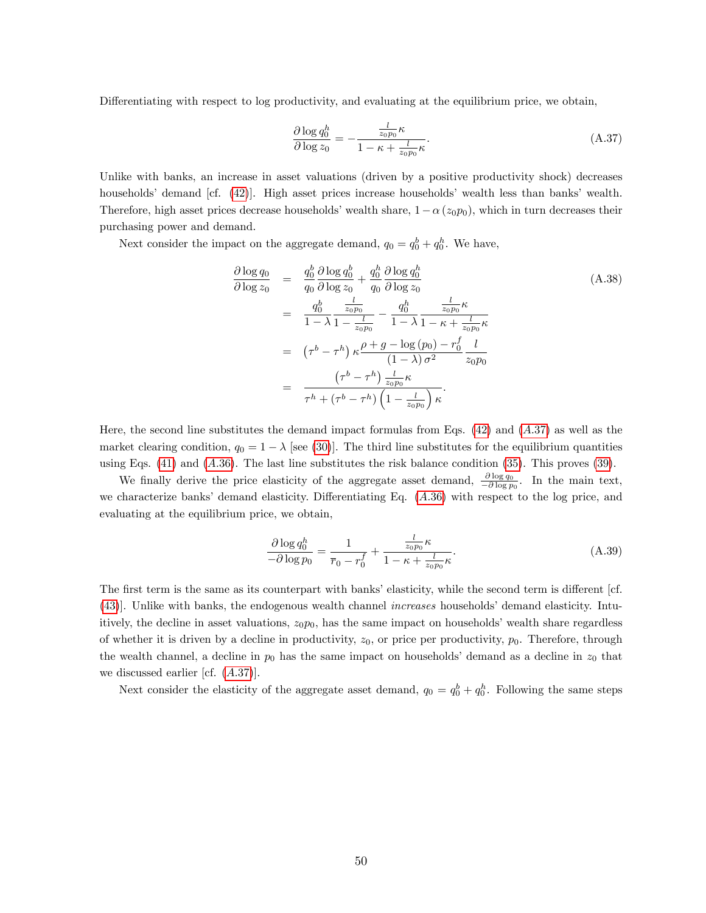Differentiating with respect to log productivity, and evaluating at the equilibrium price, we obtain,

<span id="page-51-0"></span>
$$
\frac{\partial \log q_0^h}{\partial \log z_0} = -\frac{\frac{l}{z_0 p_0} \kappa}{1 - \kappa + \frac{l}{z_0 p_0} \kappa}.
$$
\n(A.37)

Unlike with banks, an increase in asset valuations (driven by a positive productivity shock) decreases households' demand [cf. [\(42\)](#page-28-0)]. High asset prices increase households' wealth less than banks' wealth. Therefore, high asset prices decrease households' wealth share,  $1 - \alpha (z_0 p_0)$ , which in turn decreases their purchasing power and demand.

Next consider the impact on the aggregate demand,  $q_0 = q_0^b + q_0^b$ . We have,

<span id="page-51-1"></span>
$$
\frac{\partial \log q_0}{\partial \log z_0} = \frac{q_0^b}{q_0} \frac{\partial \log q_0^b}{\partial \log z_0} + \frac{q_0^h}{q_0} \frac{\partial \log q_0^h}{\partial \log z_0}
$$
\n
$$
= \frac{q_0^b}{1 - \lambda} \frac{\frac{l}{z_0 p_0}}{1 - \frac{l}{z_0 p_0}} - \frac{q_0^h}{1 - \lambda} \frac{\frac{l}{z_0 p_0} \kappa}{1 - \kappa + \frac{l}{z_0 p_0} \kappa}
$$
\n
$$
= \left(\tau^b - \tau^h\right) \kappa \frac{\rho + g - \log(p_0) - r_0^f}{(1 - \lambda) \sigma^2} \frac{l}{z_0 p_0}
$$
\n
$$
= \frac{\left(\tau^b - \tau^h\right) \frac{l}{z_0 p_0} \kappa}{\tau^h + \left(\tau^b - \tau^h\right) \left(1 - \frac{l}{z_0 p_0}\right) \kappa}.
$$
\n(A.38)

Here, the second line substitutes the demand impact formulas from Eqs.  $(42)$  and  $(A.37)$  $(A.37)$  as well as the market clearing condition,  $q_0 = 1 - \lambda$  [see [\(30\)](#page-21-2)]. The third line substitutes for the equilibrium quantities using Eqs.  $(41)$  and  $(A.36)$  $(A.36)$ . The last line substitutes the risk balance condition  $(35)$ . This proves  $(39)$ .

We finally derive the price elasticity of the aggregate asset demand,  $\frac{\partial \log q_0}{\partial \log p_0}$ . In the main text, we characterize banks' demand elasticity. Differentiating Eq.  $(A.36)$  $(A.36)$  with respect to the log price, and evaluating at the equilibrium price, we obtain,

$$
\frac{\partial \log q_0^h}{\partial \log p_0} = \frac{1}{\overline{r}_0 - r_0^f} + \frac{\frac{l}{z_0 p_0} \kappa}{1 - \kappa + \frac{l}{z_0 p_0} \kappa}.
$$
\n(A.39)

The first term is the same as its counterpart with banks' elasticity, while the second term is different [cf. [\(43\)](#page-28-2). Unlike with banks, the endogenous wealth channel *increases* households' demand elasticity. Intuitively, the decline in asset valuations,  $z_0p_0$ , has the same impact on households' wealth share regardless of whether it is driven by a decline in productivity,  $z_0$ , or price per productivity,  $p_0$ . Therefore, through the wealth channel, a decline in  $p_0$  has the same impact on households' demand as a decline in  $z_0$  that we discussed earlier [cf.  $(A.37)$  $(A.37)$ ].

Next consider the elasticity of the aggregate asset demand,  $q_0 = q_0^b + q_0^b$ . Following the same steps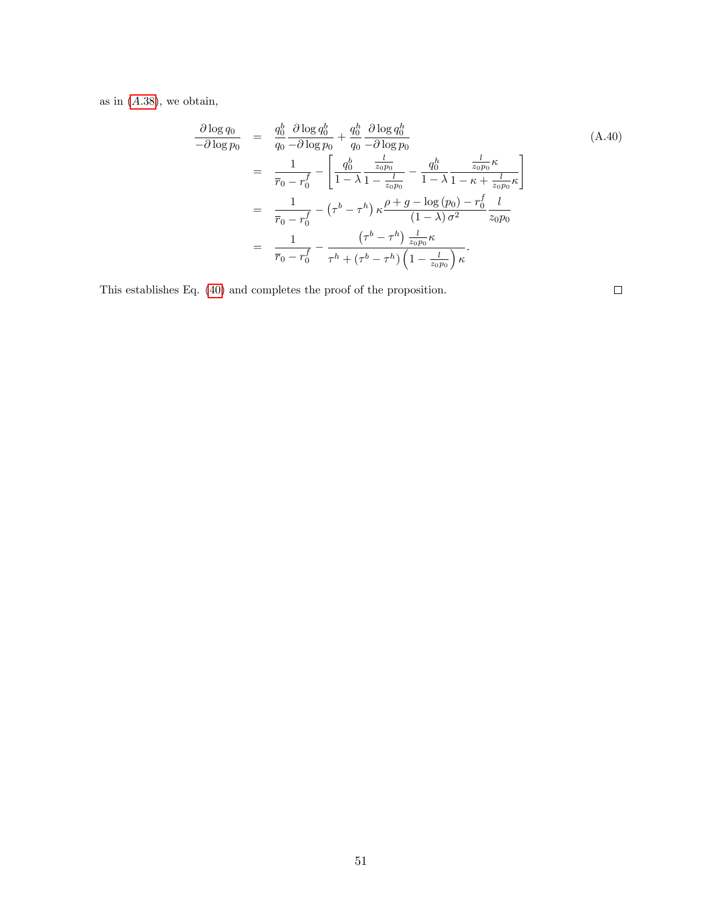as in  $(A.38)$  $(A.38)$ , we obtain,

$$
\frac{\partial \log q_{0}}{-\partial \log p_{0}} = \frac{q_{0}^{b}}{q_{0}} \frac{\partial \log q_{0}^{b}}{-\partial \log p_{0}} + \frac{q_{0}^{b}}{q_{0}} \frac{\partial \log q_{0}^{h}}{-\partial \log p_{0}}
$$
\n
$$
= \frac{1}{\overline{r}_{0} - r_{0}^{f}} - \left[ \frac{q_{0}^{b}}{1 - \lambda} \frac{\frac{l}{z_{0}p_{0}}}{1 - \frac{l}{z_{0}p_{0}}} - \frac{q_{0}^{h}}{1 - \lambda} \frac{\frac{l}{z_{0}p_{0}} \kappa}{1 - \kappa + \frac{l}{z_{0}p_{0}} \kappa} \right]
$$
\n
$$
= \frac{1}{\overline{r}_{0} - r_{0}^{f}} - (\tau^{b} - \tau^{h}) \kappa \frac{\rho + g - \log (p_{0}) - r_{0}^{f}}{(1 - \lambda) \sigma^{2}} \frac{l}{z_{0}p_{0}}
$$
\n
$$
= \frac{1}{\overline{r}_{0} - r_{0}^{f}} - \frac{(\tau^{b} - \tau^{h}) \frac{l}{z_{0}p_{0}} \kappa}{\tau^{h} + (\tau^{b} - \tau^{h}) \left(1 - \frac{l}{z_{0}p_{0}}\right) \kappa}.
$$
\n(A.40)

This establishes Eq. [\(40\)](#page-26-5) and completes the proof of the proposition.

 $\Box$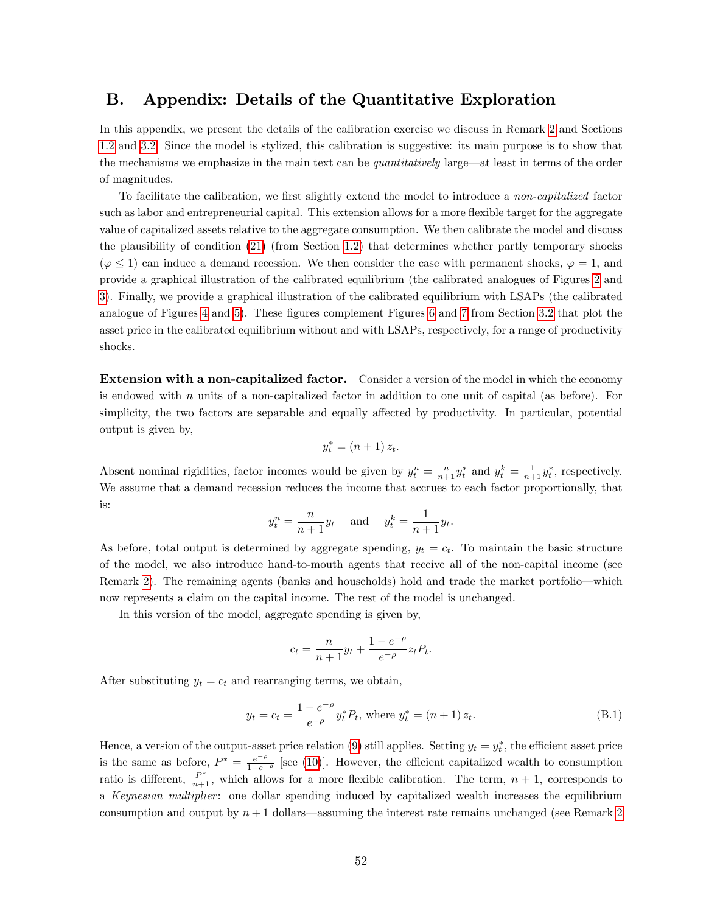# <span id="page-53-0"></span>B. Appendix: Details of the Quantitative Exploration

In this appendix, we present the details of the calibration exercise we discuss in Remark [2](#page-15-1) and Sections [1.2](#page-15-3) and [3.2.](#page-29-0) Since the model is stylized, this calibration is suggestive: its main purpose is to show that the mechanisms we emphasize in the main text can be quantitatively large—at least in terms of the order of magnitudes.

To facilitate the calibration, we first slightly extend the model to introduce a non-capitalized factor such as labor and entrepreneurial capital. This extension allows for a more flexible target for the aggregate value of capitalized assets relative to the aggregate consumption. We then calibrate the model and discuss the plausibility of condition [\(21\)](#page-16-1) (from Section [1.2\)](#page-15-3) that determines whether partly temporary shocks  $(\varphi \leq 1)$  can induce a demand recession. We then consider the case with permanent shocks,  $\varphi = 1$ , and provide a graphical illustration of the calibrated equilibrium (the calibrated analogues of Figures [2](#page-18-0) and [3\)](#page-19-0). Finally, we provide a graphical illustration of the calibrated equilibrium with LSAPs (the calibrated analogue of Figures [4](#page-23-0) and [5\)](#page-24-0). These figures complement Figures [6](#page-31-0) and [7](#page-32-0) from Section [3.2](#page-29-0) that plot the asset price in the calibrated equilibrium without and with LSAPs, respectively, for a range of productivity shocks.

Extension with a non-capitalized factor. Consider a version of the model in which the economy is endowed with n units of a non-capitalized factor in addition to one unit of capital (as before). For simplicity, the two factors are separable and equally affected by productivity. In particular, potential output is given by,

$$
y_t^* = (n+1) z_t.
$$

Absent nominal rigidities, factor incomes would be given by  $y_t^n = \frac{n}{n+1} y_t^*$  and  $y_t^k = \frac{1}{n+1} y_t^*$ , respectively. We assume that a demand recession reduces the income that accrues to each factor proportionally, that is:

$$
y_t^n = \frac{n}{n+1}y_t \quad \text{and} \quad y_t^k = \frac{1}{n+1}y_t.
$$

As before, total output is determined by aggregate spending,  $y_t = c_t$ . To maintain the basic structure of the model, we also introduce hand-to-mouth agents that receive all of the non-capital income (see Remark [2\)](#page-15-1). The remaining agents (banks and households) hold and trade the market portfolio—which now represents a claim on the capital income. The rest of the model is unchanged.

In this version of the model, aggregate spending is given by,

$$
c_t = \frac{n}{n+1}y_t + \frac{1 - e^{-\rho}}{e^{-\rho}}z_t P_t.
$$

After substituting  $y_t = c_t$  and rearranging terms, we obtain,

<span id="page-53-1"></span>
$$
y_t = c_t = \frac{1 - e^{-\rho}}{e^{-\rho}} y_t^* P_t
$$
, where  $y_t^* = (n+1) z_t$ . (B.1)

Hence, a version of the output-asset price relation [\(9\)](#page-11-0) still applies. Setting  $y_t = y_t^*$ , the efficient asset price is the same as before,  $P^* = \frac{e^{-\rho}}{1-e^{-\rho}}$  [see [\(10\)](#page-11-2)]. However, the efficient capitalized wealth to consumption ratio is different,  $\frac{P^*}{n+1}$ , which allows for a more flexible calibration. The term,  $n + 1$ , corresponds to a Keynesian multiplier: one dollar spending induced by capitalized wealth increases the equilibrium consumption and output by  $n + 1$  dollars—assuming the interest rate remains unchanged (see Remark [2](#page-15-1))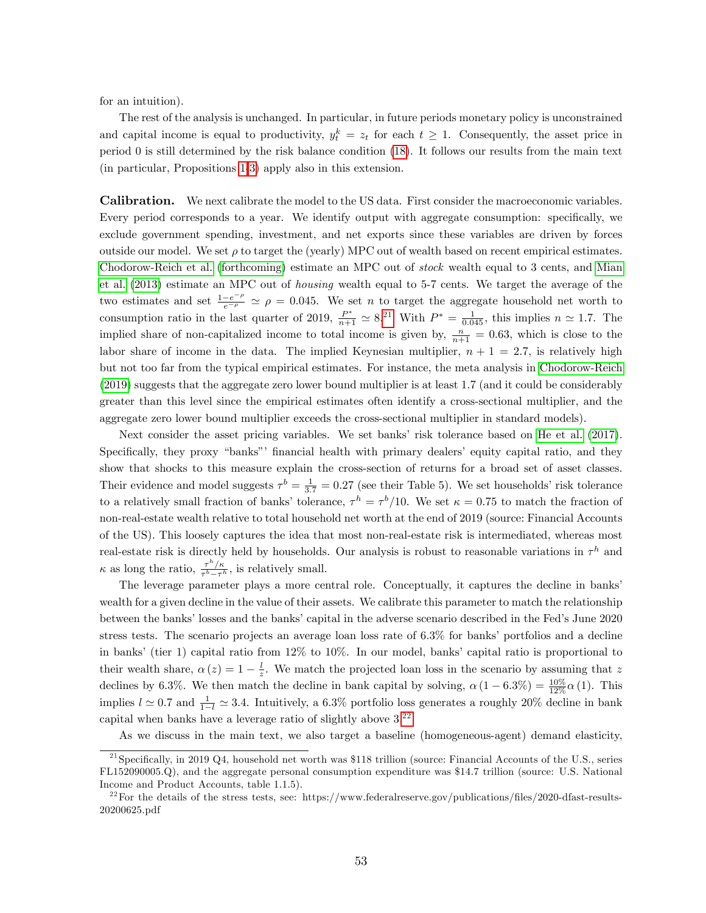for an intuition).

The rest of the analysis is unchanged. In particular, in future periods monetary policy is unconstrained and capital income is equal to productivity,  $y_t^k = z_t$  for each  $t \geq 1$ . Consequently, the asset price in period 0 is still determined by the risk balance condition [\(18\)](#page-13-2). It follows our results from the main text (in particular, Propositions [1](#page-17-2)[-3\)](#page-26-1) apply also in this extension.

Calibration. We next calibrate the model to the US data. First consider the macroeconomic variables. Every period corresponds to a year. We identify output with aggregate consumption: specifically, we exclude government spending, investment, and net exports since these variables are driven by forces outside our model. We set  $\rho$  to target the (yearly) MPC out of wealth based on recent empirical estimates. [Chodorow-Reich et al.](#page-58-1) [\(forthcoming\)](#page-58-1) estimate an MPC out of stock wealth equal to 3 cents, and [Mian](#page-60-20) [et al.](#page-60-20) [\(2013\)](#page-60-20) estimate an MPC out of housing wealth equal to 5-7 cents. We target the average of the two estimates and set  $\frac{1-e^{-\rho}}{e^{-\rho}} \simeq \rho = 0.045$ . We set *n* to target the aggregate household net worth to consumption ratio in the last quarter of 2019,  $\frac{P^*}{n+1} \simeq 8^{21}$  $\frac{P^*}{n+1} \simeq 8^{21}$  $\frac{P^*}{n+1} \simeq 8^{21}$  With  $P^* = \frac{1}{0.045}$ , this implies  $n \simeq 1.7$ . The implied share of non-capitalized income to total income is given by,  $\frac{n}{n+1} = 0.63$ , which is close to the labor share of income in the data. The implied Keynesian multiplier,  $n + 1 = 2.7$ , is relatively high but not too far from the typical empirical estimates. For instance, the meta analysis in [Chodorow-Reich](#page-58-20) [\(2019\)](#page-58-20) suggests that the aggregate zero lower bound multiplier is at least 1.7 (and it could be considerably greater than this level since the empirical estimates often identify a cross-sectional multiplier, and the aggregate zero lower bound multiplier exceeds the cross-sectional multiplier in standard models).

Next consider the asset pricing variables. We set banks' risk tolerance based on [He et al.](#page-60-3) [\(2017\)](#page-60-3). Specifically, they proxy "banks" financial health with primary dealers' equity capital ratio, and they show that shocks to this measure explain the cross-section of returns for a broad set of asset classes. Their evidence and model suggests  $\tau^b = \frac{1}{3.7} = 0.27$  (see their Table 5). We set households' risk tolerance to a relatively small fraction of banks' tolerance,  $\tau^h = \tau^b/10$ . We set  $\kappa = 0.75$  to match the fraction of non-real-estate wealth relative to total household net worth at the end of 2019 (source: Financial Accounts of the US). This loosely captures the idea that most non-real-estate risk is intermediated, whereas most real-estate risk is directly held by households. Our analysis is robust to reasonable variations in  $\tau^h$  and  $\kappa$  as long the ratio,  $\frac{\tau^h/\kappa}{\tau^b-\tau'}$  $\frac{\tau}{\tau^b - \tau^h}$ , is relatively small.

The leverage parameter plays a more central role. Conceptually, it captures the decline in banksí wealth for a given decline in the value of their assets. We calibrate this parameter to match the relationship between the banks' losses and the banks' capital in the adverse scenario described in the Fed's June 2020 stress tests. The scenario projects an average loan loss rate of  $6.3\%$  for banks' portfolios and a decline in banks' (tier 1) capital ratio from  $12\%$  to  $10\%$ . In our model, banks' capital ratio is proportional to their wealth share,  $\alpha(z) = 1 - \frac{l}{z}$ . We match the projected loan loss in the scenario by assuming that z declines by 6.3%. We then match the decline in bank capital by solving,  $\alpha (1 - 6.3\%) = \frac{10\%}{12\%} \alpha (1)$ . This implies  $l \approx 0.7$  and  $\frac{1}{1-l} \approx 3.4$ . Intuitively, a 6.3% portfolio loss generates a roughly 20% decline in bank capital when banks have a leverage ratio of slightly above 3.[22](#page-54-1)

As we discuss in the main text, we also target a baseline (homogeneous-agent) demand elasticity,

<span id="page-54-0"></span><sup>&</sup>lt;sup>21</sup>Specifically, in 2019 Q4, household net worth was \$118 trillion (source: Financial Accounts of the U.S., series FL152090005.Q), and the aggregate personal consumption expenditure was \$14.7 trillion (source: U.S. National Income and Product Accounts, table 1.1.5).

<span id="page-54-1"></span><sup>&</sup>lt;sup>22</sup>For the details of the stress tests, see: https://www.federalreserve.gov/publications/files/2020-dfast-results-20200625.pdf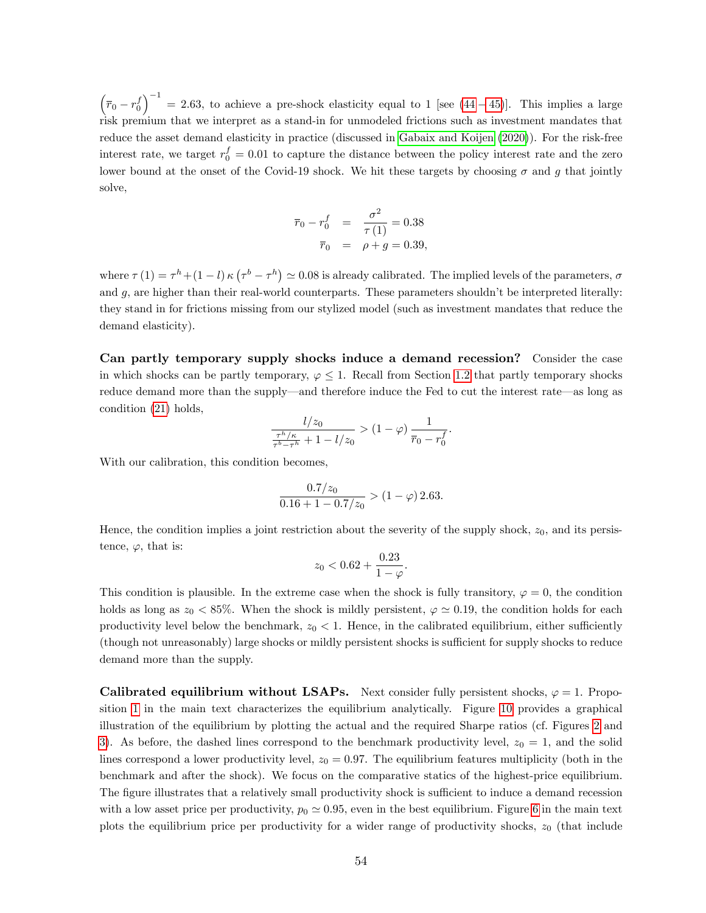$(\bar{r}_0 - r_0^f)^{-1} = 2.63$ , to achieve a pre-shock elasticity equal to 1 [see [\(44](#page-29-1) – [45\)](#page-29-2)]. This implies a large risk premium that we interpret as a stand-in for unmodeled frictions such as investment mandates that reduce the asset demand elasticity in practice (discussed in [Gabaix and Koijen](#page-59-1) [\(2020\)](#page-59-1)). For the risk-free interest rate, we target  $r_0^f = 0.01$  to capture the distance between the policy interest rate and the zero lower bound at the onset of the Covid-19 shock. We hit these targets by choosing  $\sigma$  and g that jointly solve,

$$
\overline{r}_0 - r_0^f = \frac{\sigma^2}{\tau(1)} = 0.38
$$
  

$$
\overline{r}_0 = \rho + g = 0.39,
$$

where  $\tau(1) = \tau^h + (1 - l) \kappa (\tau^b - \tau^h) \simeq 0.08$  is already calibrated. The implied levels of the parameters,  $\sigma$ and  $g$ , are higher than their real-world counterparts. These parameters shouldn't be interpreted literally: they stand in for frictions missing from our stylized model (such as investment mandates that reduce the demand elasticity).

Can partly temporary supply shocks induce a demand recession? Consider the case in which shocks can be partly temporary,  $\varphi \leq 1$ . Recall from Section [1.2](#page-15-3) that partly temporary shocks reduce demand more than the supply—and therefore induce the Fed to cut the interest rate—as long as condition [\(21\)](#page-16-1) holds,

$$
\frac{l/z_0}{\frac{\tau^h/\kappa}{\tau^b - \tau^h} + 1 - l/z_0} > (1 - \varphi) \frac{1}{\bar{r}_0 - r_0^f}.
$$

With our calibration, this condition becomes,

$$
\frac{0.7/z_0}{0.16 + 1 - 0.7/z_0} > (1 - \varphi) 2.63.
$$

Hence, the condition implies a joint restriction about the severity of the supply shock,  $z_0$ , and its persistence,  $\varphi$ , that is:

$$
z_0 < 0.62 + \frac{0.23}{1 - \varphi}.
$$

This condition is plausible. In the extreme case when the shock is fully transitory,  $\varphi = 0$ , the condition holds as long as  $z_0 < 85\%$ . When the shock is mildly persistent,  $\varphi \simeq 0.19$ , the condition holds for each productivity level below the benchmark,  $z_0 < 1$ . Hence, in the calibrated equilibrium, either sufficiently (though not unreasonably) large shocks or mildly persistent shocks is sufficient for supply shocks to reduce demand more than the supply.

**Calibrated equilibrium without LSAPs.** Next consider fully persistent shocks,  $\varphi = 1$ . Proposition [1](#page-17-2) in the main text characterizes the equilibrium analytically. Figure [10](#page-56-0) provides a graphical illustration of the equilibrium by plotting the actual and the required Sharpe ratios (cf. Figures [2](#page-18-0) and [3\)](#page-19-0). As before, the dashed lines correspond to the benchmark productivity level,  $z_0 = 1$ , and the solid lines correspond a lower productivity level,  $z_0 = 0.97$ . The equilibrium features multiplicity (both in the benchmark and after the shock). We focus on the comparative statics of the highest-price equilibrium. The figure illustrates that a relatively small productivity shock is sufficient to induce a demand recession with a low asset price per productivity,  $p_0 \approx 0.95$ , even in the best equilibrium. Figure [6](#page-31-0) in the main text plots the equilibrium price per productivity for a wider range of productivity shocks,  $z_0$  (that include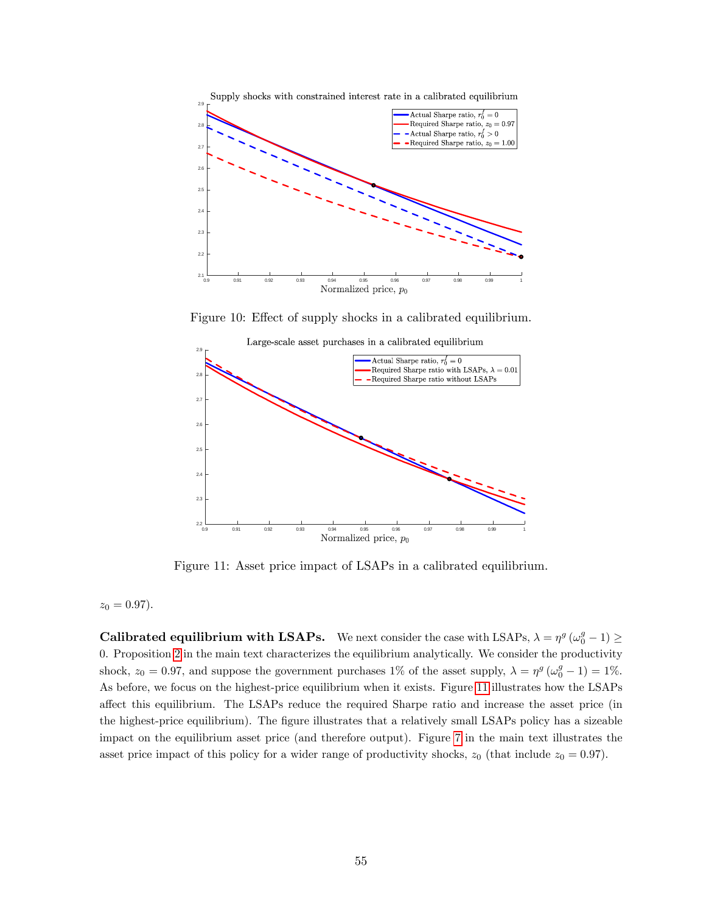

<span id="page-56-0"></span>Figure 10: Effect of supply shocks in a calibrated equilibrium.



<span id="page-56-1"></span>Figure 11: Asset price impact of LSAPs in a calibrated equilibrium.

 $z_0 = 0.97$ .

**Calibrated equilibrium with LSAPs.** We next consider the case with LSAPs,  $\lambda = \eta^g (\omega_0^g - 1) \ge$ 0. Proposition [2](#page-22-3) in the main text characterizes the equilibrium analytically. We consider the productivity shock,  $z_0 = 0.97$ , and suppose the government purchases 1% of the asset supply,  $\lambda = \eta^g (\omega_0^g - 1) = 1\%$ . As before, we focus on the highest-price equilibrium when it exists. Figure [11](#page-56-1) illustrates how the LSAPs affect this equilibrium. The LSAPs reduce the required Sharpe ratio and increase the asset price (in the highest-price equilibrium). The figure illustrates that a relatively small LSAPs policy has a sizeable impact on the equilibrium asset price (and therefore output). Figure [7](#page-32-0) in the main text illustrates the asset price impact of this policy for a wider range of productivity shocks,  $z_0$  (that include  $z_0 = 0.97$ ).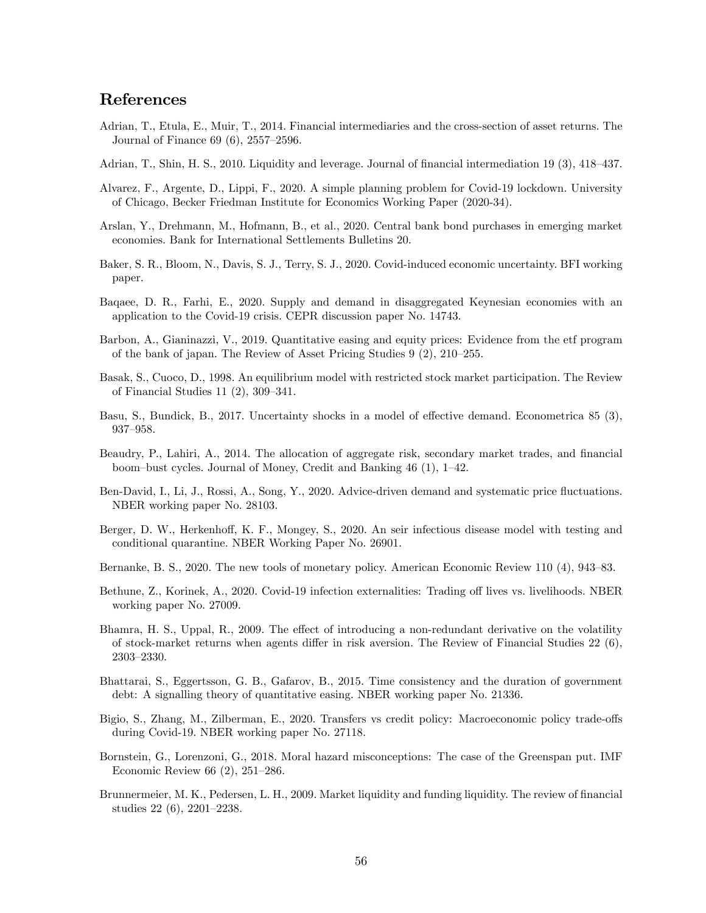# References

- <span id="page-57-2"></span>Adrian, T., Etula, E., Muir, T., 2014. Financial intermediaries and the cross-section of asset returns. The Journal of Finance  $69(6)$ ,  $2557-2596$ .
- <span id="page-57-1"></span>Adrian, T., Shin, H. S., 2010. Liquidity and leverage. Journal of financial intermediation 19 (3), 418–437.
- <span id="page-57-14"></span>Alvarez, F., Argente, D., Lippi, F., 2020. A simple planning problem for Covid-19 lockdown. University of Chicago, Becker Friedman Institute for Economics Working Paper (2020-34).
- <span id="page-57-12"></span>Arslan, Y., Drehmann, M., Hofmann, B., et al., 2020. Central bank bond purchases in emerging market economies. Bank for International Settlements Bulletins 20.
- <span id="page-57-13"></span>Baker, S. R., Bloom, N., Davis, S. J., Terry, S. J., 2020. Covid-induced economic uncertainty. BFI working paper.
- <span id="page-57-10"></span>Baqaee, D. R., Farhi, E., 2020. Supply and demand in disaggregated Keynesian economies with an application to the Covid-19 crisis. CEPR discussion paper No. 14743.
- <span id="page-57-9"></span>Barbon, A., Gianinazzi, V., 2019. Quantitative easing and equity prices: Evidence from the etf program of the bank of japan. The Review of Asset Pricing Studies  $9(2)$ ,  $210-255$ .
- <span id="page-57-4"></span>Basak, S., Cuoco, D., 1998. An equilibrium model with restricted stock market participation. The Review of Financial Studies 11 $(2)$ , 309–341.
- <span id="page-57-6"></span>Basu, S., Bundick, B., 2017. Uncertainty shocks in a model of effective demand. Econometrica 85 (3), 937-958.
- <span id="page-57-5"></span>Beaudry, P., Lahiri, A., 2014. The allocation of aggregate risk, secondary market trades, and financial boom-bust cycles. Journal of Money, Credit and Banking  $46$  (1),  $1-42$ .
- <span id="page-57-17"></span>Ben-David, I., Li, J., Rossi, A., Song, Y., 2020. Advice-driven demand and systematic price fluctuations. NBER working paper No. 28103.
- <span id="page-57-15"></span>Berger, D. W., Herkenhoff, K. F., Mongey, S., 2020. An seir infectious disease model with testing and conditional quarantine. NBER Working Paper No. 26901.
- <span id="page-57-7"></span>Bernanke, B. S., 2020. The new tools of monetary policy. American Economic Review 110 (4), 943–83.
- <span id="page-57-16"></span>Bethune, Z., Korinek, A., 2020. Covid-19 infection externalities: Trading off lives vs. livelihoods. NBER working paper No. 27009.
- <span id="page-57-3"></span>Bhamra, H. S., Uppal, R., 2009. The effect of introducing a non-redundant derivative on the volatility of stock-market returns when agents differ in risk aversion. The Review of Financial Studies 22  $(6)$ , 2303-2330.
- <span id="page-57-8"></span>Bhattarai, S., Eggertsson, G. B., Gafarov, B., 2015. Time consistency and the duration of government debt: A signalling theory of quantitative easing. NBER working paper No. 21336.
- <span id="page-57-11"></span>Bigio, S., Zhang, M., Zilberman, E., 2020. Transfers vs credit policy: Macroeconomic policy trade-offs during Covid-19. NBER working paper No. 27118.
- <span id="page-57-18"></span>Bornstein, G., Lorenzoni, G., 2018. Moral hazard misconceptions: The case of the Greenspan put. IMF Economic Review 66  $(2)$ , 251–286.
- <span id="page-57-0"></span>Brunnermeier, M. K., Pedersen, L. H., 2009. Market liquidity and funding liquidity. The review of financial studies  $22(6)$ ,  $2201-2238$ .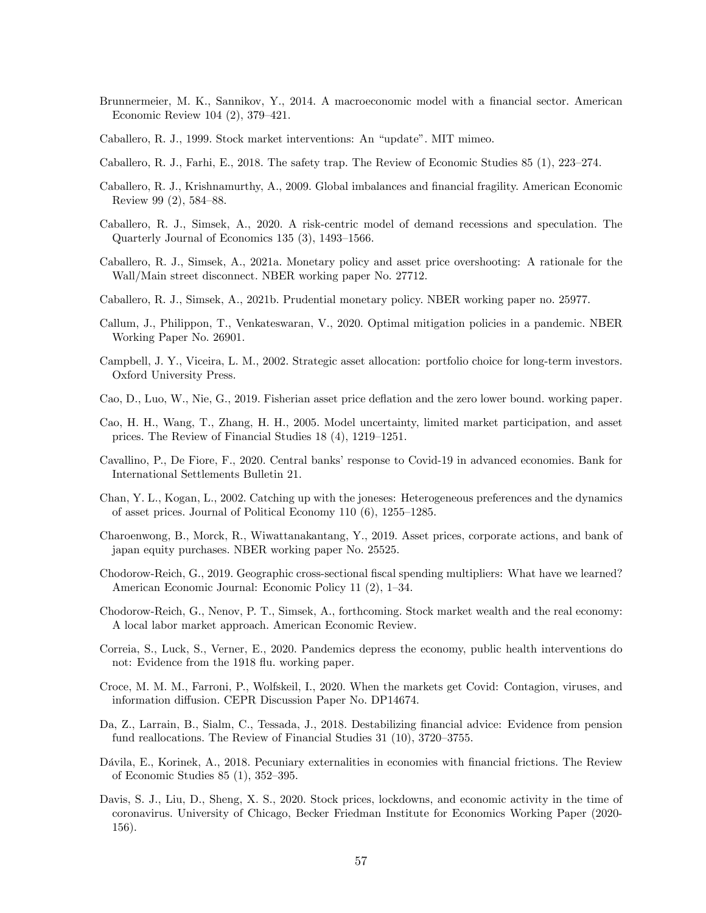- <span id="page-58-2"></span>Brunnermeier, M. K., Sannikov, Y., 2014. A macroeconomic model with a financial sector. American Economic Review 104  $(2)$ , 379–421.
- <span id="page-58-9"></span>Caballero, R. J., 1999. Stock market interventions: An "update". MIT mimeo.
- <span id="page-58-8"></span>Caballero, R. J., Farhi, E., 2018. The safety trap. The Review of Economic Studies 85  $(1)$ , 223–274.
- <span id="page-58-5"></span>Caballero, R. J., Krishnamurthy, A., 2009. Global imbalances and financial fragility. American Economic Review 99 (2), 584–88.
- <span id="page-58-0"></span>Caballero, R. J., Simsek, A., 2020. A risk-centric model of demand recessions and speculation. The Quarterly Journal of Economics 135  $(3)$ , 1493–1566.
- <span id="page-58-19"></span>Caballero, R. J., Simsek, A., 2021a. Monetary policy and asset price overshooting: A rationale for the Wall/Main street disconnect. NBER working paper No. 27712.
- <span id="page-58-7"></span>Caballero, R. J., Simsek, A., 2021b. Prudential monetary policy. NBER working paper no. 25977.
- <span id="page-58-15"></span>Callum, J., Philippon, T., Venkateswaran, V., 2020. Optimal mitigation policies in a pandemic. NBER Working Paper No. 26901.
- <span id="page-58-16"></span>Campbell, J. Y., Viceira, L. M., 2002. Strategic asset allocation: portfolio choice for long-term investors. Oxford University Press.
- <span id="page-58-6"></span>Cao, D., Luo, W., Nie, G., 2019. Fisherian asset price deáation and the zero lower bound. working paper.
- <span id="page-58-4"></span>Cao, H. H., Wang, T., Zhang, H. H., 2005. Model uncertainty, limited market participation, and asset prices. The Review of Financial Studies  $18(4)$ ,  $1219-1251$ .
- <span id="page-58-13"></span>Cavallino, P., De Fiore, F., 2020. Central banks' response to Covid-19 in advanced economies. Bank for International Settlements Bulletin 21.
- <span id="page-58-3"></span>Chan, Y. L., Kogan, L., 2002. Catching up with the joneses: Heterogeneous preferences and the dynamics of asset prices. Journal of Political Economy  $110(6)$ ,  $1255-1285$ .
- <span id="page-58-10"></span>Charoenwong, B., Morck, R., Wiwattanakantang, Y., 2019. Asset prices, corporate actions, and bank of japan equity purchases. NBER working paper No. 25525.
- <span id="page-58-20"></span>Chodorow-Reich, G., 2019. Geographic cross-sectional fiscal spending multipliers: What have we learned? American Economic Journal: Economic Policy 11 (2), 1–34.
- <span id="page-58-1"></span>Chodorow-Reich, G., Nenov, P. T., Simsek, A., forthcoming. Stock market wealth and the real economy: A local labor market approach. American Economic Review.
- <span id="page-58-14"></span>Correia, S., Luck, S., Verner, E., 2020. Pandemics depress the economy, public health interventions do not: Evidence from the 1918 flu. working paper.
- <span id="page-58-11"></span>Croce, M. M. M., Farroni, P., Wolfskeil, I., 2020. When the markets get Covid: Contagion, viruses, and information diffusion. CEPR Discussion Paper No. DP14674.
- <span id="page-58-17"></span>Da, Z., Larrain, B., Sialm, C., Tessada, J., 2018. Destabilizing financial advice: Evidence from pension fund reallocations. The Review of Financial Studies  $31$  (10),  $3720-3755$ .
- <span id="page-58-18"></span>Dávila, E., Korinek, A., 2018. Pecuniary externalities in economies with financial frictions. The Review of Economic Studies  $85(1)$ ,  $352-395$ .
- <span id="page-58-12"></span>Davis, S. J., Liu, D., Sheng, X. S., 2020. Stock prices, lockdowns, and economic activity in the time of coronavirus. University of Chicago, Becker Friedman Institute for Economics Working Paper (2020- 156).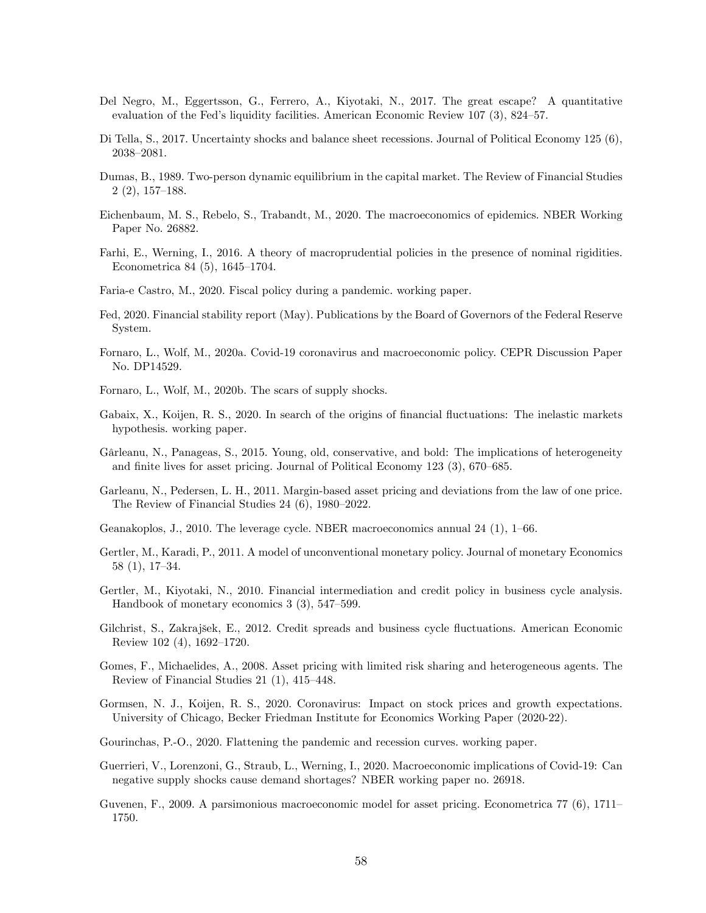- <span id="page-59-11"></span>Del Negro, M., Eggertsson, G., Ferrero, A., Kiyotaki, N., 2017. The great escape? A quantitative evaluation of the Fed's liquidity facilities. American Economic Review  $107$  (3), 824–57.
- <span id="page-59-8"></span>Di Tella, S., 2017. Uncertainty shocks and balance sheet recessions. Journal of Political Economy 125 (6), 2038-2081.
- <span id="page-59-4"></span>Dumas, B., 1989. Two-person dynamic equilibrium in the capital market. The Review of Financial Studies  $2(2), 157–188.$
- <span id="page-59-15"></span>Eichenbaum, M. S., Rebelo, S., Trabandt, M., 2020. The macroeconomics of epidemics. NBER Working Paper No. 26882.
- <span id="page-59-20"></span>Farhi, E., Werning, I., 2016. A theory of macroprudential policies in the presence of nominal rigidities. Econometrica 84  $(5)$ , 1645–1704.
- <span id="page-59-16"></span>Faria-e Castro, M., 2020. Fiscal policy during a pandemic. working paper.
- <span id="page-59-14"></span>Fed, 2020. Financial stability report (May). Publications by the Board of Governors of the Federal Reserve System.
- <span id="page-59-17"></span>Fornaro, L., Wolf, M., 2020a. Covid-19 coronavirus and macroeconomic policy. CEPR Discussion Paper No. DP14529.
- <span id="page-59-18"></span>Fornaro, L., Wolf, M., 2020b. The scars of supply shocks.
- <span id="page-59-1"></span>Gabaix, X., Koijen, R. S., 2020. In search of the origins of financial fluctuations: The inelastic markets hypothesis. working paper.
- <span id="page-59-5"></span>Gârleanu, N., Panageas, S., 2015. Young, old, conservative, and bold: The implications of heterogeneity and finite lives for asset pricing. Journal of Political Economy  $123$  (3),  $670-685$ .
- <span id="page-59-3"></span>Garleanu, N., Pedersen, L. H., 2011. Margin-based asset pricing and deviations from the law of one price. The Review of Financial Studies  $24(6)$ , 1980–2022.
- <span id="page-59-2"></span>Geanakoplos, J., 2010. The leverage cycle. NBER macroeconomics annual 24 (1),  $1-66$ .
- <span id="page-59-10"></span>Gertler, M., Karadi, P., 2011. A model of unconventional monetary policy. Journal of monetary Economics  $58(1), 17-34.$
- <span id="page-59-9"></span>Gertler, M., Kiyotaki, N., 2010. Financial intermediation and credit policy in business cycle analysis. Handbook of monetary economics  $3(3)$ ,  $547-599$ .
- <span id="page-59-0"></span>Gilchrist, S., Zakrajšek, E., 2012. Credit spreads and business cycle fluctuations. American Economic Review 102  $(4)$ , 1692–1720.
- <span id="page-59-6"></span>Gomes, F., Michaelides, A., 2008. Asset pricing with limited risk sharing and heterogeneous agents. The Review of Financial Studies  $21(1)$ ,  $415-448$ .
- <span id="page-59-13"></span>Gormsen, N. J., Koijen, R. S., 2020. Coronavirus: Impact on stock prices and growth expectations. University of Chicago, Becker Friedman Institute for Economics Working Paper (2020-22).
- <span id="page-59-19"></span>Gourinchas, P.-O., 2020. Flattening the pandemic and recession curves. working paper.
- <span id="page-59-12"></span>Guerrieri, V., Lorenzoni, G., Straub, L., Werning, I., 2020. Macroeconomic implications of Covid-19: Can negative supply shocks cause demand shortages? NBER working paper no. 26918.
- <span id="page-59-7"></span>Guvenen, F., 2009. A parsimonious macroeconomic model for asset pricing. Econometrica  $77(6)$ ,  $1711-$ 1750.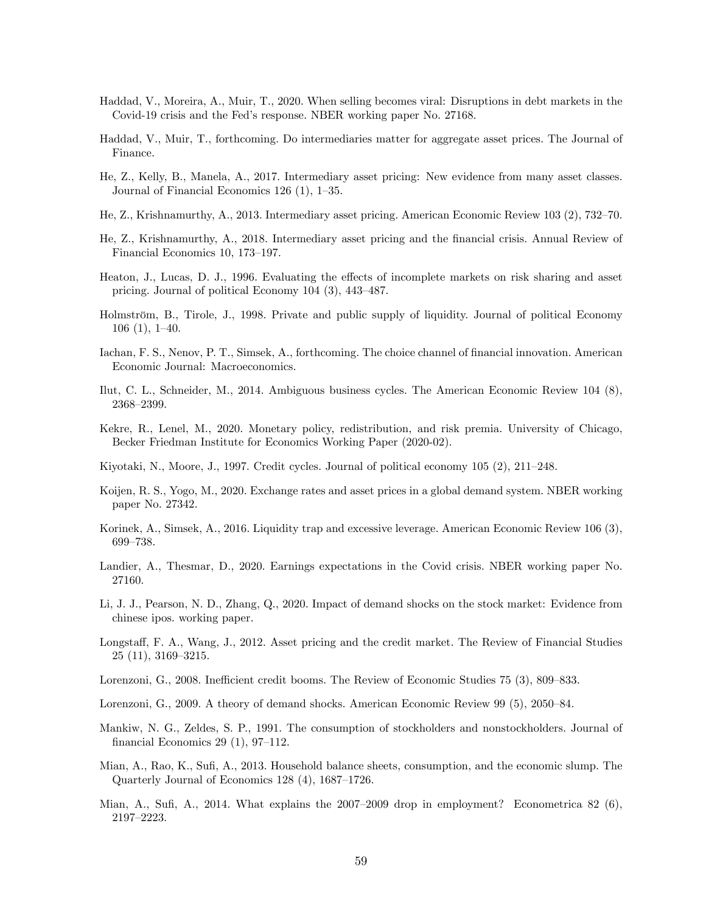- <span id="page-60-14"></span>Haddad, V., Moreira, A., Muir, T., 2020. When selling becomes viral: Disruptions in debt markets in the Covid-19 crisis and the Fed's response. NBER working paper No. 27168.
- <span id="page-60-4"></span>Haddad, V., Muir, T., forthcoming. Do intermediaries matter for aggregate asset prices. The Journal of Finance.
- <span id="page-60-3"></span>He, Z., Kelly, B., Manela, A., 2017. Intermediary asset pricing: New evidence from many asset classes. Journal of Financial Economics 126  $(1)$ , 1–35.
- <span id="page-60-1"></span>He, Z., Krishnamurthy, A., 2013. Intermediary asset pricing. American Economic Review 103 (2), 732–70.
- <span id="page-60-2"></span>He, Z., Krishnamurthy, A., 2018. Intermediary asset pricing and the Önancial crisis. Annual Review of Financial Economics 10, 173-197.
- <span id="page-60-7"></span>Heaton, J., Lucas, D. J., 1996. Evaluating the effects of incomplete markets on risk sharing and asset pricing. Journal of political Economy  $104$   $(3)$ ,  $443-487$ .
- <span id="page-60-15"></span>Holmström, B., Tirole, J., 1998. Private and public supply of liquidity. Journal of political Economy  $106(1), 1-40.$
- <span id="page-60-8"></span>Iachan, F. S., Nenov, P. T., Simsek, A., forthcoming. The choice channel of financial innovation. American Economic Journal: Macroeconomics.
- <span id="page-60-12"></span>Ilut, C. L., Schneider, M., 2014. Ambiguous business cycles. The American Economic Review 104 (8), 2368-2399.
- <span id="page-60-11"></span>Kekre, R., Lenel, M., 2020. Monetary policy, redistribution, and risk premia. University of Chicago, Becker Friedman Institute for Economics Working Paper (2020-02).
- <span id="page-60-9"></span>Kiyotaki, N., Moore, J., 1997. Credit cycles. Journal of political economy  $105$   $(2)$ ,  $211-248$ .
- <span id="page-60-10"></span>Koijen, R. S., Yogo, M., 2020. Exchange rates and asset prices in a global demand system. NBER working paper No. 27342.
- <span id="page-60-18"></span>Korinek, A., Simsek, A., 2016. Liquidity trap and excessive leverage. American Economic Review 106 (3), 699-738.
- <span id="page-60-13"></span>Landier, A., Thesmar, D., 2020. Earnings expectations in the Covid crisis. NBER working paper No. 27160.
- <span id="page-60-17"></span>Li, J. J., Pearson, N. D., Zhang, Q., 2020. Impact of demand shocks on the stock market: Evidence from chinese ipos. working paper.
- <span id="page-60-5"></span>Longstaff, F. A., Wang, J., 2012. Asset pricing and the credit market. The Review of Financial Studies  $25(11), 3169-3215.$
- <span id="page-60-19"></span>Lorenzoni, G., 2008. Inefficient credit booms. The Review of Economic Studies 75 (3), 809–833.
- <span id="page-60-16"></span>Lorenzoni, G., 2009. A theory of demand shocks. American Economic Review 99  $(5)$ , 2050–84.
- <span id="page-60-6"></span>Mankiw, N. G., Zeldes, S. P., 1991. The consumption of stockholders and nonstockholders. Journal of financial Economics 29  $(1)$ , 97–112.
- <span id="page-60-20"></span>Mian, A., Rao, K., Sufi, A., 2013. Household balance sheets, consumption, and the economic slump. The Quarterly Journal of Economics  $128(4)$ ,  $1687-1726$ .
- <span id="page-60-0"></span>Mian, A., Sufi, A., 2014. What explains the  $2007-2009$  drop in employment? Econometrica 82 (6), 2197-2223.